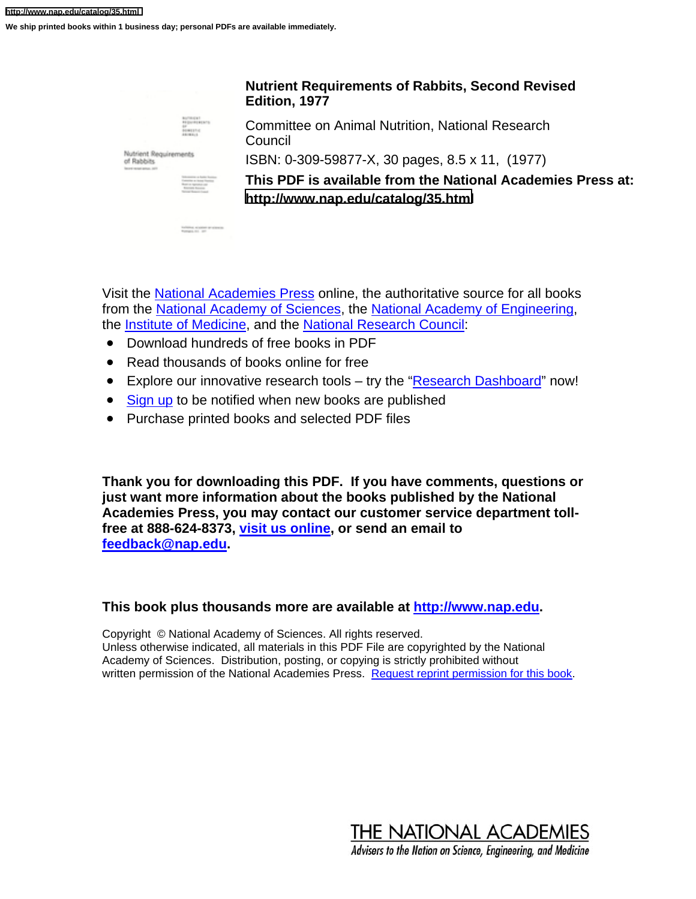**<http://www.nap.edu/catalog/35.html>**

**We ship printed books within 1 business day; personal PDFs are available immediately.**



**RATASHUE ACADEMY OF ATA** 

# **Nutrient Requirements of Rabbits, Second Revised Edition, 1977**

Committee on Animal Nutrition, National Research **Council** 

ISBN: 0-309-59877-X, 30 pages, 8.5 x 11, (1977)

**This PDF is available from the National Academies Press at: <http://www.nap.edu/catalog/35.html>**

Visit the [National Academies Press](http://www.nap.edu) online, the authoritative source for all books from the [National Academy of Sciences](http://www.nas.edu/nas), the [National Academy of Engineering,](http://www.nae.edu) the [Institute of Medicine](http://www.iom.edu), and the [National Research Council:](http://www.nationalacademies.org/nrc/)

- Download hundreds of free books in PDF
- Read thousands of books online for free
- Explore our innovative research tools try the ["Research Dashboard](http://lab.nap.edu/nap-cgi/dashboard.cgi?isbn=0309026075&act=dashboard)" now!
- [Sign up to](http://www.nap.edu/agent.html) be notified when new books are published
- Purchase printed books and selected PDF files

**Thank you for downloading this PDF. If you have comments, questions or just want more information about the books published by the National Academies Press, you may contact our customer service department tollfree at 888-624-8373, [visit us online](http://www.nap.edu), or send an email to [feedback@nap.edu](mailto:feedback@nap.edu).** 

# **This book plus thousands more are available a[t http://www.nap.edu.](http://www.nap.edu)**

Copyright © National Academy of Sciences. All rights reserved. Unless otherwise indicated, all materials in this PDF File are copyrighted by the National Academy of Sciences. Distribution, posting, or copying is strictly prohibited without written permission of the National Academies Press. [Request reprint permission for this book](http://www.nap.edu/v3/makepage.phtml?val1=reprint).

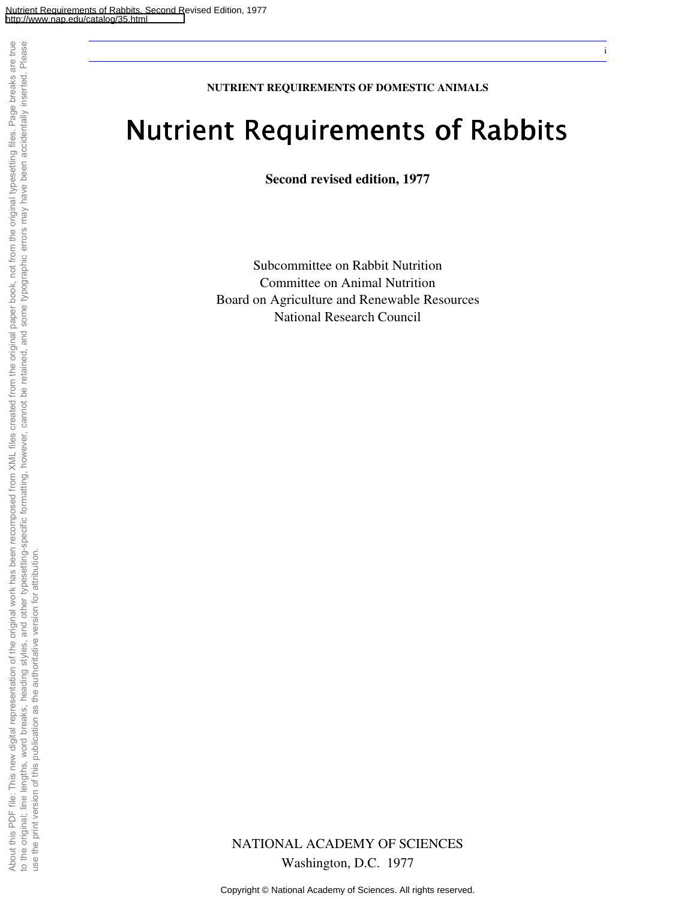**NUTRIENT REQUIREMENTS OF DOMESTIC ANIMALS**

# Nutrient Requirements of Rabbits

**Second revised edition, 1977**

Subcommittee on Rabbit Nutrition Committee on Animal Nutrition Board on Agriculture and Renewable Resources National Research Council

NATIONAL ACADEMY OF SCIENCES Washington, D.C. 1977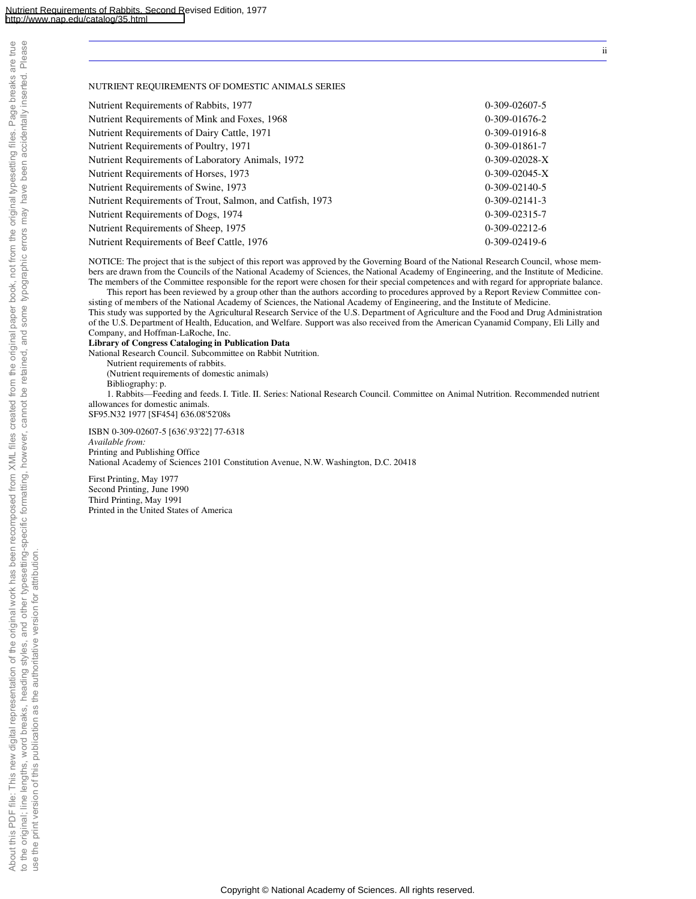ii

# NUTRIENT REQUIREMENTS OF DOMESTIC ANIMALS SERIES

| Nutrient Requirements of Rabbits, 1977                    | $0-309-02607-5$ |
|-----------------------------------------------------------|-----------------|
| Nutrient Requirements of Mink and Foxes, 1968             | $0-309-01676-2$ |
| Nutrient Requirements of Dairy Cattle, 1971               | $0-309-01916-8$ |
| Nutrient Requirements of Poultry, 1971                    | $0-309-01861-7$ |
| Nutrient Requirements of Laboratory Animals, 1972         | $0-309-02028-X$ |
| Nutrient Requirements of Horses, 1973                     | $0-309-02045-X$ |
| Nutrient Requirements of Swine, 1973                      | $0-309-02140-5$ |
| Nutrient Requirements of Trout, Salmon, and Catfish, 1973 | $0-309-02141-3$ |
| Nutrient Requirements of Dogs, 1974                       | $0-309-02315-7$ |
| Nutrient Requirements of Sheep, 1975                      | $0-309-02212-6$ |
| Nutrient Requirements of Beef Cattle, 1976                | $0-309-02419-6$ |

NOTICE: The project that is the subject of this report was approved by the Governing Board of the National Research Council, whose members are drawn from the Councils of the National Academy of Sciences, the National Academy of Engineering, and the Institute of Medicine. The members of the Committee responsible for the report were chosen for their special competences and with regard for appropriate balance. This report has been reviewed by a group other than the authors according to procedures approved by a Report Review Committee con-

sisting of members of the National Academy of Sciences, the National Academy of Engineering, and the Institute of Medicine. This study was supported by the Agricultural Research Service of the U.S. Department of Agriculture and the Food and Drug Administration of the U.S. Department of Health, Education, and Welfare. Support was also received from the American Cyanamid Company, Eli Lilly and Company, and Hoffman-LaRoche, Inc.

**Library of Congress Cataloging in Publication Data**

National Research Council. Subcommittee on Rabbit Nutrition.

Nutrient requirements of rabbits. (Nutrient requirements of domestic animals) Bibliography: p.

1. Rabbits—Feeding and feeds. I. Title. II. Series: National Research Council. Committee on Animal Nutrition. Recommended nutrient allowances for domestic animals.

SF95.N32 1977 [SF454] 636.08'52'08s

ISBN 0-309-02607-5 [636'.93'22] 77-6318 *Available from:* Printing and Publishing Office National Academy of Sciences 2101 Constitution Avenue, N.W. Washington, D.C. 20418

First Printing, May 1977 Second Printing, June 1990 Third Printing, May 1991 Printed in the United States of America

About this PDF file: This new digital representation of the original

About this PDF file: This new digital representation of the original work has been recomposed from XML files<br>to the original; line lengths, word breaks, heading styles, and other typesetting-specific formatting, however,

use the print version of this publication as the authoritative version for attribution.

use the print version of this publication as

the authoritative version for attribution

work has been recomposed from X

to the original; line lengths, word breaks, heading styles, and other typesetting-specific formatting, however, cannot be retained, and some typographic errors may have been accidentally inserted. Please

ML files created from the original paper book, not from the original typesetting files. Page breaks are true

typographic

and some

cannot be retained,

files created from the original paper book, not from the original typesetting files. Page breaks are true

Please

errors may have been accidentally inserted.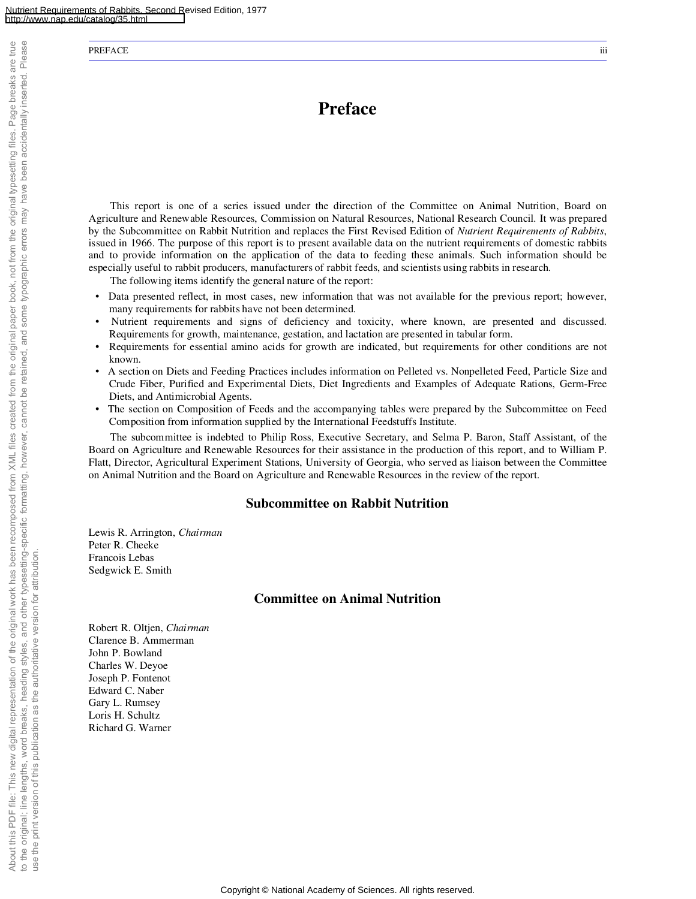#### PREFACE iii

# **Preface**

This report is one of a series issued under the direction of the Committee on Animal Nutrition, Board on Agriculture and Renewable Resources, Commission on Natural Resources, National Research Council. It was prepared by the Subcommittee on Rabbit Nutrition and replaces the First Revised Edition of *Nutrient Requirements of Rabbits*, issued in 1966. The purpose of this report is to present available data on the nutrient requirements of domestic rabbits and to provide information on the application of the data to feeding these animals. Such information should be especially useful to rabbit producers, manufacturers of rabbit feeds, and scientists using rabbits in research.

The following items identify the general nature of the report:

- Data presented reflect, in most cases, new information that was not available for the previous report; however, many requirements for rabbits have not been determined.
- Nutrient requirements and signs of deficiency and toxicity, where known, are presented and discussed. Requirements for growth, maintenance, gestation, and lactation are presented in tabular form.
- Requirements for essential amino acids for growth are indicated, but requirements for other conditions are not known.
- A section on Diets and Feeding Practices includes information on Pelleted vs. Nonpelleted Feed, Particle Size and Crude Fiber, Purified and Experimental Diets, Diet Ingredients and Examples of Adequate Rations, Germ-Free Diets, and Antimicrobial Agents.
- The section on Composition of Feeds and the accompanying tables were prepared by the Subcommittee on Feed Composition from information supplied by the International Feedstuffs Institute.

The subcommittee is indebted to Philip Ross, Executive Secretary, and Selma P. Baron, Staff Assistant, of the Board on Agriculture and Renewable Resources for their assistance in the production of this report, and to William P. Flatt, Director, Agricultural Experiment Stations, University of Georgia, who served as liaison between the Committee on Animal Nutrition and the Board on Agriculture and Renewable Resources in the review of the report.

# **Subcommittee on Rabbit Nutrition**

Lewis R. Arrington, *Chairman*  Peter R. Cheeke Francois Lebas Sedgwick E. Smith

# **Committee on Animal Nutrition**

Robert R. Oltjen, *Chairman*  Clarence B. Ammerman John P. Bowland Charles W. Deyoe Joseph P. Fontenot Edward C. Naber Gary L. Rumsey Loris H. Schultz Richard G. Warner

use the print version of this publication as the authoritative version for attribution.

use the print version of this publication as the original; line lengths, word

 $\approx$ 

the authoritative

les,

heading styl

breaks,

version for attribution

to the original; line lengths, word breaks, heading styles, and other typesetting-specific formatting, however, cannot be retained, and some typographic errors may have been accidentally inserted. Please

true Please are

errors may have been accidentally inserted.

typographic

and some

retained,

cannot be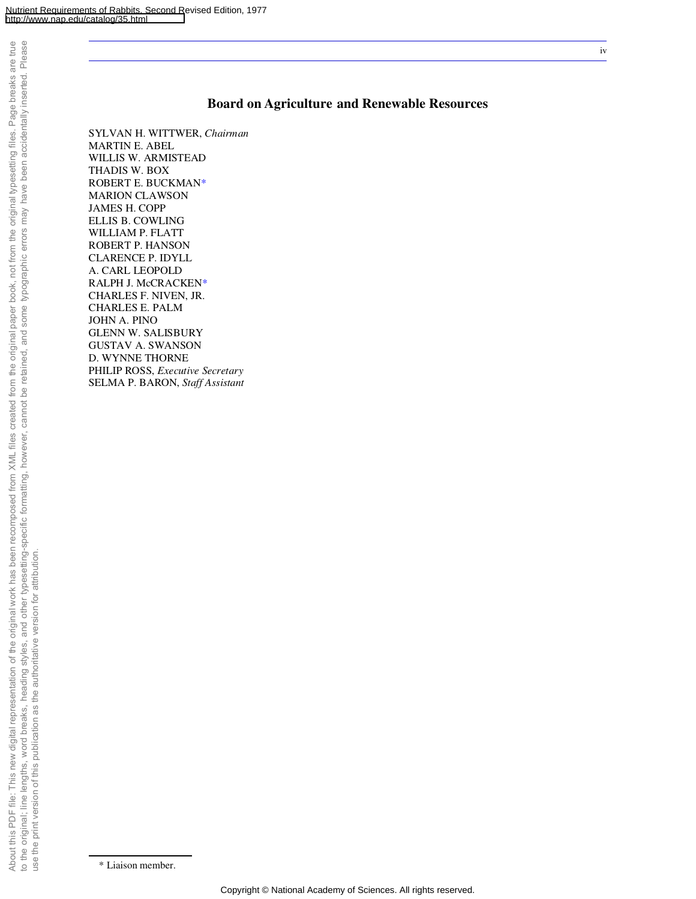# **Board on Agriculture and Renewable Resources**

iv

SYLVAN H. WITTWER, *Chairman*  MARTIN E. ABEL WILLIS W. ARMISTEAD THADIS W. BOX ROBERT E. BUCKMAN\* MARION CLAWSON JAMES H. COPP ELLIS B. COWLING WILLIAM P. FLATT ROBERT P. HANSON CLARENCE P. IDYLL A. CARL LEOPOLD RALPH J. McCRACKEN\* CHARLES F. NIVEN, JR. CHARLES E. PALM JOHN A. PINO GLENN W. SALISBURY GUSTAV A. SWANSON D. WYNNE THORNE PHILIP ROSS, *Executive Secretary*  SELMA P. BARON, *Staff Assistant* 

About this PDF file: This new digital representation of the original

About this PDF file: This new digital representation of<br>to the original; line lengths, word breaks, heading styl print version of this publication as

use the print version of this publication as the authoritative version for attribution.

the use<sup>-</sup>

the authoritative version for attribution

heading styles,

work has been recomposed from X

the original work has been recomposed from XML<br>les, and other typesetting-specific formatting, how

to the original; line lengths, word breaks, heading styles, and other typesetting-specific formatting, however, cannot be retained, and some typographic errors may have been accidentally inserted. Please

files o however,

ML files created from the original paper book, not from the original typesetting files. Page breaks are true

created from the original paper book, not from the original typesetting files. Page breaks are true<br>cannot be retained, and some typographic errors may have been accidentally inserted. Please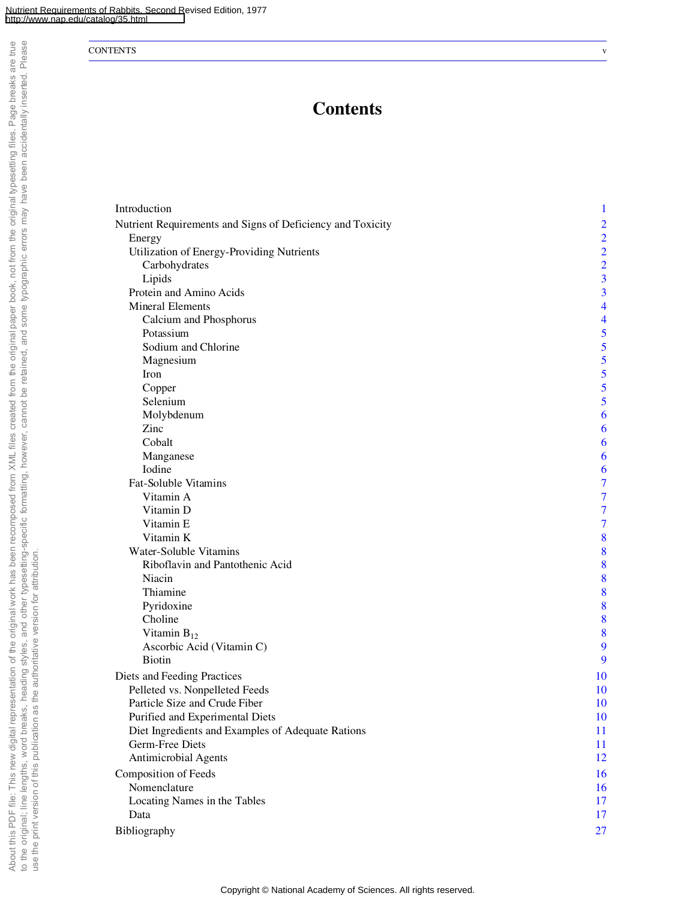#### CONTENTS v

# **Contents**

| Introduction                                               | $\mathbf{1}$                                    |
|------------------------------------------------------------|-------------------------------------------------|
| Nutrient Requirements and Signs of Deficiency and Toxicity | $\overline{c}$                                  |
| Energy                                                     |                                                 |
| Utilization of Energy-Providing Nutrients                  | $\begin{array}{c} 2 \\ 2 \\ 2 \\ 3 \end{array}$ |
| Carbohydrates                                              |                                                 |
| Lipids                                                     |                                                 |
| Protein and Amino Acids                                    | $\overline{3}$                                  |
| <b>Mineral Elements</b>                                    | $\overline{4}$                                  |
| Calcium and Phosphorus                                     | $\overline{4}$                                  |
| Potassium                                                  | $555$<br>$555$                                  |
| Sodium and Chlorine                                        |                                                 |
| Magnesium                                                  |                                                 |
| Iron                                                       |                                                 |
| Copper                                                     |                                                 |
| Selenium                                                   |                                                 |
| Molybdenum                                                 | 6                                               |
| Zinc                                                       | 6                                               |
| Cobalt                                                     | 6                                               |
| Manganese                                                  | 6                                               |
| Iodine                                                     | 6                                               |
| Fat-Soluble Vitamins                                       | $\overline{7}$                                  |
| Vitamin A                                                  | $\overline{7}$                                  |
| Vitamin D                                                  | $\overline{7}$                                  |
| Vitamin E                                                  | $\overline{7}$                                  |
| Vitamin K                                                  | 8                                               |
| Water-Soluble Vitamins                                     | 8                                               |
| Riboflavin and Pantothenic Acid                            | 8                                               |
| Niacin                                                     | 8                                               |
| Thiamine                                                   | 8                                               |
| Pyridoxine                                                 | 8                                               |
| Choline                                                    | 8                                               |
| Vitamin $B_{12}$                                           | 8                                               |
| Ascorbic Acid (Vitamin C)                                  | 9                                               |
| Biotin                                                     | 9                                               |
| Diets and Feeding Practices                                | 10                                              |
| Pelleted vs. Nonpelleted Feeds                             | 10                                              |
| Particle Size and Crude Fiber                              | 10                                              |
| Purified and Experimental Diets                            | 10                                              |
| Diet Ingredients and Examples of Adequate Rations          | 11                                              |
| Germ-Free Diets                                            | 11                                              |
| Antimicrobial Agents                                       | 12                                              |
| <b>Composition of Feeds</b>                                | 16                                              |
| Nomenclature                                               | 16                                              |
| Locating Names in the Tables                               | 17                                              |
| Data                                                       | 17                                              |
| Bibliography                                               | 27                                              |
|                                                            |                                                 |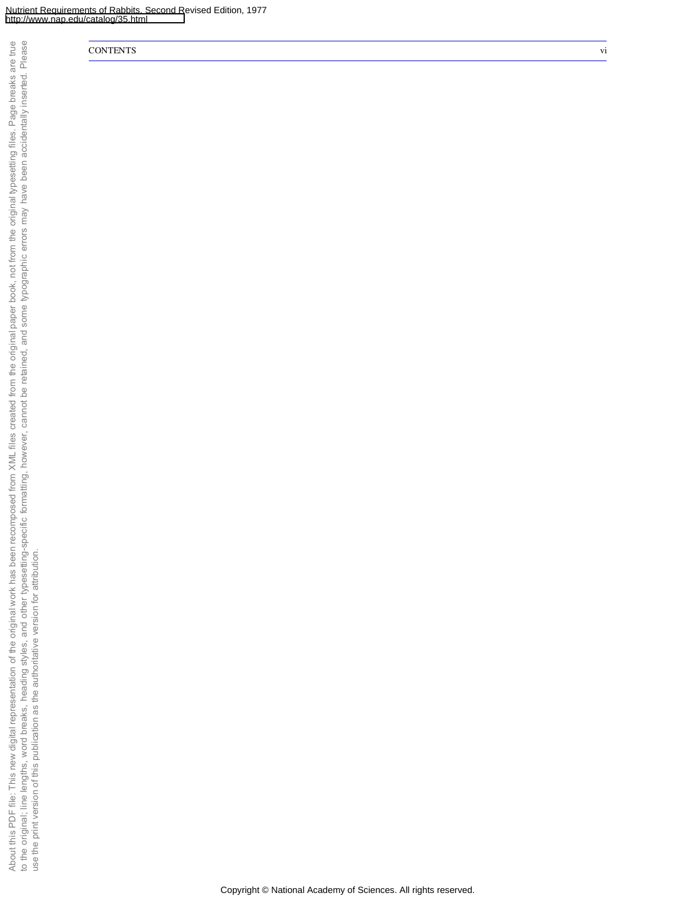CONTENTS vi

About this PDF file: This new digital representation of the original work has been recomposed from XML files created from the original baper book, not from the original typesetting files. Page breaks are true to the original; line lengths, word breaks, heading styles, and other typesetting-specific formatting, however, cannot be retained, and some typographic errors may have been accidentally inserted. Please

About this PDF file: This new digital representation of the original work has been recomposed from XML files created from the original pook, not from the original typesetting files. Page breaks are true<br>to the original; li

use the print version of this publication as the authoritative version for attribution.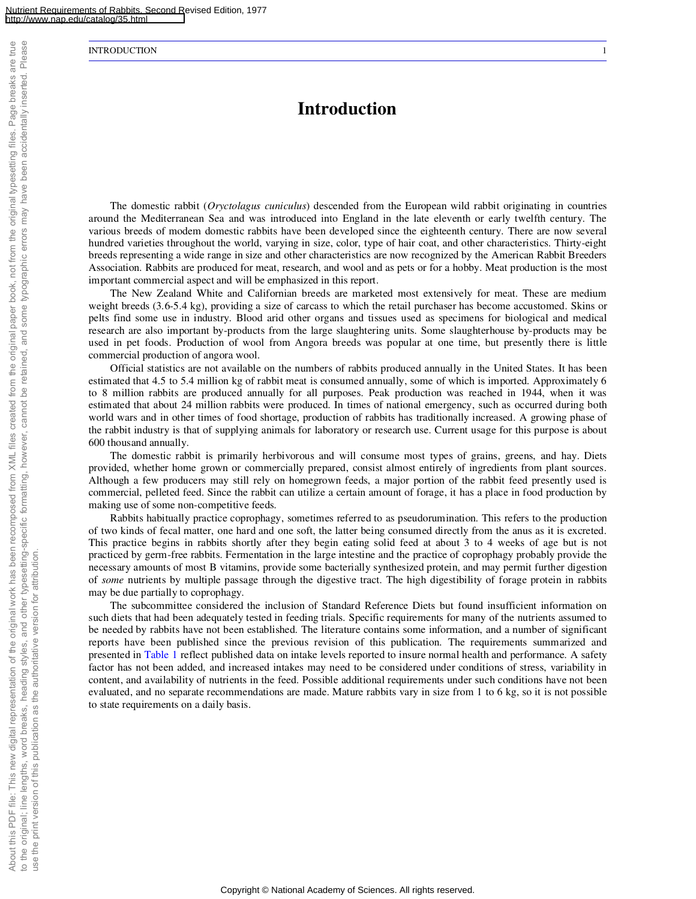#### INTRODUCTION 2

# **Introduction**

The domestic rabbit (*Oryctolagus cuniculus*) descended from the European wild rabbit originating in countries around the Mediterranean Sea and was introduced into England in the late eleventh or early twelfth century. The various breeds of modem domestic rabbits have been developed since the eighteenth century. There are now several hundred varieties throughout the world, varying in size, color, type of hair coat, and other characteristics. Thirty-eight breeds representing a wide range in size and other characteristics are now recognized by the American Rabbit Breeders Association. Rabbits are produced for meat, research, and wool and as pets or for a hobby. Meat production is the most important commercial aspect and will be emphasized in this report.

The New Zealand White and Californian breeds are marketed most extensively for meat. These are medium weight breeds (3.6-5.4 kg), providing a size of carcass to which the retail purchaser has become accustomed. Skins or pelts find some use in industry. Blood arid other organs and tissues used as specimens for biological and medical research are also important by-products from the large slaughtering units. Some slaughterhouse by-products may be used in pet foods. Production of wool from Angora breeds was popular at one time, but presently there is little commercial production of angora wool.

Official statistics are not available on the numbers of rabbits produced annually in the United States. It has been estimated that 4.5 to 5.4 million kg of rabbit meat is consumed annually, some of which is imported. Approximately 6 to 8 million rabbits are produced annually for all purposes. Peak production was reached in 1944, when it was estimated that about 24 million rabbits were produced. In times of national emergency, such as occurred during both world wars and in other times of food shortage, production of rabbits has traditionally increased. A growing phase of the rabbit industry is that of supplying animals for laboratory or research use. Current usage for this purpose is about 600 thousand annually.

The domestic rabbit is primarily herbivorous and will consume most types of grains, greens, and hay. Diets provided, whether home grown or commercially prepared, consist almost entirely of ingredients from plant sources. Although a few producers may still rely on homegrown feeds, a major portion of the rabbit feed presently used is commercial, pelleted feed. Since the rabbit can utilize a certain amount of forage, it has a place in food production by making use of some non-competitive feeds.

Rabbits habitually practice coprophagy, sometimes referred to as pseudorumination. This refers to the production of two kinds of fecal matter, one hard and one soft, the latter being consumed directly from the anus as it is excreted. This practice begins in rabbits shortly after they begin eating solid feed at about 3 to 4 weeks of age but is not practiced by germ-free rabbits. Fermentation in the large intestine and the practice of coprophagy probably provide the necessary amounts of most B vitamins, provide some bacterially synthesized protein, and may permit further digestion of *some* nutrients by multiple passage through the digestive tract. The high digestibility of forage protein in rabbits may be due partially to coprophagy.

The subcommittee considered the inclusion of Standard Reference Diets but found insufficient information on such diets that had been adequately tested in feeding trials. Specific requirements for many of the nutrients assumed to be needed by rabbits have not been established. The literature contains some information, and a number of significant reports have been published since the previous revision of this publication. The requirements summarized and presented in Table 1 reflect published data on intake levels reported to insure normal health and performance. A safety factor has not been added, and increased intakes may need to be considered under conditions of stress, variability in content, and availability of nutrients in the feed. Possible additional requirements under such conditions have not been evaluated, and no separate recommendations are made. Mature rabbits vary in size from 1 to 6 kg, so it is not possible to state requirements on a daily basis.

 $\approx$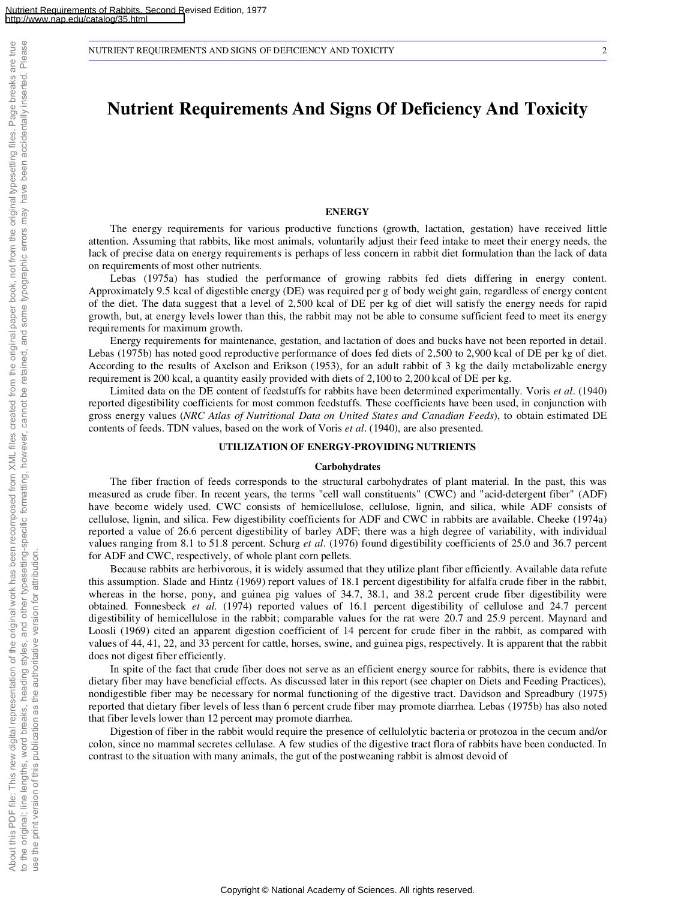# **Nutrient Requirements And Signs Of Deficiency And Toxicity**

# **ENERGY**

The energy requirements for various productive functions (growth, lactation, gestation) have received little attention. Assuming that rabbits, like most animals, voluntarily adjust their feed intake to meet their energy needs, the lack of precise data on energy requirements is perhaps of less concern in rabbit diet formulation than the lack of data on requirements of most other nutrients.

Lebas (1975a) has studied the performance of growing rabbits fed diets differing in energy content. Approximately 9.5 kcal of digestible energy (DE) was required per g of body weight gain, regardless of energy content of the diet. The data suggest that a level of 2,500 kcal of DE per kg of diet will satisfy the energy needs for rapid growth, but, at energy levels lower than this, the rabbit may not be able to consume sufficient feed to meet its energy requirements for maximum growth.

Energy requirements for maintenance, gestation, and lactation of does and bucks have not been reported in detail. Lebas (1975b) has noted good reproductive performance of does fed diets of 2,500 to 2,900 kcal of DE per kg of diet. According to the results of Axelson and Erikson (1953), for an adult rabbit of 3 kg the daily metabolizable energy requirement is 200 kcal, a quantity easily provided with diets of 2,100 to 2,200 kcal of DE per kg.

Limited data on the DE content of feedstuffs for rabbits have been determined experimentally. Voris *et al*. (1940) reported digestibility coefficients for most common feedstuffs. These coefficients have been used, in conjunction with gross energy values (*NRC Atlas of Nutritional Data on United States and Canadian Feeds*), to obtain estimated DE contents of feeds. TDN values, based on the work of Voris *et al*. (1940), are also presented.

### **UTILIZATION OF ENERGY-PROVIDING NUTRIENTS**

# **Carbohydrates**

The fiber fraction of feeds corresponds to the structural carbohydrates of plant material. In the past, this was measured as crude fiber. In recent years, the terms "cell wall constituents" (CWC) and "acid-detergent fiber" (ADF) have become widely used. CWC consists of hemicellulose, cellulose, lignin, and silica, while ADF consists of cellulose, lignin, and silica. Few digestibility coefficients for ADF and CWC in rabbits are available. Cheeke (1974a) reported a value of 26.6 percent digestibility of barley ADF; there was a high degree of variability, with individual values ranging from 8.1 to 51.8 percent. Schurg *et al*. (1976) found digestibility coefficients of 25.0 and 36.7 percent for ADF and CWC, respectively, of whole plant corn pellets.

Because rabbits are herbivorous, it is widely assumed that they utilize plant fiber efficiently. Available data refute this assumption. Slade and Hintz (1969) report values of 18.1 percent digestibility for alfalfa crude fiber in the rabbit, whereas in the horse, pony, and guinea pig values of 34.7, 38.1, and 38.2 percent crude fiber digestibility were obtained. Fonnesbeck *et al*. (1974) reported values of 16.1 percent digestibility of cellulose and 24.7 percent digestibility of hemicellulose in the rabbit; comparable values for the rat were 20.7 and 25.9 percent. Maynard and Loosli (1969) cited an apparent digestion coefficient of 14 percent for crude fiber in the rabbit, as compared with values of 44, 41, 22, and 33 percent for cattle, horses, swine, and guinea pigs, respectively. It is apparent that the rabbit does not digest fiber efficiently.

In spite of the fact that crude fiber does not serve as an efficient energy source for rabbits, there is evidence that dietary fiber may have beneficial effects. As discussed later in this report (see chapter on Diets and Feeding Practices), nondigestible fiber may be necessary for normal functioning of the digestive tract. Davidson and Spreadbury (1975) reported that dietary fiber levels of less than 6 percent crude fiber may promote diarrhea. Lebas (1975b) has also noted that fiber levels lower than 12 percent may promote diarrhea.

Digestion of fiber in the rabbit would require the presence of cellulolytic bacteria or protozoa in the cecum and/or colon, since no mammal secretes cellulase. A few studies of the digestive tract flora of rabbits have been conducted. In contrast to the situation with many animals, the gut of the postweaning rabbit is almost devoid of

true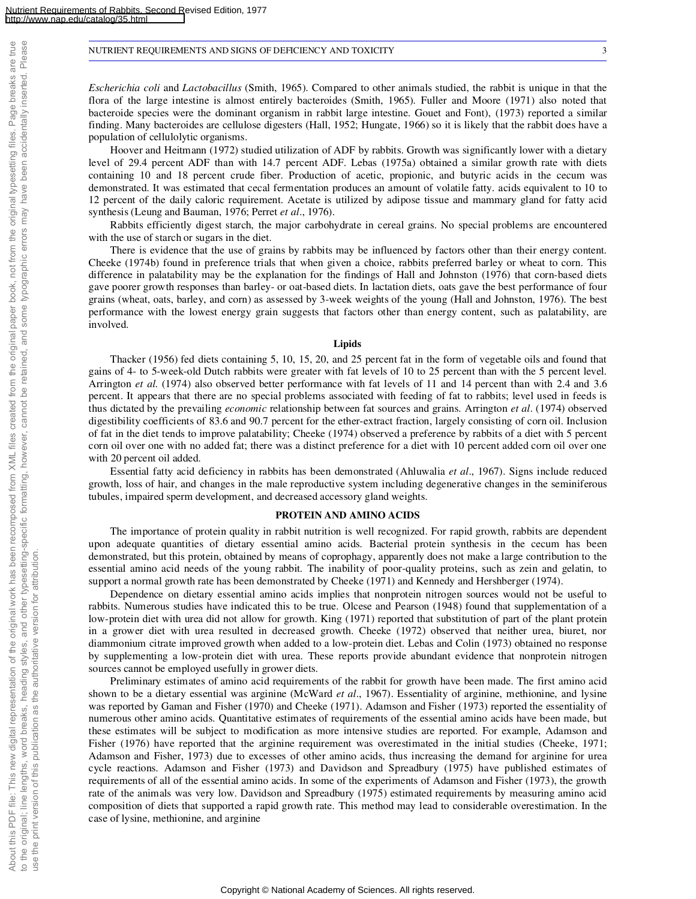*Escherichia coli* and *Lactobacillus* (Smith, 1965). Compared to other animals studied, the rabbit is unique in that the flora of the large intestine is almost entirely bacteroides (Smith, 1965). Fuller and Moore (1971) also noted that bacteroide species were the dominant organism in rabbit large intestine. Gouet and Font), (1973) reported a similar finding. Many bacteroides are cellulose digesters (Hall, 1952; Hungate, 1966) so it is likely that the rabbit does have a population of cellulolytic organisms.

Hoover and Heitmann (1972) studied utilization of ADF by rabbits. Growth was significantly lower with a dietary level of 29.4 percent ADF than with 14.7 percent ADF. Lebas (1975a) obtained a similar growth rate with diets containing 10 and 18 percent crude fiber. Production of acetic, propionic, and butyric acids in the cecum was demonstrated. It was estimated that cecal fermentation produces an amount of volatile fatty. acids equivalent to 10 to 12 percent of the daily caloric requirement. Acetate is utilized by adipose tissue and mammary gland for fatty acid synthesis (Leung and Bauman, 1976; Perret *et al*., 1976).

Rabbits efficiently digest starch, the major carbohydrate in cereal grains. No special problems are encountered with the use of starch or sugars in the diet.

There is evidence that the use of grains by rabbits may be influenced by factors other than their energy content. Cheeke (1974b) found in preference trials that when given a choice, rabbits preferred barley or wheat to corn. This difference in palatability may be the explanation for the findings of Hall and Johnston (1976) that corn-based diets gave poorer growth responses than barley- or oat-based diets. In lactation diets, oats gave the best performance of four grains (wheat, oats, barley, and corn) as assessed by 3-week weights of the young (Hall and Johnston, 1976). The best performance with the lowest energy grain suggests that factors other than energy content, such as palatability, are involved.

# **Lipids**

Thacker (1956) fed diets containing 5, 10, 15, 20, and 25 percent fat in the form of vegetable oils and found that gains of 4- to 5-week-old Dutch rabbits were greater with fat levels of 10 to 25 percent than with the 5 percent level. Arrington *et al*. (1974) also observed better performance with fat levels of 11 and 14 percent than with 2.4 and 3.6 percent. It appears that there are no special problems associated with feeding of fat to rabbits; level used in feeds is thus dictated by the prevailing *economic* relationship between fat sources and grains. Arrington *et al*. (1974) observed digestibility coefficients of 83.6 and 90.7 percent for the ether-extract fraction, largely consisting of corn oil. Inclusion of fat in the diet tends to improve palatability; Cheeke (1974) observed a preference by rabbits of a diet with 5 percent corn oil over one with no added fat; there was a distinct preference for a diet with 10 percent added corn oil over one with 20 percent oil added.

Essential fatty acid deficiency in rabbits has been demonstrated (Ahluwalia *et al*., 1967). Signs include reduced growth, loss of hair, and changes in the male reproductive system including degenerative changes in the seminiferous tubules, impaired sperm development, and decreased accessory gland weights.

# **PROTEIN AND AMINO ACIDS**

The importance of protein quality in rabbit nutrition is well recognized. For rapid growth, rabbits are dependent upon adequate quantities of dietary essential amino acids. Bacterial protein synthesis in the cecum has been demonstrated, but this protein, obtained by means of coprophagy, apparently does not make a large contribution to the essential amino acid needs of the young rabbit. The inability of poor-quality proteins, such as zein and gelatin, to support a normal growth rate has been demonstrated by Cheeke (1971) and Kennedy and Hershberger (1974).

Dependence on dietary essential amino acids implies that nonprotein nitrogen sources would not be useful to rabbits. Numerous studies have indicated this to be true. Olcese and Pearson (1948) found that supplementation of a low-protein diet with urea did not allow for growth. King (1971) reported that substitution of part of the plant protein in a grower diet with urea resulted in decreased growth. Cheeke (1972) observed that neither urea, biuret, nor diammonium citrate improved growth when added to a low-protein diet. Lebas and Colin (1973) obtained no response by supplementing a low-protein diet with urea. These reports provide abundant evidence that nonprotein nitrogen sources cannot be employed usefully in grower diets.

Preliminary estimates of amino acid requirements of the rabbit for growth have been made. The first amino acid shown to be a dietary essential was arginine (McWard *et al*., 1967). Essentiality of arginine, methionine, and lysine was reported by Gaman and Fisher (1970) and Cheeke (1971). Adamson and Fisher (1973) reported the essentiality of numerous other amino acids. Quantitative estimates of requirements of the essential amino acids have been made, but these estimates will be subject to modification as more intensive studies are reported. For example, Adamson and Fisher (1976) have reported that the arginine requirement was overestimated in the initial studies (Cheeke, 1971; Adamson and Fisher, 1973) due to excesses of other amino acids, thus increasing the demand for arginine for urea cycle reactions. Adamson and Fisher (1973) and Davidson and Spreadbury (1975) have published estimates of requirements of all of the essential amino acids. In some of the experiments of Adamson and Fisher (1973), the growth rate of the animals was very low. Davidson and Spreadbury (1975) estimated requirements by measuring amino acid composition of diets that supported a rapid growth rate. This method may lead to considerable overestimation. In the case of lysine, methionine, and arginine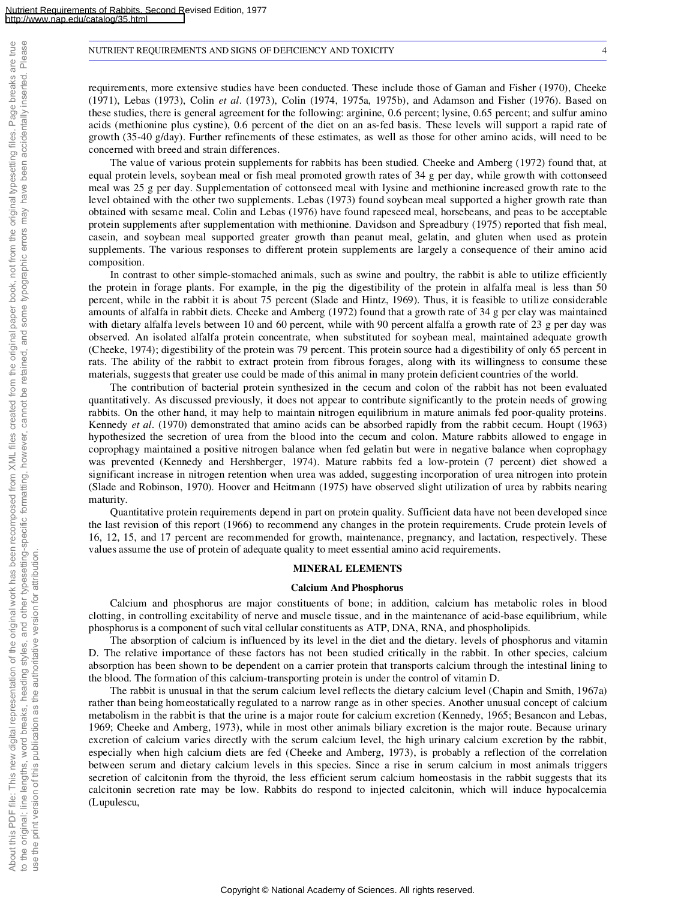requirements, more extensive studies have been conducted. These include those of Gaman and Fisher (1970), Cheeke (1971), Lebas (1973), Colin *et al*. (1973), Colin (1974, 1975a, 1975b), and Adamson and Fisher (1976). Based on these studies, there is general agreement for the following: arginine, 0.6 percent; lysine, 0.65 percent; and sulfur amino acids (methionine plus cystine), 0.6 percent of the diet on an as-fed basis. These levels will support a rapid rate of growth (35-40 g/day). Further refinements of these estimates, as well as those for other amino acids, will need to be concerned with breed and strain differences.

The value of various protein supplements for rabbits has been studied. Cheeke and Amberg (1972) found that, at equal protein levels, soybean meal or fish meal promoted growth rates of 34 g per day, while growth with cottonseed meal was 25 g per day. Supplementation of cottonseed meal with lysine and methionine increased growth rate to the level obtained with the other two supplements. Lebas (1973) found soybean meal supported a higher growth rate than obtained with sesame meal. Colin and Lebas (1976) have found rapeseed meal, horsebeans, and peas to be acceptable protein supplements after supplementation with methionine. Davidson and Spreadbury (1975) reported that fish meal, casein, and soybean meal supported greater growth than peanut meal, gelatin, and gluten when used as protein supplements. The various responses to different protein supplements are largely a consequence of their amino acid composition.

In contrast to other simple-stomached animals, such as swine and poultry, the rabbit is able to utilize efficiently the protein in forage plants. For example, in the pig the digestibility of the protein in alfalfa meal is less than 50 percent, while in the rabbit it is about 75 percent (Slade and Hintz, 1969). Thus, it is feasible to utilize considerable amounts of alfalfa in rabbit diets. Cheeke and Amberg (1972) found that a growth rate of 34 g per clay was maintained with dietary alfalfa levels between 10 and 60 percent, while with 90 percent alfalfa a growth rate of 23 g per day was observed. An isolated alfalfa protein concentrate, when substituted for soybean meal, maintained adequate growth (Cheeke, 1974); digestibility of the protein was 79 percent. This protein source had a digestibility of only 65 percent in rats. The ability of the rabbit to extract protein from fibrous forages, along with its willingness to consume these materials, suggests that greater use could be made of this animal in many protein deficient countries of the world.

The contribution of bacterial protein synthesized in the cecum and colon of the rabbit has not been evaluated quantitatively. As discussed previously, it does not appear to contribute significantly to the protein needs of growing rabbits. On the other hand, it may help to maintain nitrogen equilibrium in mature animals fed poor-quality proteins. Kennedy *et al*. (1970) demonstrated that amino acids can be absorbed rapidly from the rabbit cecum. Houpt (1963) hypothesized the secretion of urea from the blood into the cecum and colon. Mature rabbits allowed to engage in coprophagy maintained a positive nitrogen balance when fed gelatin but were in negative balance when coprophagy was prevented (Kennedy and Hershberger, 1974). Mature rabbits fed a low-protein (7 percent) diet showed a significant increase in nitrogen retention when urea was added, suggesting incorporation of urea nitrogen into protein (Slade and Robinson, 1970). Hoover and Heitmann (1975) have observed slight utilization of urea by rabbits nearing maturity.

Quantitative protein requirements depend in part on protein quality. Sufficient data have not been developed since the last revision of this report (1966) to recommend any changes in the protein requirements. Crude protein levels of 16, 12, 15, and 17 percent are recommended for growth, maintenance, pregnancy, and lactation, respectively. These values assume the use of protein of adequate quality to meet essential amino acid requirements.

# **MINERAL ELEMENTS**

#### **Calcium And Phosphorus**

Calcium and phosphorus are major constituents of bone; in addition, calcium has metabolic roles in blood clotting, in controlling excitability of nerve and muscle tissue, and in the maintenance of acid-base equilibrium, while phosphorus is a component of such vital cellular constituents as ATP, DNA, RNA, and phospholipids.

The absorption of calcium is influenced by its level in the diet and the dietary. levels of phosphorus and vitamin D. The relative importance of these factors has not been studied critically in the rabbit. In other species, calcium absorption has been shown to be dependent on a carrier protein that transports calcium through the intestinal lining to the blood. The formation of this calcium-transporting protein is under the control of vitamin D.

The rabbit is unusual in that the serum calcium level reflects the dietary calcium level (Chapin and Smith, 1967a) rather than being homeostatically regulated to a narrow range as in other species. Another unusual concept of calcium metabolism in the rabbit is that the urine is a major route for calcium excretion (Kennedy, 1965; Besancon and Lebas, 1969; Cheeke and Amberg, 1973), while in most other animals biliary excretion is the major route. Because urinary excretion of calcium varies directly with the serum calcium level, the high urinary calcium excretion by the rabbit, especially when high calcium diets are fed (Cheeke and Amberg, 1973), is probably a reflection of the correlation between serum and dietary calcium levels in this species. Since a rise in serum calcium in most animals triggers secretion of calcitonin from the thyroid, the less efficient serum calcium homeostasis in the rabbit suggests that its calcitonin secretion rate may be low. Rabbits do respond to injected calcitonin, which will induce hypocalcemia (Lupulescu,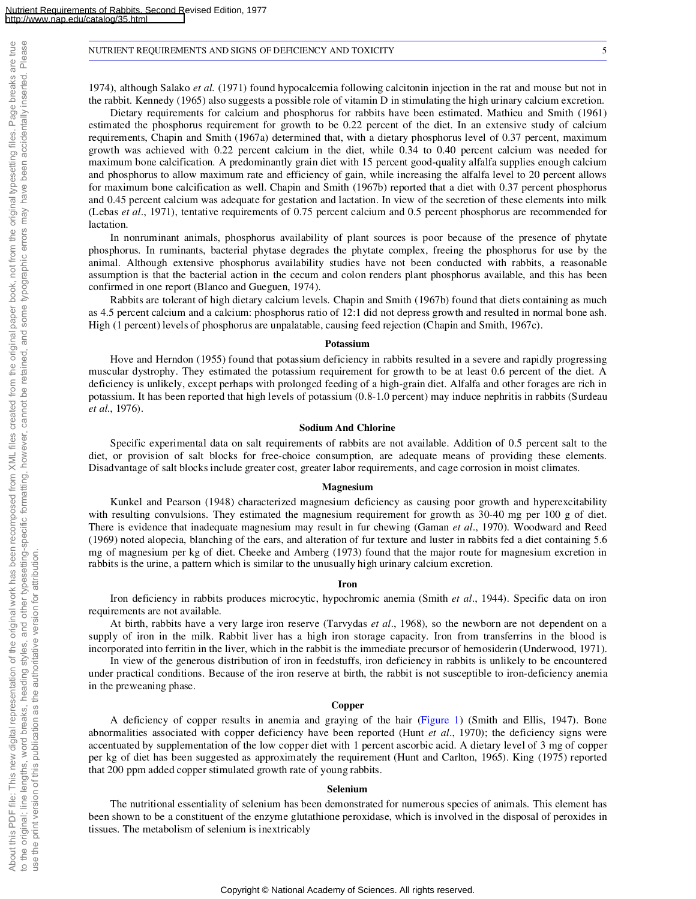About this PDF file: This new digital representation of the original work has been recomposed from XML files created from the original baper book, not from the original typesetting files. Page breaks are true to the original; line lengths, word breaks, heading styles, and other typesetting-specific formatting, however, cannot be retained, and some typographic errors may have been accidentally inserted. Please

from XML

been recomposed

original work has

the

This new digital representation of

the original; line lengths, word breaks, use the print version of this publication as t

 $\approx$ 

About this PDF file:

heading styles,

files

and other typesetting-specific formatting, however, cannot be retained,

created from the original paper

true Please are

Page breaks

errors may have been accidentally inserted.

and some typographic book,

not from the original typesetting files.

use the print version of this publication as the authoritative version for attribution.

the authoritative version for attribution

# NUTRIENT REQUIREMENTS AND SIGNS OF DEFICIENCY AND TOXICITY 5

1974), although Salako *et al*. (1971) found hypocalcemia following calcitonin injection in the rat and mouse but not in the rabbit. Kennedy (1965) also suggests a possible role of vitamin D in stimulating the high urinary calcium excretion.

Dietary requirements for calcium and phosphorus for rabbits have been estimated. Mathieu and Smith (1961) estimated the phosphorus requirement for growth to be 0.22 percent of the diet. In an extensive study of calcium requirements, Chapin and Smith (1967a) determined that, with a dietary phosphorus level of 0.37 percent, maximum growth was achieved with 0.22 percent calcium in the diet, while 0.34 to 0.40 percent calcium was needed for maximum bone calcification. A predominantly grain diet with 15 percent good-quality alfalfa supplies enough calcium and phosphorus to allow maximum rate and efficiency of gain, while increasing the alfalfa level to 20 percent allows for maximum bone calcification as well. Chapin and Smith (1967b) reported that a diet with 0.37 percent phosphorus and 0.45 percent calcium was adequate for gestation and lactation. In view of the secretion of these elements into milk (Lebas *et al*., 1971), tentative requirements of 0.75 percent calcium and 0.5 percent phosphorus are recommended for lactation.

In nonruminant animals, phosphorus availability of plant sources is poor because of the presence of phytate phosphorus. In ruminants, bacterial phytase degrades the phytate complex, freeing the phosphorus for use by the animal. Although extensive phosphorus availability studies have not been conducted with rabbits, a reasonable assumption is that the bacterial action in the cecum and colon renders plant phosphorus available, and this has been confirmed in one report (Blanco and Gueguen, 1974).

Rabbits are tolerant of high dietary calcium levels. Chapin and Smith (1967b) found that diets containing as much as 4.5 percent calcium and a calcium: phosphorus ratio of 12:1 did not depress growth and resulted in normal bone ash. High (1 percent) levels of phosphorus are unpalatable, causing feed rejection (Chapin and Smith, 1967c).

### **Potassium**

Hove and Herndon (1955) found that potassium deficiency in rabbits resulted in a severe and rapidly progressing muscular dystrophy. They estimated the potassium requirement for growth to be at least 0.6 percent of the diet. A deficiency is unlikely, except perhaps with prolonged feeding of a high-grain diet. Alfalfa and other forages are rich in potassium. It has been reported that high levels of potassium (0.8-1.0 percent) may induce nephritis in rabbits (Surdeau *et al*., 1976).

# **Sodium And Chlorine**

Specific experimental data on salt requirements of rabbits are not available. Addition of 0.5 percent salt to the diet, or provision of salt blocks for free-choice consumption, are adequate means of providing these elements. Disadvantage of salt blocks include greater cost, greater labor requirements, and cage corrosion in moist climates.

### **Magnesium**

Kunkel and Pearson (1948) characterized magnesium deficiency as causing poor growth and hyperexcitability with resulting convulsions. They estimated the magnesium requirement for growth as 30-40 mg per 100 g of diet. There is evidence that inadequate magnesium may result in fur chewing (Gaman *et al*., 1970). Woodward and Reed (1969) noted alopecia, blanching of the ears, and alteration of fur texture and luster in rabbits fed a diet containing 5.6 mg of magnesium per kg of diet. Cheeke and Amberg (1973) found that the major route for magnesium excretion in rabbits is the urine, a pattern which is similar to the unusually high urinary calcium excretion.

#### **Iron**

Iron deficiency in rabbits produces microcytic, hypochromic anemia (Smith *et al*., 1944). Specific data on iron requirements are not available.

At birth, rabbits have a very large iron reserve (Tarvydas *et al*., 1968), so the newborn are not dependent on a supply of iron in the milk. Rabbit liver has a high iron storage capacity. Iron from transferrins in the blood is incorporated into ferritin in the liver, which in the rabbit is the immediate precursor of hemosiderin (Underwood, 1971).

In view of the generous distribution of iron in feedstuffs, iron deficiency in rabbits is unlikely to be encountered under practical conditions. Because of the iron reserve at birth, the rabbit is not susceptible to iron-deficiency anemia in the preweaning phase.

#### **Copper**

A deficiency of copper results in anemia and graying of the hair (Figure 1) (Smith and Ellis, 1947). Bone abnormalities associated with copper deficiency have been reported (Hunt *et al*., 1970); the deficiency signs were accentuated by supplementation of the low copper diet with 1 percent ascorbic acid. A dietary level of 3 mg of copper per kg of diet has been suggested as approximately the requirement (Hunt and Carlton, 1965). King (1975) reported that 200 ppm added copper stimulated growth rate of young rabbits.

# **Selenium**

The nutritional essentiality of selenium has been demonstrated for numerous species of animals. This element has been shown to be a constituent of the enzyme glutathione peroxidase, which is involved in the disposal of peroxides in tissues. The metabolism of selenium is inextricably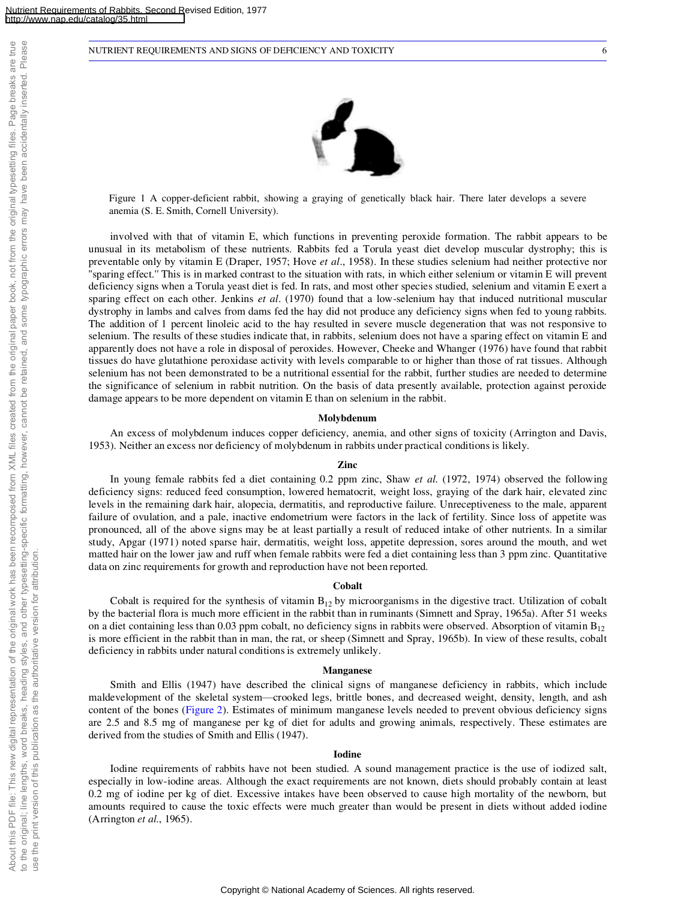

Figure 1 A copper-deficient rabbit, showing a graying of genetically black hair. There later develops a severe anemia (S. E. Smith, Cornell University).

involved with that of vitamin E, which functions in preventing peroxide formation. The rabbit appears to be unusual in its metabolism of these nutrients. Rabbits fed a Torula yeast diet develop muscular dystrophy; this is preventable only by vitamin E (Draper, 1957; Hove *et al*., 1958). In these studies selenium had neither protective nor ''sparing effect.'' This is in marked contrast to the situation with rats, in which either selenium or vitamin E will prevent deficiency signs when a Torula yeast diet is fed. In rats, and most other species studied, selenium and vitamin E exert a sparing effect on each other. Jenkins *et al*. (1970) found that a low-selenium hay that induced nutritional muscular dystrophy in lambs and calves from dams fed the hay did not produce any deficiency signs when fed to young rabbits. The addition of 1 percent linoleic acid to the hay resulted in severe muscle degeneration that was not responsive to selenium. The results of these studies indicate that, in rabbits, selenium does not have a sparing effect on vitamin E and apparently does not have a role in disposal of peroxides. However, Cheeke and Whanger (1976) have found that rabbit tissues do have glutathione peroxidase activity with levels comparable to or higher than those of rat tissues. Although selenium has not been demonstrated to be a nutritional essential for the rabbit, further studies are needed to determine the significance of selenium in rabbit nutrition. On the basis of data presently available, protection against peroxide damage appears to be more dependent on vitamin E than on selenium in the rabbit.

#### **Molybdenum**

An excess of molybdenum induces copper deficiency, anemia, and other signs of toxicity (Arrington and Davis, 1953). Neither an excess nor deficiency of molybdenum in rabbits under practical conditions is likely.

# **Zinc**

In young female rabbits fed a diet containing 0.2 ppm zinc, Shaw *et al*. (1972, 1974) observed the following deficiency signs: reduced feed consumption, lowered hematocrit, weight loss, graying of the dark hair, elevated zinc levels in the remaining dark hair, alopecia, dermatitis, and reproductive failure. Unreceptiveness to the male, apparent failure of ovulation, and a pale, inactive endometrium were factors in the lack of fertility. Since loss of appetite was pronounced, all of the above signs may be at least partially a result of reduced intake of other nutrients. In a similar study, Apgar (1971) noted sparse hair, dermatitis, weight loss, appetite depression, sores around the mouth, and wet matted hair on the lower jaw and ruff when female rabbits were fed a diet containing less than 3 ppm zinc. Quantitative data on zinc requirements for growth and reproduction have not been reported.

#### **Cobalt**

Cobalt is required for the synthesis of vitamin  $B_{12}$  by microorganisms in the digestive tract. Utilization of cobalt by the bacterial flora is much more efficient in the rabbit than in ruminants (Simnett and Spray, 1965a). After 51 weeks on a diet containing less than 0.03 ppm cobalt, no deficiency signs in rabbits were observed. Absorption of vitamin  $B_{12}$ is more efficient in the rabbit than in man, the rat, or sheep (Simnett and Spray, 1965b). In view of these results, cobalt deficiency in rabbits under natural conditions is extremely unlikely.

#### **Manganese**

Smith and Ellis (1947) have described the clinical signs of manganese deficiency in rabbits, which include maldevelopment of the skeletal system—crooked legs, brittle bones, and decreased weight, density, length, and ash content of the bones (Figure 2). Estimates of minimum manganese levels needed to prevent obvious deficiency signs are 2.5 and 8.5 mg of manganese per kg of diet for adults and growing animals, respectively. These estimates are derived from the studies of Smith and Ellis (1947).

### **Iodine**

Iodine requirements of rabbits have not been studied. A sound management practice is the use of iodized salt, especially in low-iodine areas. Although the exact requirements are not known, diets should probably contain at least 0.2 mg of iodine per kg of diet. Excessive intakes have been observed to cause high mortality of the newborn, but amounts required to cause the toxic effects were much greater than would be present in diets without added iodine (Arrington *et al*., 1965).

use the print version of this publication as the authoritative version for attribution.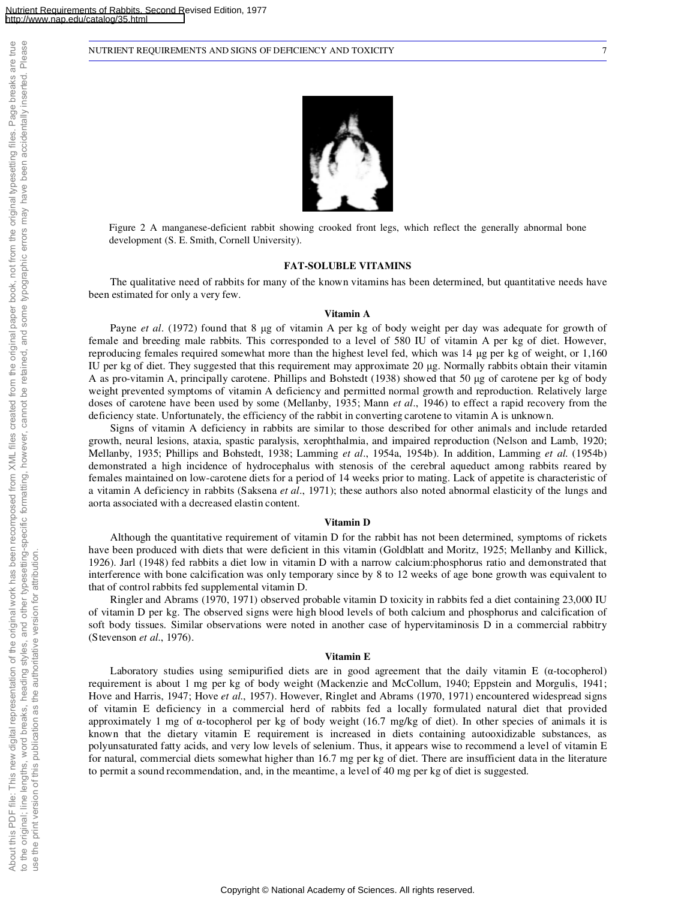

Figure 2 A manganese-deficient rabbit showing crooked front legs, which reflect the generally abnormal bone development (S. E. Smith, Cornell University).

# **FAT-SOLUBLE VITAMINS**

The qualitative need of rabbits for many of the known vitamins has been determined, but quantitative needs have been estimated for only a very few.

### **Vitamin A**

Payne *et al.* (1972) found that 8 µg of vitamin A per kg of body weight per day was adequate for growth of female and breeding male rabbits. This corresponded to a level of 580 IU of vitamin A per kg of diet. However, reproducing females required somewhat more than the highest level fed, which was 14 µg per kg of weight, or 1,160 IU per kg of diet. They suggested that this requirement may approximate 20 µg. Normally rabbits obtain their vitamin A as pro-vitamin A, principally carotene. Phillips and Bohstedt (1938) showed that 50 µg of carotene per kg of body weight prevented symptoms of vitamin A deficiency and permitted normal growth and reproduction. Relatively large doses of carotene have been used by some (Mellanby, 1935; Mann *et al*., 1946) to effect a rapid recovery from the deficiency state. Unfortunately, the efficiency of the rabbit in converting carotene to vitamin A is unknown.

Signs of vitamin A deficiency in rabbits are similar to those described for other animals and include retarded growth, neural lesions, ataxia, spastic paralysis, xerophthalmia, and impaired reproduction (Nelson and Lamb, 1920; Mellanby, 1935; Phillips and Bohstedt, 1938; Lamming *et al*., 1954a, 1954b). In addition, Lamming *et al*. (1954b) demonstrated a high incidence of hydrocephalus with stenosis of the cerebral aqueduct among rabbits reared by females maintained on low-carotene diets for a period of 14 weeks prior to mating. Lack of appetite is characteristic of a vitamin A deficiency in rabbits (Saksena *et al*., 1971); these authors also noted abnormal elasticity of the lungs and aorta associated with a decreased elastin content.

# **Vitamin D**

Although the quantitative requirement of vitamin D for the rabbit has not been determined, symptoms of rickets have been produced with diets that were deficient in this vitamin (Goldblatt and Moritz, 1925; Mellanby and Killick, 1926). Jarl (1948) fed rabbits a diet low in vitamin D with a narrow calcium:phosphorus ratio and demonstrated that interference with bone calcification was only temporary since by 8 to 12 weeks of age bone growth was equivalent to that of control rabbits fed supplemental vitamin D.

Ringler and Abrams (1970, 1971) observed probable vitamin D toxicity in rabbits fed a diet containing 23,000 IU of vitamin D per kg. The observed signs were high blood levels of both calcium and phosphorus and calcification of soft body tissues. Similar observations were noted in another case of hypervitaminosis D in a commercial rabbitry (Stevenson *et al*., 1976).

#### **Vitamin E**

Laboratory studies using semipurified diets are in good agreement that the daily vitamin E (α-tocopherol) requirement is about 1 mg per kg of body weight (Mackenzie and McCollum, 1940; Eppstein and Morgulis, 1941; Hove and Harris, 1947; Hove *et al*., 1957). However, Ringlet and Abrams (1970, 1971) encountered widespread signs of vitamin E deficiency in a commercial herd of rabbits fed a locally formulated natural diet that provided approximately 1 mg of α-tocopherol per kg of body weight (16.7 mg/kg of diet). In other species of animals it is known that the dietary vitamin E requirement is increased in diets containing autooxidizable substances, as polyunsaturated fatty acids, and very low levels of selenium. Thus, it appears wise to recommend a level of vitamin E for natural, commercial diets somewhat higher than 16.7 mg per kg of diet. There are insufficient data in the literature to permit a sound recommendation, and, in the meantime, a level of 40 mg per kg of diet is suggested.

true Please are

use the print version of this publication as the authoritative version for attribution.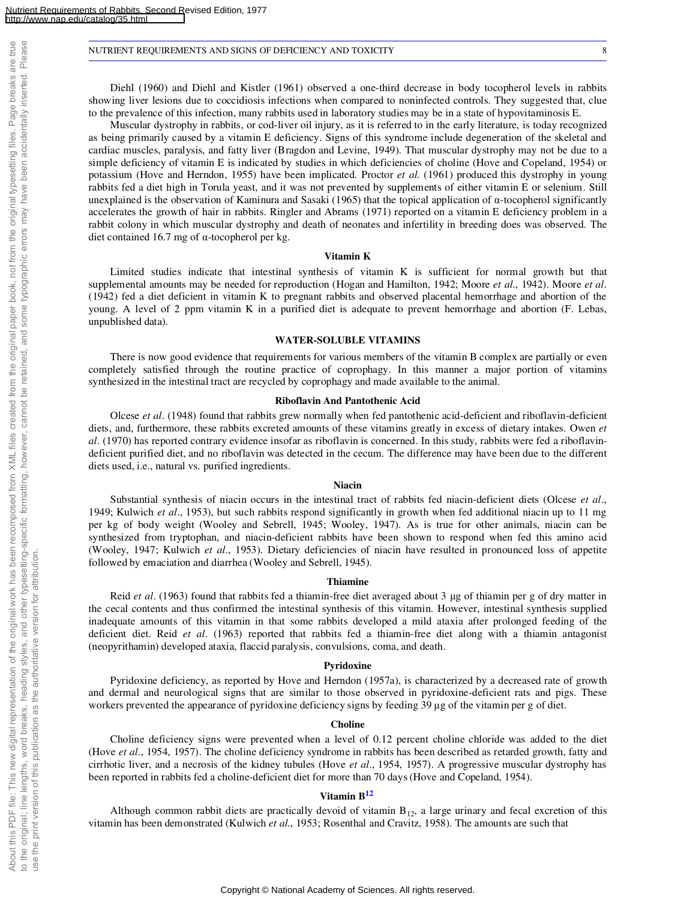Diehl (1960) and Diehl and Kistler (1961) observed a one-third decrease in body tocopherol levels in rabbits showing liver lesions due to coccidiosis infections when compared to noninfected controls. They suggested that, clue to the prevalence of this infection, many rabbits used in laboratory studies may be in a state of hypovitaminosis E.

Muscular dystrophy in rabbits, or cod-liver oil injury, as it is referred to in the early literature, is today recognized as being primarily caused by a vitamin E deficiency. Signs of this syndrome include degeneration of the skeletal and cardiac muscles, paralysis, and fatty liver (Bragdon and Levine, 1949). That muscular dystrophy may not be due to a simple deficiency of vitamin E is indicated by studies in which deficiencies of choline (Hove and Copeland, 1954) or potassium (Hove and Herndon, 1955) have been implicated. Proctor *et al*. (1961) produced this dystrophy in young rabbits fed a diet high in Torula yeast, and it was not prevented by supplements of either vitamin E or selenium. Still unexplained is the observation of Kaminura and Sasaki (1965) that the topical application of  $\alpha$ -tocopherol significantly accelerates the growth of hair in rabbits. Ringler and Abrams (1971) reported on a vitamin E deficiency problem in a rabbit colony in which muscular dystrophy and death of neonates and infertility in breeding does was observed. The diet contained 16.7 mg of α-tocopherol per kg.

# **Vitamin K**

Limited studies indicate that intestinal synthesis of vitamin K is sufficient for normal growth but that supplemental amounts may be needed for reproduction (Hogan and Hamilton, 1942; Moore *et al*., 1942). Moore *et al*. (1942) fed a diet deficient in vitamin K to pregnant rabbits and observed placental hemorrhage and abortion of the young. A level of 2 ppm vitamin K in a purified diet is adequate to prevent hemorrhage and abortion (F. Lebas, unpublished data).

# **WATER-SOLUBLE VITAMINS**

There is now good evidence that requirements for various members of the vitamin B complex are partially or even completely satisfied through the routine practice of coprophagy. In this manner a major portion of vitamins synthesized in the intestinal tract are recycled by coprophagy and made available to the animal.

# **Riboflavin And Pantothenic Acid**

Olcese *et al*. (1948) found that rabbits grew normally when fed pantothenic acid-deficient and riboflavin-deficient diets, and, furthermore, these rabbits excreted amounts of these vitamins greatly in excess of dietary intakes. Owen *et al*. (1970) has reported contrary evidence insofar as riboflavin is concerned. In this study, rabbits were fed a riboflavindeficient purified diet, and no riboflavin was detected in the cecum. The difference may have been due to the different diets used, i.e., natural vs. purified ingredients.

# **Niacin**

Substantial synthesis of niacin occurs in the intestinal tract of rabbits fed niacin-deficient diets (Olcese *et al*., 1949; Kulwich *et al*., 1953), but such rabbits respond significantly in growth when fed additional niacin up to 11 mg per kg of body weight (Wooley and Sebrell, 1945; Wooley, 1947). As is true for other animals, niacin can be synthesized from tryptophan, and niacin-deficient rabbits have been shown to respond when fed this amino acid (Wooley, 1947; Kulwich *et al*., 1953). Dietary deficiencies of niacin have resulted in pronounced loss of appetite followed by emaciation and diarrhea (Wooley and Sebrell, 1945).

# **Thiamine**

Reid *et al*. (1963) found that rabbits fed a thiamin-free diet averaged about 3 µg of thiamin per g of dry matter in the cecal contents and thus confirmed the intestinal synthesis of this vitamin. However, intestinal synthesis supplied inadequate amounts of this vitamin in that some rabbits developed a mild ataxia after prolonged feeding of the deficient diet. Reid *et al*. (1963) reported that rabbits fed a thiamin-free diet along with a thiamin antagonist (neopyrithamin) developed ataxia, flaccid paralysis, convulsions, coma, and death.

# **Pyridoxine**

Pyridoxine deficiency, as reported by Hove and Herndon (1957a), is characterized by a decreased rate of growth and dermal and neurological signs that are similar to those observed in pyridoxine-deficient rats and pigs. These workers prevented the appearance of pyridoxine deficiency signs by feeding 39 µg of the vitamin per g of diet.

#### **Choline**

Choline deficiency signs were prevented when a level of 0.12 percent choline chloride was added to the diet (Hove *et al*., 1954, 1957). The choline deficiency syndrome in rabbits has been described as retarded growth, fatty and cirrhotic liver, and a necrosis of the kidney tubules (Hove *et al*., 1954, 1957). A progressive muscular dystrophy has been reported in rabbits fed a choline-deficient diet for more than 70 days (Hove and Copeland, 1954).

# **Vitamin B<sup>12</sup>**

Although common rabbit diets are practically devoid of vitamin  $B_{12}$ , a large urinary and fecal excretion of this vitamin has been demonstrated (Kulwich *et al*., 1953; Rosenthal and Cravitz, 1958). The amounts are such that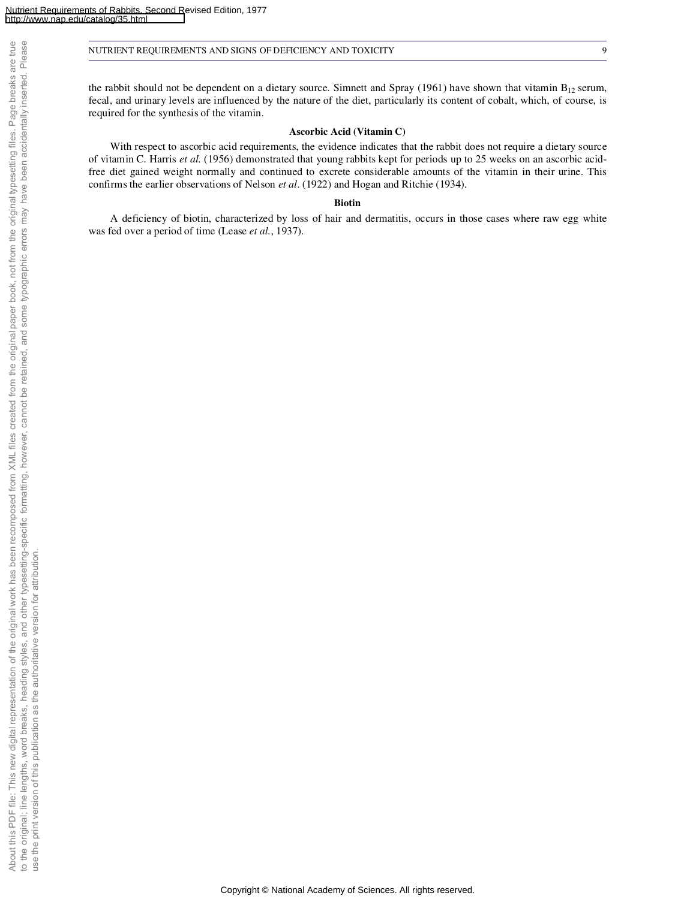the rabbit should not be dependent on a dietary source. Simnett and Spray (1961) have shown that vitamin  $B_{12}$  serum, fecal, and urinary levels are influenced by the nature of the diet, particularly its content of cobalt, which, of course, is required for the synthesis of the vitamin.

# **Ascorbic Acid (Vitamin C)**

With respect to ascorbic acid requirements, the evidence indicates that the rabbit does not require a dietary source of vitamin C. Harris *et al*. (1956) demonstrated that young rabbits kept for periods up to 25 weeks on an ascorbic acidfree diet gained weight normally and continued to excrete considerable amounts of the vitamin in their urine. This confirms the earlier observations of Nelson *et al*. (1922) and Hogan and Ritchie (1934).

# **Biotin**

A deficiency of biotin, characterized by loss of hair and dermatitis, occurs in those cases where raw egg white was fed over a period of time (Lease *et al.*, 1937).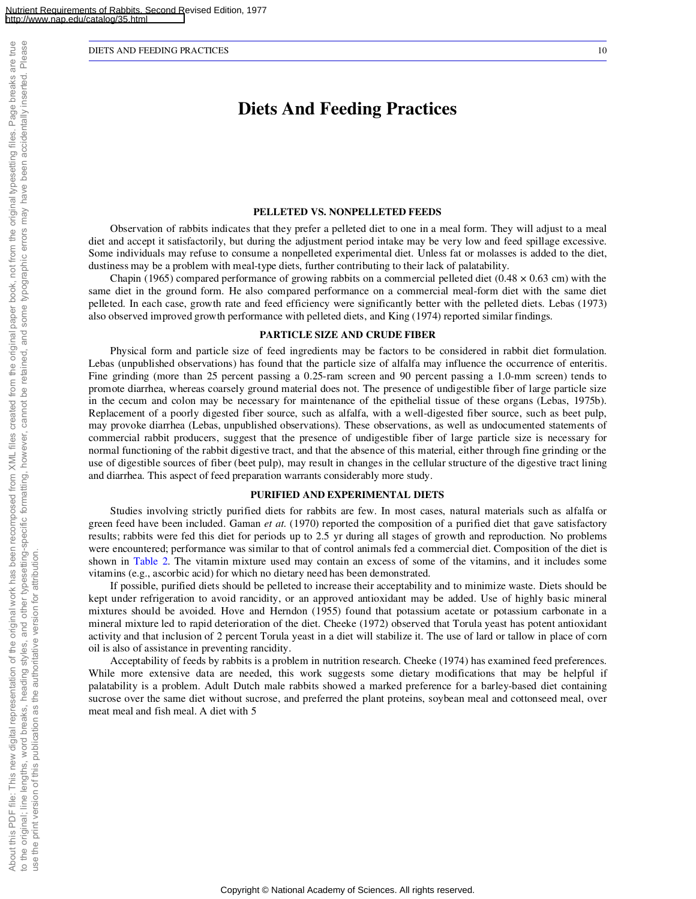# **Diets And Feeding Practices**

#### **PELLETED VS. NONPELLETED FEEDS**

Observation of rabbits indicates that they prefer a pelleted diet to one in a meal form. They will adjust to a meal diet and accept it satisfactorily, but during the adjustment period intake may be very low and feed spillage excessive. Some individuals may refuse to consume a nonpelleted experimental diet. Unless fat or molasses is added to the diet, dustiness may be a problem with meal-type diets, further contributing to their lack of palatability.

Chapin (1965) compared performance of growing rabbits on a commercial pelleted diet (0.48  $\times$  0.63 cm) with the same diet in the ground form. He also compared performance on a commercial meal-form diet with the same diet pelleted. In each case, growth rate and feed efficiency were significantly better with the pelleted diets. Lebas (1973) also observed improved growth performance with pelleted diets, and King (1974) reported similar findings.

### **PARTICLE SIZE AND CRUDE FIBER**

Physical form and particle size of feed ingredients may be factors to be considered in rabbit diet formulation. Lebas (unpublished observations) has found that the particle size of alfalfa may influence the occurrence of enteritis. Fine grinding (more than 25 percent passing a 0.25-ram screen and 90 percent passing a 1.0-mm screen) tends to promote diarrhea, whereas coarsely ground material does not. The presence of undigestible fiber of large particle size in the cecum and colon may be necessary for maintenance of the epithelial tissue of these organs (Lebas, 1975b). Replacement of a poorly digested fiber source, such as alfalfa, with a well-digested fiber source, such as beet pulp, may provoke diarrhea (Lebas, unpublished observations). These observations, as well as undocumented statements of commercial rabbit producers, suggest that the presence of undigestible fiber of large particle size is necessary for normal functioning of the rabbit digestive tract, and that the absence of this material, either through fine grinding or the use of digestible sources of fiber (beet pulp), may result in changes in the cellular structure of the digestive tract lining and diarrhea. This aspect of feed preparation warrants considerably more study.

# **PURIFIED AND EXPERIMENTAL DIETS**

Studies involving strictly purified diets for rabbits are few. In most cases, natural materials such as alfalfa or green feed have been included. Gaman *et at*. (1970) reported the composition of a purified diet that gave satisfactory results; rabbits were fed this diet for periods up to 2.5 yr during all stages of growth and reproduction. No problems were encountered; performance was similar to that of control animals fed a commercial diet. Composition of the diet is shown in Table 2. The vitamin mixture used may contain an excess of some of the vitamins, and it includes some vitamins (e.g., ascorbic acid) for which no dietary need has been demonstrated.

If possible, purified diets should be pelleted to increase their acceptability and to minimize waste. Diets should be kept under refrigeration to avoid rancidity, or an approved antioxidant may be added. Use of highly basic mineral mixtures should be avoided. Hove and Herndon (1955) found that potassium acetate or potassium carbonate in a mineral mixture led to rapid deterioration of the diet. Cheeke (1972) observed that Torula yeast has potent antioxidant activity and that inclusion of 2 percent Torula yeast in a diet will stabilize it. The use of lard or tallow in place of corn oil is also of assistance in preventing rancidity.

Acceptability of feeds by rabbits is a problem in nutrition research. Cheeke (1974) has examined feed preferences. While more extensive data are needed, this work suggests some dietary modifications that may be helpful if palatability is a problem. Adult Dutch male rabbits showed a marked preference for a barley-based diet containing sucrose over the same diet without sucrose, and preferred the plant proteins, soybean meal and cottonseed meal, over meat meal and fish meal. A diet with 5

 $\approx$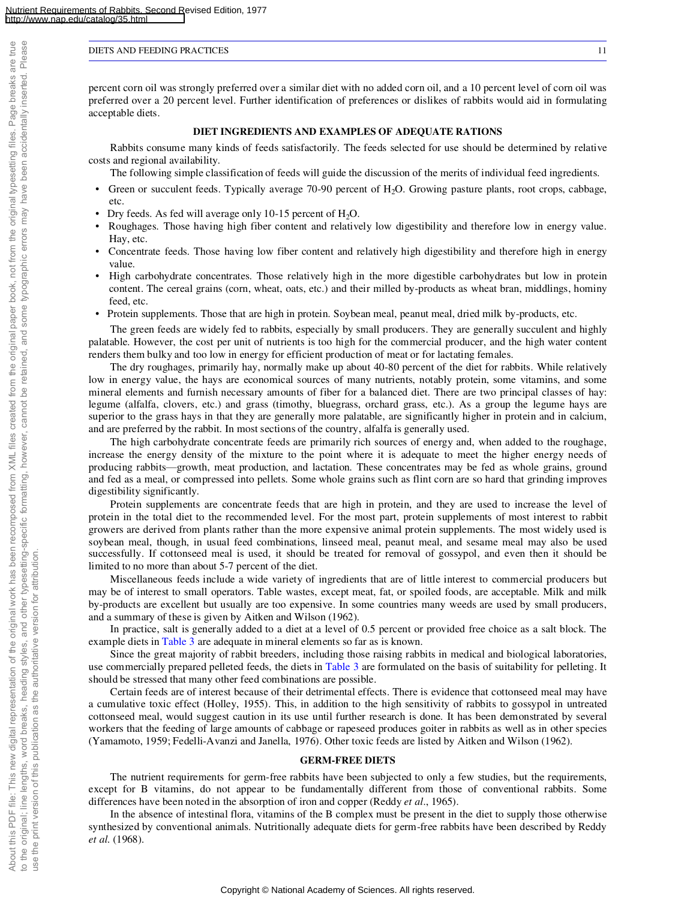percent corn oil was strongly preferred over a similar diet with no added corn oil, and a 10 percent level of corn oil was preferred over a 20 percent level. Further identification of preferences or dislikes of rabbits would aid in formulating acceptable diets.

# **DIET INGREDIENTS AND EXAMPLES OF ADEQUATE RATIONS**

Rabbits consume many kinds of feeds satisfactorily. The feeds selected for use should be determined by relative costs and regional availability.

The following simple classification of feeds will guide the discussion of the merits of individual feed ingredients.

- Green or succulent feeds. Typically average 70-90 percent of H<sub>2</sub>O. Growing pasture plants, root crops, cabbage, etc.
- Dry feeds. As fed will average only  $10-15$  percent of  $H_2O$ .
- Roughages. Those having high fiber content and relatively low digestibility and therefore low in energy value. Hay, etc.
- Concentrate feeds. Those having low fiber content and relatively high digestibility and therefore high in energy value.
- High carbohydrate concentrates. Those relatively high in the more digestible carbohydrates but low in protein content. The cereal grains (corn, wheat, oats, etc.) and their milled by-products as wheat bran, middlings, hominy feed, etc.
- Protein supplements. Those that are high in protein. Soybean meal, peanut meal, dried milk by-products, etc.

The green feeds are widely fed to rabbits, especially by small producers. They are generally succulent and highly palatable. However, the cost per unit of nutrients is too high for the commercial producer, and the high water content renders them bulky and too low in energy for efficient production of meat or for lactating females.

The dry roughages, primarily hay, normally make up about 40-80 percent of the diet for rabbits. While relatively low in energy value, the hays are economical sources of many nutrients, notably protein, some vitamins, and some mineral elements and furnish necessary amounts of fiber for a balanced diet. There are two principal classes of hay: legume (alfalfa, clovers, etc.) and grass (timothy, bluegrass, orchard grass, etc.). As a group the legume hays are superior to the grass hays in that they are generally more palatable, are significantly higher in protein and in calcium, and are preferred by the rabbit. In most sections of the country, alfalfa is generally used.

The high carbohydrate concentrate feeds are primarily rich sources of energy and, when added to the roughage, increase the energy density of the mixture to the point where it is adequate to meet the higher energy needs of producing rabbits—growth, meat production, and lactation. These concentrates may be fed as whole grains, ground and fed as a meal, or compressed into pellets. Some whole grains such as flint corn are so hard that grinding improves digestibility significantly.

Protein supplements are concentrate feeds that are high in protein, and they are used to increase the level of protein in the total diet to the recommended level. For the most part, protein supplements of most interest to rabbit growers are derived from plants rather than the more expensive animal protein supplements. The most widely used is soybean meal, though, in usual feed combinations, linseed meal, peanut meal, and sesame meal may also be used successfully. If cottonseed meal is used, it should be treated for removal of gossypol, and even then it should be limited to no more than about 5-7 percent of the diet.

Miscellaneous feeds include a wide variety of ingredients that are of little interest to commercial producers but may be of interest to small operators. Table wastes, except meat, fat, or spoiled foods, are acceptable. Milk and milk by-products are excellent but usually are too expensive. In some countries many weeds are used by small producers, and a summary of these is given by Aitken and Wilson (1962).

In practice, salt is generally added to a diet at a level of 0.5 percent or provided free choice as a salt block. The example diets in Table 3 are adequate in mineral elements so far as is known.

Since the great majority of rabbit breeders, including those raising rabbits in medical and biological laboratories, use commercially prepared pelleted feeds, the diets in Table 3 are formulated on the basis of suitability for pelleting. It should be stressed that many other feed combinations are possible.

Certain feeds are of interest because of their detrimental effects. There is evidence that cottonseed meal may have a cumulative toxic effect (Holley, 1955). This, in addition to the high sensitivity of rabbits to gossypol in untreated cottonseed meal, would suggest caution in its use until further research is done. It has been demonstrated by several workers that the feeding of large amounts of cabbage or rapeseed produces goiter in rabbits as well as in other species (Yamamoto, 1959; Fedelli-Avanzi and Janella, 1976). Other toxic feeds are listed by Aitken and Wilson (1962).

## **GERM-FREE DIETS**

The nutrient requirements for germ-free rabbits have been subjected to only a few studies, but the requirements, except for B vitamins, do not appear to be fundamentally different from those of conventional rabbits. Some differences have been noted in the absorption of iron and copper (Reddy *et al*., 1965).

In the absence of intestinal flora, vitamins of the B complex must be present in the diet to supply those otherwise synthesized by conventional animals. Nutritionally adequate diets for germ-free rabbits have been described by Reddy *et al*. (1968).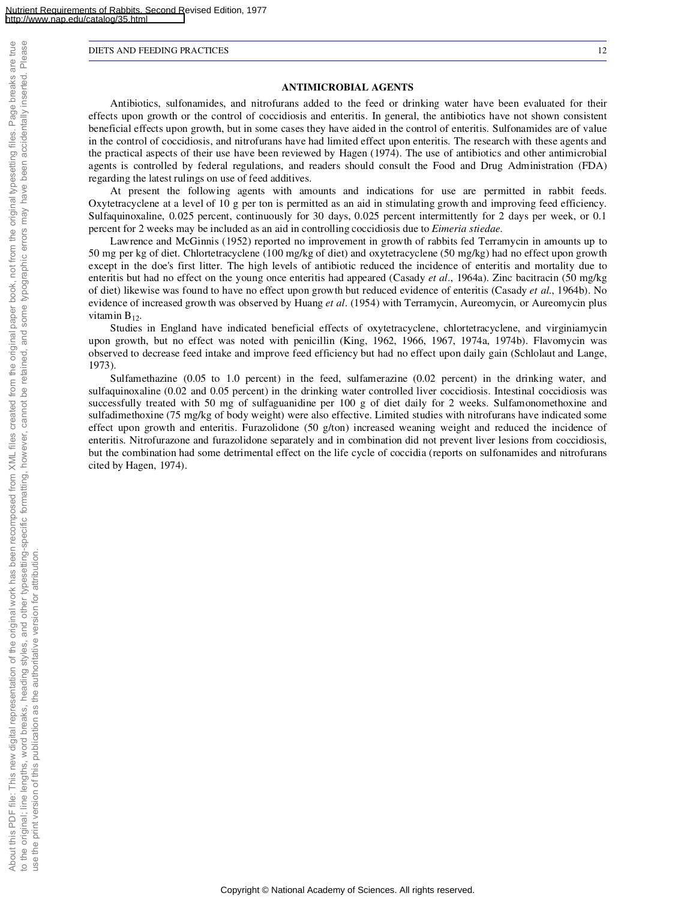# **ANTIMICROBIAL AGENTS**

Antibiotics, sulfonamides, and nitrofurans added to the feed or drinking water have been evaluated for their effects upon growth or the control of coccidiosis and enteritis. In general, the antibiotics have not shown consistent beneficial effects upon growth, but in some cases they have aided in the control of enteritis. Sulfonamides are of value in the control of coccidiosis, and nitrofurans have had limited effect upon enteritis. The research with these agents and the practical aspects of their use have been reviewed by Hagen (1974). The use of antibiotics and other antimicrobial agents is controlled by federal regulations, and readers should consult the Food and Drug Administration (FDA) regarding the latest rulings on use of feed additives.

At present the following agents with amounts and indications for use are permitted in rabbit feeds. Oxytetracyclene at a level of 10 g per ton is permitted as an aid in stimulating growth and improving feed efficiency. Sulfaquinoxaline, 0.025 percent, continuously for 30 days, 0.025 percent intermittently for 2 days per week, or 0.1 percent for 2 weeks may be included as an aid in controlling coccidiosis due to *Eimeria stiedae*.

Lawrence and McGinnis (1952) reported no improvement in growth of rabbits fed Terramycin in amounts up to 50 mg per kg of diet. Chlortetracyclene (100 mg/kg of diet) and oxytetracyclene (50 mg/kg) had no effect upon growth except in the doe's first litter. The high levels of antibiotic reduced the incidence of enteritis and mortality due to enteritis but had no effect on the young once enteritis had appeared (Casady *et al*., 1964a). Zinc bacitracin (50 mg/kg of diet) likewise was found to have no effect upon growth but reduced evidence of enteritis (Casady *et al*., 1964b). No evidence of increased growth was observed by Huang *et al*. (1954) with Terramycin, Aureomycin, or Aureomycin plus vitamin  $B_{12}$ .

Studies in England have indicated beneficial effects of oxytetracyclene, chlortetracyclene, and virginiamycin upon growth, but no effect was noted with penicillin (King, 1962, 1966, 1967, 1974a, 1974b). Flavomycin was observed to decrease feed intake and improve feed efficiency but had no effect upon daily gain (Schlolaut and Lange, 1973).

Sulfamethazine (0.05 to 1.0 percent) in the feed, sulfamerazine (0.02 percent) in the drinking water, and sulfaquinoxaline (0.02 and 0.05 percent) in the drinking water controlled liver coccidiosis. Intestinal coccidiosis was successfully treated with 50 mg of sulfaguanidine per 100 g of diet daily for 2 weeks. Sulfamonomethoxine and sulfadimethoxine (75 mg/kg of body weight) were also effective. Limited studies with nitrofurans have indicated some effect upon growth and enteritis. Furazolidone (50 g/ton) increased weaning weight and reduced the incidence of enteritis. Nitrofurazone and furazolidone separately and in combination did not prevent liver lesions from coccidiosis, but the combination had some detrimental effect on the life cycle of coccidia (reports on sulfonamides and nitrofurans cited by Hagen, 1974).

use the print version of this publication as the authoritative version for attribution.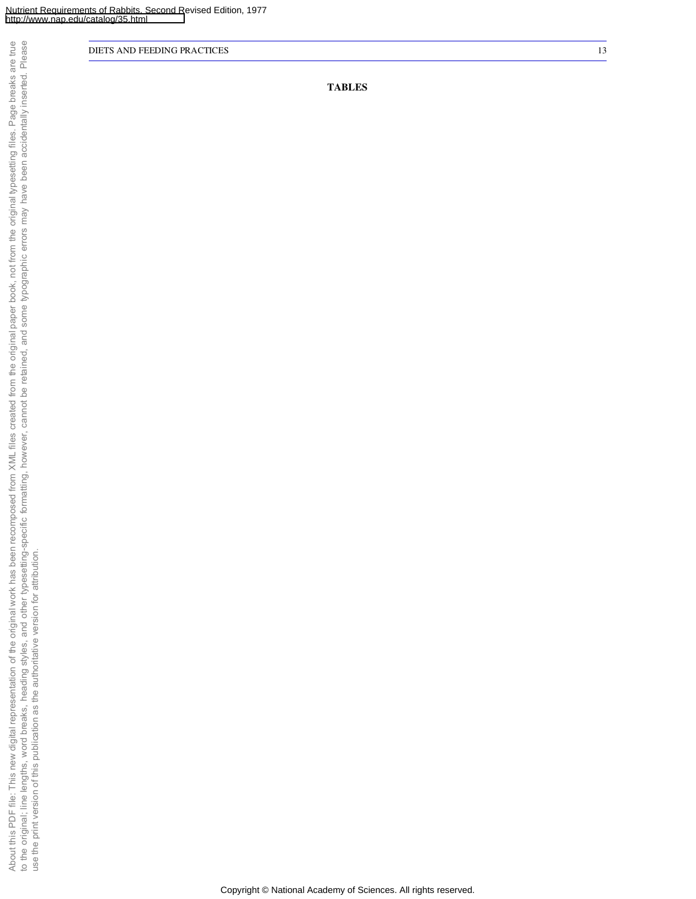**TABLES**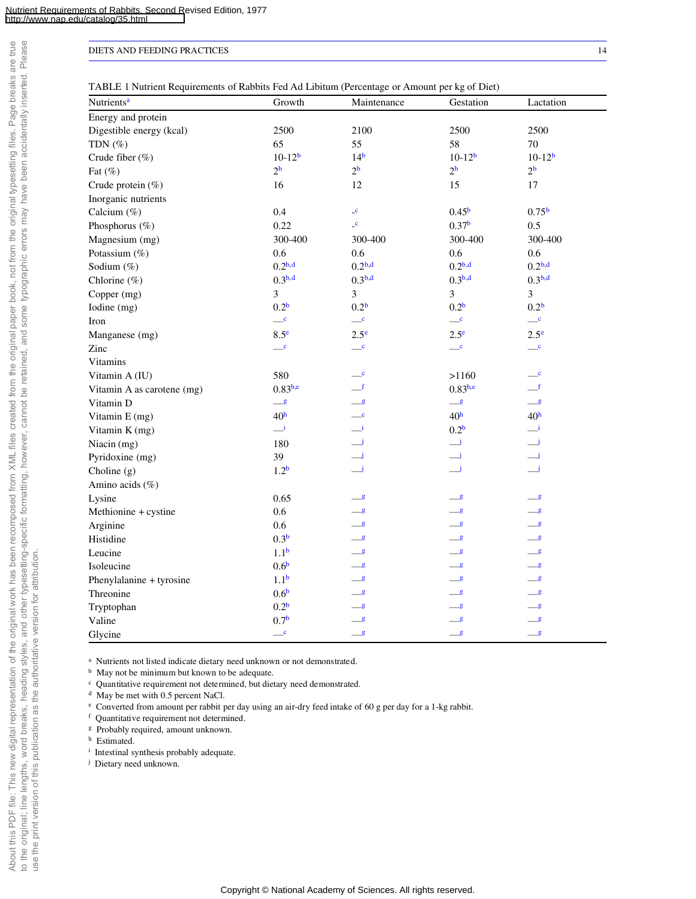| TABLE 1 Nutrient Requirements of Rabbits Fed Ad Libitum (Percentage or Amount per kg of Diet) |  |  |
|-----------------------------------------------------------------------------------------------|--|--|
|                                                                                               |  |  |

| Nutrients <sup>a</sup>     | Growth             | Maintenance                            | Gestation                | Lactation                  |  |  |  |
|----------------------------|--------------------|----------------------------------------|--------------------------|----------------------------|--|--|--|
| Energy and protein         |                    |                                        |                          |                            |  |  |  |
| Digestible energy (kcal)   | 2500               | 2100                                   | 2500                     | 2500                       |  |  |  |
| TDN $(\%)$                 | 65                 | 55                                     | 58                       | $70\,$                     |  |  |  |
| Crude fiber $(\%)$         | $10-12^{b}$        | 14 <sup>b</sup>                        | $10-12b$                 | $10-12b$                   |  |  |  |
| Fat $(\%)$                 | 2 <sup>b</sup>     | 2 <sup>b</sup>                         | 2 <sup>b</sup>           | 2 <sup>b</sup>             |  |  |  |
| Crude protein $(\%)$       | 16                 | 12                                     | 15                       | 17                         |  |  |  |
| Inorganic nutrients        |                    |                                        |                          |                            |  |  |  |
| Calcium (%)                | 0.4                | $\_c$                                  | 0.45 <sup>b</sup>        | 0.75 <sup>b</sup>          |  |  |  |
| Phosphorus (%)             | 0.22               | $\_c$                                  | 0.37 <sup>b</sup>        | 0.5                        |  |  |  |
| Magnesium (mg)             | 300-400            | 300-400                                | 300-400                  | 300-400                    |  |  |  |
| Potassium (%)              | 0.6                | 0.6                                    | 0.6                      | 0.6                        |  |  |  |
| Sodium (%)                 | 0.2 <sup>b,d</sup> | 0.2 <sup>b,d</sup>                     | 0.2 <sup>b,d</sup>       | 0.2 <sup>b,d</sup>         |  |  |  |
| Chlorine (%)               | $0.3^{b,d}$        | 0.3 <sup>b,d</sup>                     | 0.3 <sup>b,d</sup>       | 0.3 <sup>b,d</sup>         |  |  |  |
| Copper (mg)                | $\overline{3}$     | 3                                      | $\overline{\mathbf{3}}$  | $\overline{\mathbf{3}}$    |  |  |  |
| Iodine (mg)                | 0.2 <sup>b</sup>   | 0.2 <sup>b</sup>                       | 0.2 <sup>b</sup>         | 0.2 <sup>b</sup>           |  |  |  |
| Iron                       | $\mathbf{C}$       | $\mathbf{C}$                           | $\mathbf{C}$             | $\mathbf{C}$               |  |  |  |
| Manganese (mg)             | 8.5 <sup>e</sup>   | 2.5 <sup>e</sup>                       | 2.5 <sup>e</sup>         | 2.5 <sup>e</sup>           |  |  |  |
| Zinc                       | $\_\_c$            | $\_\_c$                                | $\_\_c$                  | $\mathbf{C}$               |  |  |  |
| Vitamins                   |                    |                                        |                          |                            |  |  |  |
| Vitamin A (IU)             | 580                | $\equiv$ <sup>c</sup>                  | >1160                    | $\mathbf{C}$               |  |  |  |
| Vitamin A as carotene (mg) | $0.83^{b,e}$       | $\overline{\phantom{0}}^{\phantom{0}}$ | 0.83 <sub>b,e</sub>      | $\_f$                      |  |  |  |
| Vitamin D                  | $\_\_g$            | $\_\_\$ {g}                            | $\_\_$                   | $\_\_\$ {g}                |  |  |  |
| Vitamin E (mg)             | 40 <sup>h</sup>    | $\mathbf{C}$                           | 40 <sup>h</sup>          | 40 <sup>h</sup>            |  |  |  |
| Vitamin K (mg)             | $\_\_i$            | $\overrightarrow{a}$                   | 0.2 <sup>b</sup>         | <u>__ i</u>                |  |  |  |
| Niacin (mg)                | 180                | $\overrightarrow{J}$                   | <u>__ j</u>              | <sup>_j</sup>              |  |  |  |
| Pyridoxine (mg)            | 39                 |                                        | ز__                      | $\overline{\phantom{a}}$ j |  |  |  |
| Choline (g)                | 1.2 <sup>b</sup>   | ز_                                     | $\Box$ j                 | ز_                         |  |  |  |
| Amino acids (%)            |                    |                                        |                          |                            |  |  |  |
| Lysine                     | 0.65               | $\_\$ {g}                              | $\_\$ {g}                | $\_\_$                     |  |  |  |
| Methionine + cystine       | 0.6                | $_{g}$                                 | $\overline{\phantom{a}}$ | $_{\rm g}$                 |  |  |  |
| Arginine                   | 0.6                | $_{\rm g}$                             | $\overline{\phantom{a}}$ | $\_\_\$ {g}                |  |  |  |
| Histidine                  | 0.3 <sup>b</sup>   | $\overline{\phantom{a}}$               | $_{\rm g}$               | $\_\_\$ {g}                |  |  |  |
| Leucine                    | 1.1 <sup>b</sup>   | $\overline{\phantom{a}}$               | $\overline{\mathbf{g}}$  | $\_\$ {g}                  |  |  |  |
| Isoleucine                 | 0.6 <sup>b</sup>   | $_{g}$                                 | $_{\rm g}$               | $\_\$ {g}                  |  |  |  |
| Phenylalanine + tyrosine   | 1.1 <sup>b</sup>   | $_{g}$                                 | $_{\rm g}$               | $\_\_g$                    |  |  |  |
| Threonine                  | 0.6 <sup>b</sup>   | $\overline{\phantom{a}}$               | $\overline{\mathbf{g}}$  | $\overline{\phantom{a}}$   |  |  |  |
| Tryptophan                 | 0.2 <sup>b</sup>   | $\overline{\phantom{a}}$               | $\overline{\mathbf{g}}$  | $\_\_\$ {g}                |  |  |  |
| Valine                     | 0.7 <sup>b</sup>   | $_{g}$                                 | $_{\rm g}$               | $\_\$ {g}                  |  |  |  |
| Glycine                    | $\mathbf{C}$       | $\_\_\$ {g}                            | $\overline{\phantom{a}}$ | $\frac{g}{g}$              |  |  |  |

a Nutrients not listed indicate dietary need unknown or not demonstrated.

b May not be minimum but known to be adequate.

c Quantitative requirement not determined, but dietary need demonstrated.

d May be met with 0.5 percent NaCl.

e Converted from amount per rabbit per day using an air-dry feed intake of 60 g per day for a 1-kg rabbit.

f Quantitative requirement not determined.

 $\,$  Probably required, amount unknown.

h Estimated.

About this PDF file: This new digital representation of the original

use the print version of this publication as the authoritative version for attribution.

work has been recomposed from X

to the original; line lengths, word breaks, heading styles, and other typesetting-specific formatting, however, cannot be retained, and some typographic errors may have been accidentally inserted. Please

About this PDF file: This new digital representation of the original work has been recomposed from XML files created from the original pook, not from the original typesetting files. Page breaks are true<br>to the original; li

ML files created from the original paper book, not from the original typesetting files. Page breaks are true

<sup>i</sup> Intestinal synthesis probably adequate.

j Dietary need unknown.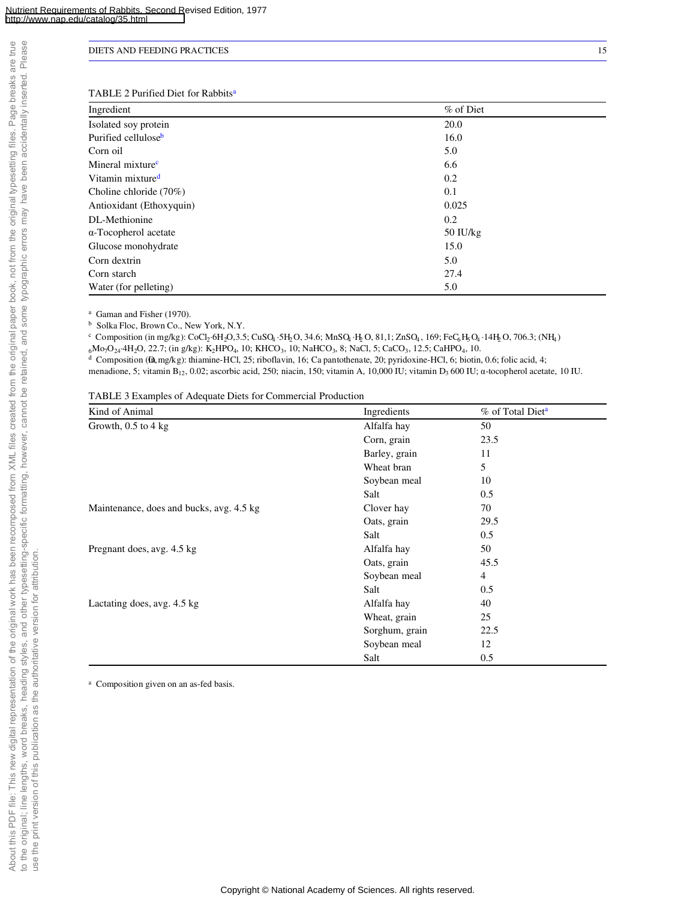# TABLE 2 Purified Diet for Rabbits<sup>a</sup>

| Ingredient                      | % of Diet     |
|---------------------------------|---------------|
| Isolated soy protein            | 20.0          |
| Purified cellulose <sup>b</sup> | 16.0          |
| Corn oil                        | 5.0           |
| Mineral mixture <sup>c</sup>    | 6.6           |
| Vitamin mixture <sup>d</sup>    | 0.2           |
| Choline chloride (70%)          | 0.1           |
| Antioxidant (Ethoxyquin)        | 0.025         |
| DL-Methionine                   | 0.2           |
| α-Tocopherol acetate            | $50$ IU/ $kg$ |
| Glucose monohydrate             | 15.0          |
| Corn dextrin                    | 5.0           |
| Corn starch                     | 27.4          |
| Water (for pelleting)           | 5.0           |
|                                 |               |

a Gaman and Fisher (1970).

b Solka Floc, Brown Co., New York, N.Y.

 $\rm ^c$  Composition (in mg/kg): CoCl<sub>2</sub>·6H<sub>2</sub>O,3.5; CuSQ<sub>4</sub>·5H<sub>2</sub>O, 34.6; MnSQ<sub>4</sub>·H<sub>2</sub>O, 81,1; ZnSO<sub>4</sub>, 169; FeC<sub>6</sub>H<sub>3</sub>O<sub>4</sub>·14H<sub>2</sub>O, 706.3; (NH<sub>4</sub>)  $6Mo_7O_{24}$ 4H<sub>2</sub>O, 22.7; (in g/kg): K<sub>2</sub>HPO<sub>4</sub>, 10; KHCO<sub>3</sub>, 10; NaHCO<sub>3</sub>, 8; NaCl, 5; CaCO<sub>3</sub>, 12.5; CaHPO<sub>4</sub>, 10.

 $d$  Composition ( $\Omega$ , mg/kg): thiamine-HCl, 25; riboflavin, 16; Ca pantothenate, 20; pyridoxine-HCl, 6; biotin, 0.6; folic acid, 4; menadione, 5; vitamin B<sub>12</sub>, 0.02; ascorbic acid, 250; niacin, 150; vitamin A, 10,000 IU; vitamin D<sub>3</sub> 600 IU;  $\alpha$ -tocopherol acetate, 10 IU.

| TABLE 3 Examples of Adequate Diets for Commercial Production |  |
|--------------------------------------------------------------|--|
|--------------------------------------------------------------|--|

| Kind of Animal                           | Ingredients    | % of Total Diet <sup>a</sup> |  |
|------------------------------------------|----------------|------------------------------|--|
| Growth, $0.5$ to $4$ kg                  | Alfalfa hay    | 50                           |  |
|                                          | Corn, grain    | 23.5                         |  |
|                                          | Barley, grain  | 11                           |  |
|                                          | Wheat bran     | 5                            |  |
|                                          | Soybean meal   | 10                           |  |
|                                          | Salt           | 0.5                          |  |
| Maintenance, does and bucks, avg. 4.5 kg | Clover hay     | 70                           |  |
|                                          | Oats, grain    | 29.5                         |  |
|                                          | Salt           | 0.5                          |  |
| Pregnant does, avg. 4.5 kg               | Alfalfa hay    | 50                           |  |
|                                          | Oats, grain    | 45.5                         |  |
|                                          | Soybean meal   | $\overline{4}$               |  |
|                                          | Salt           | 0.5                          |  |
| Lactating does, avg. 4.5 kg              | Alfalfa hay    | 40                           |  |
|                                          | Wheat, grain   | 25                           |  |
|                                          | Sorghum, grain | 22.5                         |  |
|                                          | Soybean meal   | 12                           |  |
|                                          | Salt           | 0.5                          |  |

a Composition given on an as-fed basis.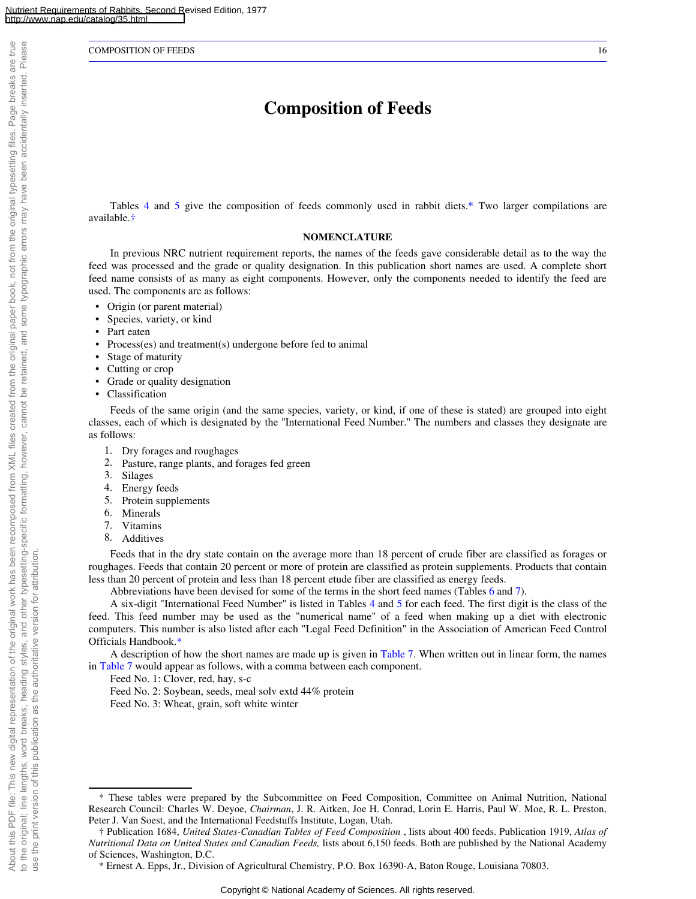# **Composition of Feeds**

Tables 4 and 5 give the composition of feeds commonly used in rabbit diets.\* Two larger compilations are available.†

# **NOMENCLATURE**

In previous NRC nutrient requirement reports, the names of the feeds gave considerable detail as to the way the feed was processed and the grade or quality designation. In this publication short names are used. A complete short feed name consists of as many as eight components. However, only the components needed to identify the feed are used. The components are as follows:

- Origin (or parent material)
- Species, variety, or kind
- Part eaten
- Process(es) and treatment(s) undergone before fed to animal
- Stage of maturity
- Cutting or crop
- Grade or quality designation
- Classification

Feeds of the same origin (and the same species, variety, or kind, if one of these is stated) are grouped into eight classes, each of which is designated by the ''International Feed Number.'' The numbers and classes they designate are as follows:

- 1. Dry forages and roughages
- 2. Pasture, range plants, and forages fed green
- 3. Silages
- 4. Energy feeds
- 5. Protein supplements
- 6. Minerals
- 7. Vitamins
- 8. Additives

Feeds that in the dry state contain on the average more than 18 percent of crude fiber are classified as forages or roughages. Feeds that contain 20 percent or more of protein are classified as protein supplements. Products that contain less than 20 percent of protein and less than 18 percent etude fiber are classified as energy feeds.

Abbreviations have been devised for some of the terms in the short feed names (Tables 6 and 7).

A six-digit "International Feed Number" is listed in Tables 4 and 5 for each feed. The first digit is the class of the feed. This feed number may be used as the "numerical name" of a feed when making up a diet with electronic computers. This number is also listed after each "Legal Feed Definition" in the Association of American Feed Control Officials Handbook.\*

A description of how the short names are made up is given in Table 7. When written out in linear form, the names in Table 7 would appear as follows, with a comma between each component.

Feed No. 1: Clover, red, hay, s-c

Feed No. 2: Soybean, seeds, meal solv extd 44% protein

Feed No. 3: Wheat, grain, soft white winter

<sup>\*</sup> These tables were prepared by the Subcommittee on Feed Composition, Committee on Animal Nutrition, National Research Council: Charles W. Deyoe, *Chairman*, J. R. Aitken, Joe H. Conrad, Lorin E. Harris, Paul W. Moe, R. L. Preston, Peter J. Van Soest, and the International Feedstuffs Institute, Logan, Utah.

<sup>†</sup> Publication 1684, *United States-Canadian Tables of Feed Composition* , lists about 400 feeds. Publication 1919, *Atlas of Nutritional Data on United States and Canadian Feeds,* lists about 6,150 feeds. Both are published by the National Academy of Sciences, Washington, D.C.

<sup>\*</sup> Ernest A. Epps, Jr., Division of Agricultural Chemistry, P.O. Box 16390-A, Baton Rouge, Louisiana 70803.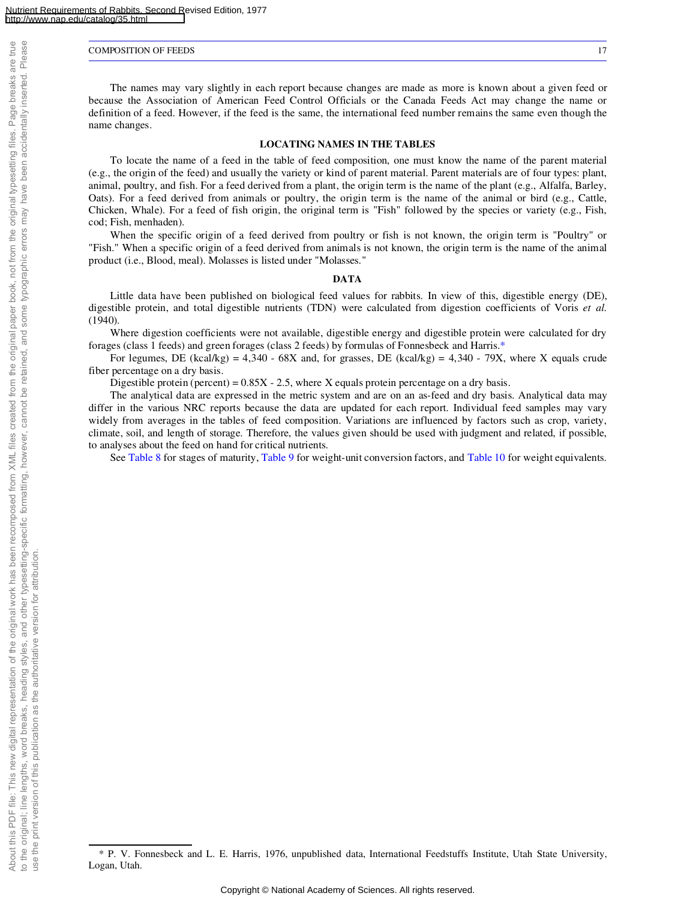The names may vary slightly in each report because changes are made as more is known about a given feed or because the Association of American Feed Control Officials or the Canada Feeds Act may change the name or definition of a feed. However, if the feed is the same, the international feed number remains the same even though the name changes.

# **LOCATING NAMES IN THE TABLES**

To locate the name of a feed in the table of feed composition, one must know the name of the parent material (e.g., the origin of the feed) and usually the variety or kind of parent material. Parent materials are of four types: plant, animal, poultry, and fish. For a feed derived from a plant, the origin term is the name of the plant (e.g., Alfalfa, Barley, Oats). For a feed derived from animals or poultry, the origin term is the name of the animal or bird (e.g., Cattle, Chicken, Whale). For a feed of fish origin, the original term is "Fish" followed by the species or variety (e.g., Fish, cod; Fish, menhaden).

When the specific origin of a feed derived from poultry or fish is not known, the origin term is "Poultry" or "Fish." When a specific origin of a feed derived from animals is not known, the origin term is the name of the animal product (i.e., Blood, meal). Molasses is listed under "Molasses."

# **DATA**

Little data have been published on biological feed values for rabbits. In view of this, digestible energy (DE), digestible protein, and total digestible nutrients (TDN) were calculated from digestion coefficients of Voris *et al*. (1940).

Where digestion coefficients were not available, digestible energy and digestible protein were calculated for dry forages (class 1 feeds) and green forages (class 2 feeds) by formulas of Fonnesbeck and Harris.\*

For legumes, DE (kcal/kg) = 4,340 - 68X and, for grasses, DE (kcal/kg) = 4,340 - 79X, where X equals crude fiber percentage on a dry basis.

Digestible protein (percent) =  $0.85X - 2.5$ , where X equals protein percentage on a dry basis.

The analytical data are expressed in the metric system and are on an as-feed and dry basis. Analytical data may differ in the various NRC reports because the data are updated for each report. Individual feed samples may vary widely from averages in the tables of feed composition. Variations are influenced by factors such as crop, variety, climate, soil, and length of storage. Therefore, the values given should be used with judgment and related, if possible, to analyses about the feed on hand for critical nutrients.

See Table 8 for stages of maturity, Table 9 for weight-unit conversion factors, and Table 10 for weight equivalents.

the the use:  $\approx$ 

<sup>\*</sup> P. V. Fonnesbeck and L. E. Harris, 1976, unpublished data, International Feedstuffs Institute, Utah State University, Logan, Utah.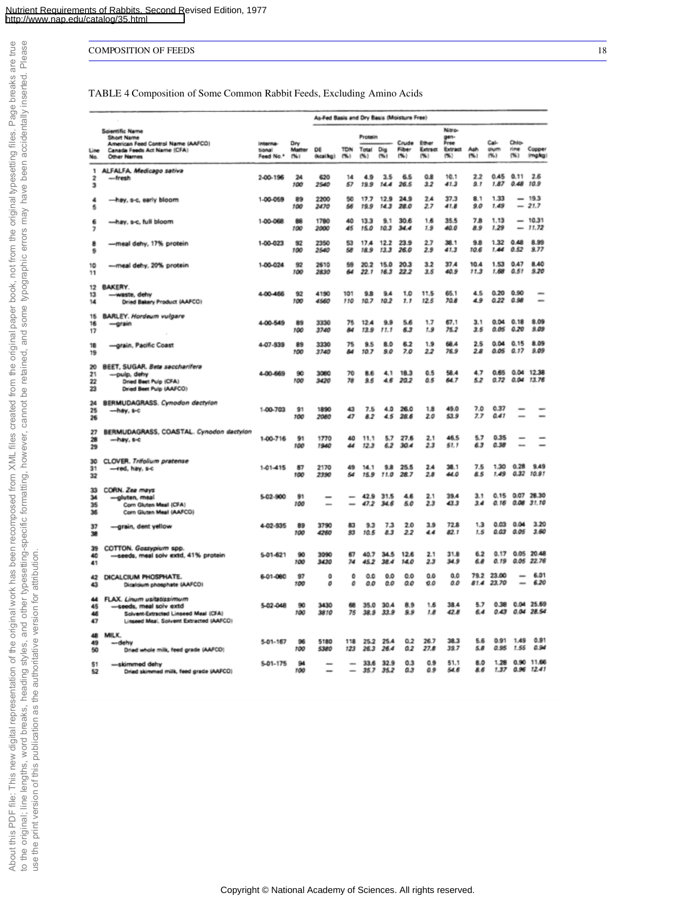# TABLE 4 Composition of Some Common Rabbit Feeds, Excluding Amino Acids

|                      |                                                                                                                                        |                                 |                      | As-Fed Basis and Dry Basis (Moisture Free) |                   |              |              |                        |                         |                                |              |                      |                               |                     |  |
|----------------------|----------------------------------------------------------------------------------------------------------------------------------------|---------------------------------|----------------------|--------------------------------------------|-------------------|--------------|--------------|------------------------|-------------------------|--------------------------------|--------------|----------------------|-------------------------------|---------------------|--|
|                      | <b>Scientific Name</b>                                                                                                                 |                                 |                      |                                            |                   | Protein      |              |                        |                         | Nitro-                         |              |                      |                               |                     |  |
| Line<br>No.          | <b>Short Name</b><br>American Feed Control Name (AAFCO)<br>Canada Feeds Act Name (CFA)<br>Other Names                                  | interna-<br>tional<br>Feed No.* | Dry<br>Matt<br>(961) | DE<br>(local/kg)                           | <b>TDN</b><br>(%) | Total<br>(%) | Dig<br>(%)   | Crude<br>Fiber<br>(56) | Ether<br>Extract<br>(%) | gen-<br>Free<br>Extract<br>(%) | Ash<br>(56)  | Cal-<br>dium<br>(96) | Chio<br>rine<br>(96)          | Copper<br>(mg/kg)   |  |
| 1<br>2<br>3          | ALFALFA. Medicago sativa<br>-fresh                                                                                                     | 2-00-196                        | 24<br>100            | 620<br>2540                                | 14<br>57          | 4.9<br>19.9  | 3.5<br>14.4  | 6.5<br>26.5            | 0.8<br>3.2              | 10.1<br>41.3                   | 2.2<br>9.7   | 0.45<br>1.87         | 0.11<br>$0.48$ $10.9$         | 2.6                 |  |
| 4<br>5               | -hay, s-c, early bloom                                                                                                                 | 1-00-059                        | 89<br>100            | 2200<br>2470                               | 50<br>56          | 17.7<br>19.9 | 12.9<br>14.3 | 24.9<br>28.0           | 2.4<br>2.7              | 37.3<br>41.8                   | 8.1<br>9.0   | 1.33<br>1.49         |                               | 19.3<br>$-21.7$     |  |
| 6<br>7               | -hay, s-c, full bloom                                                                                                                  | 1-00-068                        | 藤<br>100             | 1780<br>2000                               | 40<br>45          | 13.3<br>15.0 | 9.1<br>10.3  | 30.6<br>34.4           | 1.6<br>1.9              | 35.5<br>40.0                   | 7.8<br>8.9   | 1.13<br>1.29         | -<br>$\overline{\phantom{a}}$ | 10.31<br>11.72      |  |
| 8<br>9               | -meal dehy, 17% protein                                                                                                                | 1-00-023                        | 92<br>100            | 2350<br>2540                               | 53<br>58          | 17.4<br>18.9 | 12.2<br>13.3 | 23.9<br>26.0           | 2.7<br>2.9              | 38.1<br>41.3                   | 9.8<br>10.6  | 1.32<br>1.44         | 0.48<br>0.52                  | 8.99<br>9.77        |  |
| 10<br>11             | -meal dehy, 20% protein                                                                                                                | 1-00-024                        | 92<br>100            | 2610<br>2830                               | 69<br>64          | 20.2<br>22.1 | 15.0<br>16.3 | 20.3<br>22.2           | 3.2<br>3.5              | 37.4<br>40.9                   | 10.4<br>11.3 | 1.53<br>1.68         | 0.47<br>0.51                  | 8.40<br>9.20        |  |
| 12<br>13<br>14       | <b>BAKERY.</b><br>-waste, dehv<br>Dried Bakery Product (AAFCO)                                                                         | 4-00-466                        | 92<br>100            | 4190<br>4560                               | 101<br>110        | 9.8<br>70.7  | 9.4<br>10.2  | 1.0<br>7.7             | 11.5<br>12.5            | 65.1<br>70.8                   | 4.5<br>49    | 0.20<br>0.22         | 0.90<br>0.98                  |                     |  |
| 15<br>16<br>17       | <b>BARLEY.</b> Hordeum vulgare<br>-grain                                                                                               | 4-00-549                        | 89<br>100            | 3330<br>3740                               | 75<br>84          | 12.4<br>13.9 | 9.9<br>11.1  | 5.6<br>6.3             | 1.7<br>7.9              | 67.1<br>75.2                   | 3.1<br>3.5   | 0.04<br>0.05         | 0.18<br>0.20                  | 8.09<br>9.09        |  |
| 18<br>19             | -grain, Pacific Coast                                                                                                                  | 4-07-939                        | 89<br>100            | 3330<br>3740                               | 75<br>84          | 95<br>10.7   | 8.0<br>9.0   | 6.2<br>7,0             | 1.9<br>22               | 68.4<br>76.9                   | 2.5<br>28    | 0.04<br>0.05         | 0.15<br>0.17                  | 8.09<br>9.09        |  |
| 20<br>21<br>22<br>23 | BEET, SUGAR. Beta saccharifera<br>-pulp, dehy<br>Dried Beet Pulp (CFA)<br>Dried Beet Pulp (AAFCO)                                      | 4-00-669                        | 90<br>100            | 3080<br>3420                               | 70<br>78          | 8.6<br>9.5   | 4.1<br>4.6   | 18.3<br>20.2           | 0.5<br>0.5              | 58.4<br>84.7                   | 4.7<br>5.2   | 0.65<br>0.72         | 0.04<br>0.04                  | 12.38<br>13.76      |  |
| 24<br>25<br>26       | <b>BERMUDAGRASS.</b> Cynodon dectylon<br>-hay, s-c                                                                                     | 1-00-703                        | 91<br>100            | 1890<br>2080                               | 43<br>47          | 7.5<br>R.J   | 4.0<br>45    | 26.0<br>28.6           | 1.8<br>20               | 49.0<br>53.9                   | 7.0<br>7.7   | 0.37<br>0.41         |                               |                     |  |
| 27<br>28<br>29       | BERMUDAGRASS, COASTAL. Cynodon dactylon<br>$—$ hay, s-c                                                                                | 1-00-716                        | 91<br>100            | 1770<br>1940                               | 40<br>44          | 11.1<br>12.3 | 5.7<br>62    | 27.6<br>30.4           | 2.1<br>23               | 46.5<br>51.1                   | 5.7<br>6.3   | 0.35<br>0.38         |                               |                     |  |
| 30<br>31<br>32       | CLOVER. Trifolium pratense<br>-red, hay, s-c                                                                                           | $1 - 01 - 415$                  | 87<br>100            | 2170<br>2390                               | 49<br>64          | 14.1<br>15.9 | 9.8<br>77.0  | 25.5<br>28.7           | 2.4<br>28               | 38.1<br>44.0                   | 7.5<br>8.5   | 1.30<br>7.49         | 0.28<br>0.32                  | 9.49<br>10.91       |  |
| 33<br>34<br>35<br>36 | CORN. Zea mays<br>-gluten, meal<br>Corn Gluten Meal (CFA)<br>Corn Gluten Meal (AAFCO)                                                  | 5-02-900                        | 91<br>100            |                                            |                   | 42.9<br>47.2 | 31.5<br>34.6 | 4.6<br>5.0             | 2.1<br>2.3              | 39.4<br>43.3                   | 3.1<br>34    | 0.15<br>0.16         | 0.07<br>0.08                  | 28.30<br>31.10      |  |
| 37<br>38             | -grain, dent yellow                                                                                                                    | 4-02-935                        | 89<br>100            | 3790<br>4260                               | 83<br>93          | 9.3<br>10.5  | 7.3<br>83    | 2.0<br>22              | 3.9<br>4,4              | 72.8<br>82.1                   | 1,3<br>1.5   | 0.03<br>0.03         | 0.04<br>0.05                  | 3.20<br>3.60        |  |
| 39<br>40<br>41       | COTTON. Gossypium spp.<br>-seeds, meal solv extd, 41% protein                                                                          | 5-01-621                        | 90<br>100            | 3090<br>3430                               | 67<br>74          | 40.7<br>45.2 | 34.5<br>38.4 | 12.6<br>14.0           | 2.1<br>2.3              | 31.8<br>34.9                   | 6.2<br>6.8   | 0.17<br>0.19         | 0.05<br>0.05                  | 20.48<br>22.76      |  |
| 42<br>43             | DICALCIUM PHOSPHATE.<br>Dicaloum phosphate (AAFCO)                                                                                     | 6-01-080                        | 97<br>100            | ٥<br>o                                     | ٥<br>o            | 0.0<br>0.0   | 6.0<br>0.0   | 0.0<br>0.0             | 0.0<br>00               | 0.0<br>0.0                     | 79.2<br>81.4 | 23.00<br>23.70       |                               | 6.01<br>6.20        |  |
| 44<br>45<br>46<br>47 | FLAX. Linum usitatissimum<br>-seeds, meal solv extd<br>Solvent-Extracted Linseed Meal (CFA)<br>Linseed Meal, Solvent Extracted (AAFCO) | 5-02-048                        | 90<br>100            | 3430<br>3810                               | 68<br>75          | 35.0<br>38.9 | 30.4<br>33.9 | 8.9<br>9.9             | 1.6<br>1.8              | 38.4<br>42.8                   | 5.7<br>6.4   | 0.38<br>0.43         | 0.04                          | 0.04 25.69<br>28.54 |  |
| 48<br>49<br>50       | MILK.<br>-dehy<br>Dried whole milk, feed grade (AAFCO)                                                                                 | 5-01-167                        | 96<br>100            | 5180<br>5380                               | 118<br>123        | 25.2<br>26.3 | 25.4<br>26.4 | 0.2<br>0.2             | 26.7<br>27.8            | 38.3<br>39.7                   | 5.6<br>5.8   | 0.91<br>0.95         | 1.49<br>1.55                  | 0.91<br>0.94        |  |
| 51<br>52             | -skimmed dehy<br>Dried skimmed milk, feed grade (AAFCO)                                                                                | 5-01-175                        | $\mathbf{a}$<br>100  |                                            |                   | 33.6<br>35.7 | 32.9<br>35.2 | 0.3<br>aз              | 0.9<br>0.9              | 51.1<br>54.6                   | 8.0<br>8.6   | 1.28<br>1.37         | 0.90<br>0.96                  | 11.66<br>12.41      |  |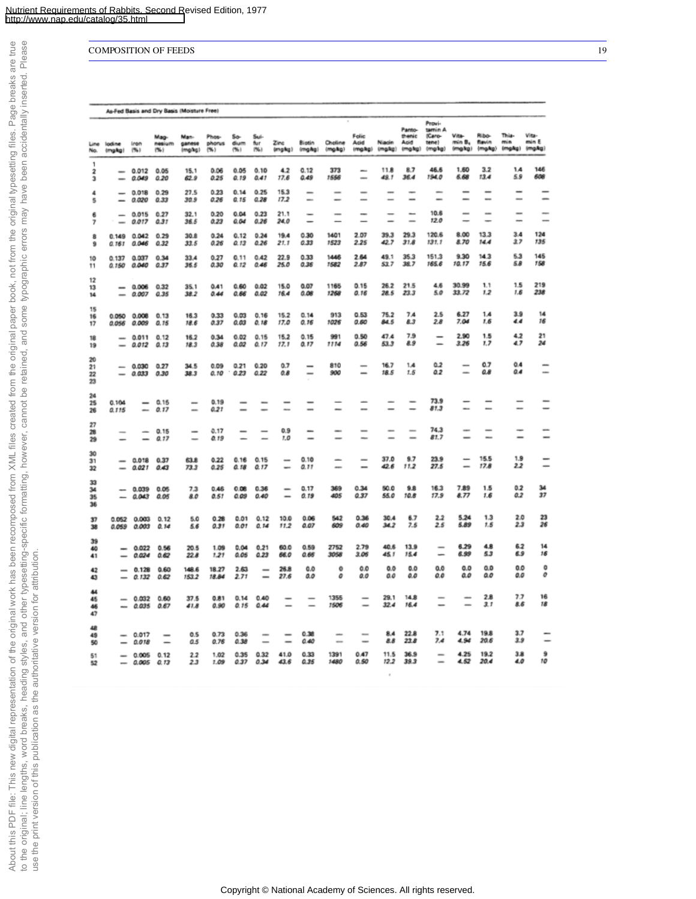|                      | As-Fed Basis and Dry Basis (Moisture Free) |                |                       |                              |                        |                   |                          |                |                   |                          |                          |                   |                                     |                                                 |                            |                            |                         |                           |
|----------------------|--------------------------------------------|----------------|-----------------------|------------------------------|------------------------|-------------------|--------------------------|----------------|-------------------|--------------------------|--------------------------|-------------------|-------------------------------------|-------------------------------------------------|----------------------------|----------------------------|-------------------------|---------------------------|
| Line<br>No.          | lodine<br>(mg/kg)                          | Iron<br>(96)   | Mag-<br>nesium<br>(%) | Man<br>ganese<br>$\{mg/hq\}$ | Phos<br>phonus<br>(96) | S٥<br>dium<br>(%) | Sui-<br>fur<br>(96.)     | Zinc<br>(mgkg) | Biotin<br>(mg/kg) | Choline<br>(mg/kg)       | Folic<br>Acid<br>(mq/kg) | Niacin<br>(mg/kg) | Panto-<br>thenic<br>Acid<br>(mg/kg) | Provi-<br>tamin A<br>(Caro-<br>tene)<br>(mg/kg) | Vita-<br>min B,<br>(mg/kg) | Ribo-<br>flavin<br>(mg/kg) | This-<br>min<br>(mg/kg) | Vita-<br>min E<br>(mg/kg) |
| 1<br>2<br>з          |                                            | 0.012<br>0.049 | 0.05<br>0.20          | 15.1<br>62.9                 | 0.06<br>0.25           | 0.05<br>0.19      | 0.10<br>0.41             | 4.2<br>17.6    | 0.12<br>0.49      | 373<br>1556              | -                        | 11.8<br>49.1      | 8.7<br>36.4                         | 46.6<br>194.0                                   | 1.60<br>6.68               | 3.2<br>13.4                | 1.4<br>5.9              | 146<br>608                |
| 4<br>5               | -                                          | 0.018<br>0.020 | 0.29<br>0.33          | 27.5<br>30.9                 | 0.23<br>0.26           | 0.14<br>0.15      | 0.25<br>0.28             | 15.3<br>17.2   |                   |                          |                          |                   | $\overline{\phantom{a}}$            | $\overline{\phantom{a}}$                        |                            |                            |                         |                           |
| 6<br>7               | $\overline{\phantom{a}}$                   | 0.015<br>0.017 | 0.27<br>0.37          | 32.1<br>36.5                 | 0.20<br>0.23           | 0.04<br>0.04      | 0.23<br>0.26             | 21.1<br>24.0   | $\equiv$          | $\overline{\phantom{a}}$ | $\overline{\phantom{a}}$ |                   |                                     | 10.6<br>12.0                                    |                            |                            |                         |                           |
| ĝ<br>9               | 0.149<br>0.767                             | 0.042<br>0.046 | 0.29<br>0.32          | 30.8<br>33.5                 | 0.24<br>0.26           | 0.12<br>0.13      | 0.24<br>0.26             | 19.4<br>21.1   | 0.30<br>0.33      | 1401<br>1523             | 2.07<br>2.25             | 39.3<br>42.7      | 29.3<br>31.8                        | 120.6<br>131.1                                  | 8.00<br>8.70               | 13.3<br>14.4               | 3.4<br>3.7              | 124<br>135                |
| 10<br>11             | 0.137<br>0.150                             | 0.037<br>0.040 | 0.34<br>0.37          | 33.4<br>36.5                 | 0.27<br>0.30           | 0.11<br>0.12      | 0.42<br>0.46             | 22.9<br>25.0   | 0.33<br>0.36      | 1446<br>1582             | 2.64<br>2.87             | 49.1<br>53.7      | 35.3<br>38.7                        | 151.3<br>165.6                                  | 9.30<br>10.17              | 14.3<br>15.6               | 5.3<br>5.8              | 145<br>158                |
| 12<br>13<br>14       |                                            | 0.006<br>0.007 | 0.32<br>0.35          | 35.1<br>38.2                 | 0.41<br>0.44           | 0.60<br>0.66      | 0.02<br>0.02             | 15.0<br>16.4   | 0.07<br>0.06      | 1165<br>1268             | 0.15<br>0.16             | 26.2<br>28.5      | 21.5<br>23.3                        | 4.6<br>5.0                                      | 30.99<br>33.72             | 1.1<br>1.2                 | 1.5<br>7.6              | 219<br>238                |
| 15<br>16<br>17       | 0.050<br>0.056                             | 0.008<br>0.009 | 0.13<br>0.75          | 16.3<br>18.6                 | 0.33<br>0.37           | 0.03<br>0.03      | 0.16<br>0.18             | 15.2<br>17.0   | 0.14<br>0.16      | 913<br>1026              | 0.53<br>0.60             | 75.2<br>84.5      | 7.4<br>83                           | 2.5<br>2.8                                      | 6.27<br>7.04               | 1.4<br>I.6                 | 3.9<br>4.4              | 14<br>16                  |
| 1R<br>19             | $\overline{\phantom{a}}$                   | 0.011<br>0.012 | 0.12<br>0.13          | 16.2<br>18.3                 | 0.34<br>0.38           | 0.02<br>0.02      | 0.15<br>0.17             | 15.2<br>17.1   | 0.15<br>0.17      | 991<br>1114              | 0.50<br>0.56             | 47.4<br>53.3      | 7.9<br>8.9                          |                                                 | 2.90<br>3.26               | 1.5<br>7.7                 | 4.2<br>4.7              | 21<br>24                  |
| 20<br>21<br>22<br>23 |                                            | 0.030<br>0.033 | 0.27<br>0.30          | 34.5<br>38.3                 | 0.09<br>0.10           | 0.21<br>0.23      | 0.20<br>0.22             | 0.7<br>0.8     |                   | 810<br>900               |                          | 16.7<br>18.5      | 1,4<br>1.5                          | 0.2<br>0.2                                      |                            | 0.7<br>0.8                 | 0.4<br>0.4              | $\overline{\phantom{a}}$  |
| 24<br>25<br>26       | 0.104<br>0.115                             | -              | 0.15<br>0.17          |                              | 0.19<br>0.27           |                   |                          |                |                   |                          |                          |                   |                                     | 73.9<br>81.3                                    |                            |                            |                         |                           |
| 27<br>28<br>29       |                                            |                | 0.15<br>0.17          |                              | 0.17<br>0.19           |                   |                          | 0.9<br>7.0     |                   |                          |                          |                   |                                     | 74.3<br>81.7                                    |                            |                            |                         |                           |
| 30<br>31<br>32       |                                            | 0.018<br>0.021 | 0.37<br>0.43          | 63.8<br>73.3                 | 0.22<br>0.25           | 0.16<br>0.18      | 0.15<br>0.17             | -              | 0.10<br>0.11      | men                      | -                        | 37.0<br>42.6      | 9.7<br>11.2                         | 23.9<br>27.5                                    |                            | 15.5<br>17.8               | 1.9<br>22               |                           |
| 33<br>34<br>35<br>36 |                                            | 0.039<br>0.043 | 0.05<br>0.05          | 7.3<br>8.0                   | 0.46<br>0.51           | 0.08<br>0.09      | 0.36<br>0.40             |                | 0.17<br>0.19      | 369<br>405               | 0.34<br>0.37             | 50.0<br>55.0      | 9.8<br>10.8                         | 16.3<br>17.9                                    | 7.89<br>8.77               | 1.5<br>1.6                 | 0.2<br>0.2              | 34<br>37                  |
| 37<br>38             | 0.052<br>0.059                             | 0.003<br>0.003 | 0.12<br>0.14          | 5.0<br>5.6                   | 0.28<br>0.31           | 0.01<br>0.01      | 0.12<br>0.14             | 10.0<br>11.2   | 0.06<br>0.07      | 542<br>609               | 0.36<br>0.40             | 30.4<br>34.2      | 6.7<br>7.5                          | 2.2<br>2.5                                      | 5.24<br>5.89               | 1.3<br>1.5                 | 2.0<br>23               | 23<br>26                  |
| 39<br>40<br>41       |                                            | 0.022<br>0.024 | 0.56<br>0.62          | 20.5<br>22.8                 | 1.09<br>1,21           | 0.04<br>0.05      | 0.21<br>0.23             | 60.0<br>66.0   | 0.59<br>0.66      | 2752<br>3058             | 2.79<br>3.06             | 40.6<br>45.1      | 13.9<br>15.4                        |                                                 | 6.29<br>6.99               | 4.8<br>5.3                 | 6.2<br>6.9              | 14<br>16                  |
| 42<br>43             |                                            | 0.128<br>0.132 | 0.60<br>0.62          | 148.6<br>153.2               | 18.27<br>18.84         | 2.63<br>2.71      | $\overline{\phantom{a}}$ | 26.8<br>27.6   | 0.0<br>a.o        | o<br>٥                   | 0.0<br>0.0               | 0.0<br>0.0        | 0.0<br>0.0                          | 0.0<br>0.0                                      | 0.0<br>0.0                 | 0.0<br>0.0                 | 0.0<br>0.0              | ٥<br>o                    |
| 44<br>45<br>46<br>47 |                                            | 0.032<br>0.035 | 0.60<br>0.67          | 37.5<br>41.8                 | 0.81<br>0.90           | 0.14<br>0.15      | 0.40<br>0.44             |                |                   | 1355<br>1506             |                          | 29.1<br>32.4      | 14.8<br>16.4                        |                                                 |                            | 2.8<br>3.1                 | 7.7<br>8.6              | 16<br>18                  |
| 48<br>49<br>50       |                                            | 0.017<br>0.018 |                       | 0.5<br>0.5                   | 0.73<br>0.76           | 0.36<br>0.38      | $\overline{\phantom{a}}$ |                | 0.38<br>0.40      | $\overline{\phantom{a}}$ |                          | 8.4<br>8.8        | 22.8<br>23.8                        | 7.1<br>7.4                                      | 4.74<br>4.94               | 19.8<br>20.6               | 3.7<br>3.9              |                           |
| 51<br>52             |                                            | 0.005<br>0.005 | 0.12<br>0.13          | 2.2<br>23                    | 1.02<br>1.09           | 0.35<br>0.37      | 0.32<br>0.34             | 41.0<br>43.6   | 0.33<br>0.35      | 1391<br>1480             | 0.47<br>0.50             | 11.5<br>12.2      | 36.9<br>39.3                        |                                                 | 4.25<br>4.52               | 19.2<br>20.4               | 3.8<br>4.0              | 9<br>10                   |

Copyright © National Academy of Sciences. All rights reserved.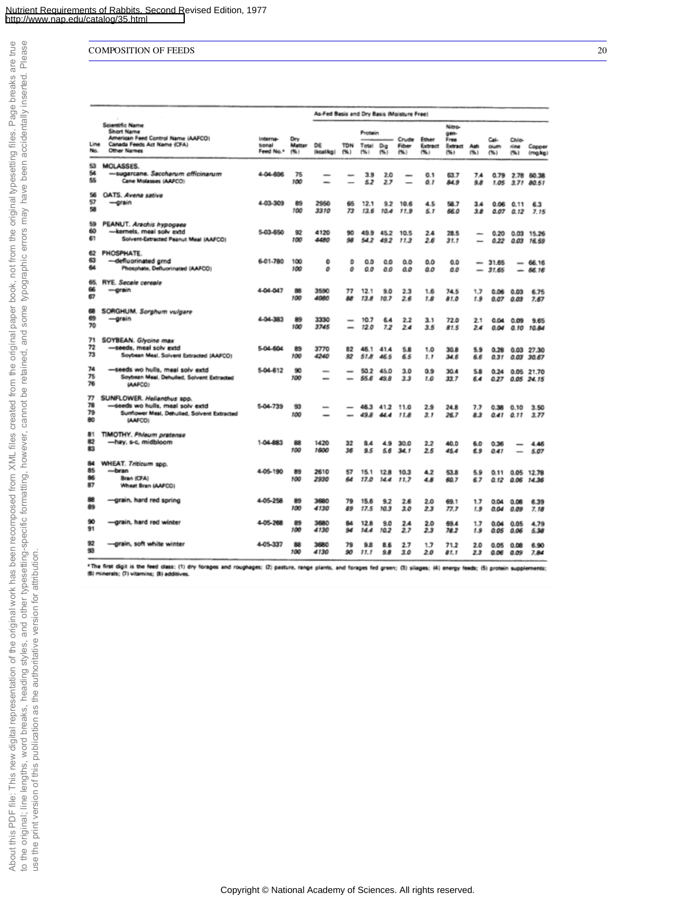|             |                                                                                |                     |                 | As-Fed Basis and Dry Basis (Moisture Free) |            |               |              |               |                |                |             |              |                          |                     |
|-------------|--------------------------------------------------------------------------------|---------------------|-----------------|--------------------------------------------|------------|---------------|--------------|---------------|----------------|----------------|-------------|--------------|--------------------------|---------------------|
|             | <b>Scientific Name</b><br><b>Short Name</b>                                    |                     |                 |                                            |            | Protein       |              |               |                | Nitro-<br>gen- |             |              |                          |                     |
|             | American Feed Control Name (AAFCO)                                             | Interna-            | Dry             |                                            |            |               |              | Crude         | Ether          | Free           |             | Cal-         | Chio-                    |                     |
| Line<br>No. | Canada Feeds Act Name (CFA)<br><b>Other Names</b>                              | tional<br>Feed No.* | Matter<br>456.3 | DE<br>(kcal/kg)                            | TDN<br>(%) | Total<br>(96) | Dig<br>(56)  | Fiber<br>(56) | Extract<br>OS) | Extract<br>(%) | Ash<br>(96) | cium<br>(96) | rine<br>(96)             | Copper<br>(mg/kg)   |
| 53          | <b>MOLASSES.</b>                                                               |                     |                 |                                            |            |               |              |               |                |                |             |              |                          |                     |
| 54<br>55    | -sugarcane. Saccharum officinarum<br>Carve Molasses (AAFCO)                    | 4-04-696            | 75<br>100       |                                            |            | 3.9<br>5.2    | 2.0<br>2.7   | $\sim$<br>-   | 0.1<br>0.1     | 63.7<br>84.9   | 7.4<br>9.8  | 0.79<br>1.05 | 2.78<br>3.71             | 60.38<br>80.51      |
| 56          | <b>OATS.</b> Avena sativa                                                      |                     |                 |                                            |            |               |              |               |                |                |             |              |                          |                     |
| 57<br>58    | -grain                                                                         | 4-03-309            | 89<br>100       | 2950<br>3310                               | 65<br>73   | 12.1<br>13.6  | 9.2<br>10.4  | 10.6<br>11.9  | 4.5<br>5.1     | 58.7<br>66.0   | 3.4<br>3.8  | 0.06<br>0.07 | 0.11<br>0.12             | 6.3<br>7.15         |
| 59          | PEANUT. Arachis hypogaea                                                       |                     |                 |                                            |            |               |              |               |                |                |             |              |                          |                     |
| 60<br>61    | -kernels, meal solv extd<br>Solvent-Extracted Peanut Meal (AAFCO)              | 5-03-650            | 92<br>100       | 4120<br>4480                               | 90<br>98   | 49.9<br>54.2  | 45.2         | 10.5          | 2.4            | 28.5           | -           | 0.20         | 0.03                     | 15.26               |
|             |                                                                                |                     |                 |                                            |            |               | 49.2         | 11.3          | 2.6            | 31.1           | -           | 0.22         | 0.03                     | 16.59               |
| 62<br>63    | PHOSPHATE.<br>-defluorinated grnd                                              | 6-01-780            | 100             | 0                                          | o          | 0.0           | 0.0          | 0.0           | 0.0            | 0.0            | -           | 31.65        | $\overline{\phantom{a}}$ | 66.16               |
| 64          | Phosphate, Defluorinated (AAFCO)                                               |                     | 100             | ٥                                          | ٥          | 0.0           | 0.0          | û.Ö           | 0.0            | 0.0            | -           | 31.65        |                          | 66.16               |
| 65.         | <b>RYE.</b> Secale cereale                                                     |                     |                 |                                            |            |               |              |               |                |                |             |              |                          |                     |
| 66<br>67    | -grain                                                                         | 4-04-047            | 88<br>100       | 3590<br>4080                               | 77<br>88   | 12.1<br>13.8  | 9.0<br>10.7  | 2.3<br>2.6    | 1.6<br>7.8     | 74.5           | 1.7         | 0.06         | 0.03                     | 6.75                |
|             |                                                                                |                     |                 |                                            |            |               |              |               |                | 81.0           | 1.9         | 0.07         | 0.03                     | 7.67                |
| 鴟<br>69     | SORGHUM. Sorghum vulgare<br>-grain                                             | 4-04-383            | 89              | 3330                                       |            | 10.7          | 6.4          | 2.2           | 3.1            | 72.0           | 2.1         | 0.04         | 0.09                     | 9.65                |
| 70          |                                                                                |                     | 100             | 3745                                       |            | 120           | 7.2          | 24            | 3.5            | 81.5           | 24          | 0.04         | 0.10                     | 10.84               |
| 71          | <b>SOYBEAN.</b> Glycine max                                                    |                     |                 |                                            |            |               |              |               |                |                |             |              |                          |                     |
| 72<br>73    | -seeds, meal solv extd.<br>Soybean Meal, Solvent Extracted (AAFCO)             | 5-04-604            | 89<br>100       | 3770<br>4240                               | 82<br>82   | 46.1<br>51.8  | 41.4<br>46.5 | 5.8<br>6.5    | 1.0<br>1.7     | 30.8           | 5.9         | 0.28         | 0.03                     | 27.30               |
| 74          |                                                                                |                     |                 |                                            |            |               |              |               |                | 34.6           | 6.6         | 0.31         | 0.03                     | 30.67               |
| 75          | -seeds wo hulls, meal solv extd<br>Soybean Meal, Dehuiled, Solvent Extracted   | 5-04-612            | 90<br>100       | $\overline{\phantom{a}}$                   | -          | 50.2<br>55.6  | 45.0<br>49.8 | 3.0<br>3.3    | 0.9<br>1.0     | 30.4<br>33.7   | 5.8<br>64   | 0.24<br>0.27 | 0.05                     | 21.70<br>0.05 24.15 |
| 76          | (AAFCO)                                                                        |                     |                 |                                            |            |               |              |               |                |                |             |              |                          |                     |
| 77          | SUNFLOWER. Helianthus spp.                                                     |                     |                 |                                            |            |               |              |               |                |                |             |              |                          |                     |
| 78<br>79    | -seeds wo hulls, meal solv extd<br>Sunflower Meal, Dehulled, Solvent Extracted | 5-04-739            | 93<br>100       |                                            |            | 46.3<br>49.8  | 41.2<br>44.d | 11.0<br>11.8  | 2.9<br>3.1     | 24.8<br>26.7   | 7.7<br>83   | 0.38<br>0.41 | 0.10                     | 3.50                |
| 80          | (AAFCO)                                                                        |                     |                 |                                            | -          |               |              |               |                |                |             |              | 0.11                     | 3.77                |
| 81          | TIMOTHY, Phleum pratense                                                       |                     |                 |                                            |            |               |              |               |                |                |             |              |                          |                     |
| 82<br>83    | -hay, s-c, midbloom                                                            | 1-04-883            | 88<br>100       | 1420<br>1600                               | 32<br>36   | 8.4<br>9.5    | 4.9<br>5.6   | 30.0<br>34.1  | 2.2<br>2.5     | 40.0<br>45.4   | 6.0<br>6.9  | 0.36         |                          | 4.46                |
|             |                                                                                |                     |                 |                                            |            |               |              |               |                |                |             | 0.41         |                          | 5.07                |
| 84<br>85    | WHEAT. Triticum spp.<br>$-bran$                                                | 4-05-190            | 89              | 2610                                       | 57         | 15.1          | 12.8         | 10.3          | 4.2            | 53.8           | 5.9         | 0.11         | 0.05                     | 12.78               |
| 86<br>87    | Bran (CFA)<br>Wheat Bran (AAFCO)                                               |                     | 100             | 2930                                       | 64         | 17.0          | 14.4         | 11,7          | 48             | 60.7           | 6.7         | 0.12         | 0.06                     | 14.36               |
|             |                                                                                |                     |                 |                                            |            |               |              |               |                |                |             |              |                          |                     |
| 88<br>89    | -grain, hard red spring                                                        | 4-05-258            | 89<br>100       | 3680<br>4130                               | 79<br>89   | 15.6<br>17.5  | 9.2<br>10.3  | 2.6<br>3.0    | 2.0<br>2.3     | 69.1<br>77.7   | 1.7<br>7.9  | 0.04<br>0.04 | 0.08                     | 6.39                |
|             |                                                                                |                     |                 |                                            |            |               |              |               |                |                |             |              | 0.09                     | 7.18                |
| 90<br>91    | -grain, hard red winter                                                        | 4-05-268            | 89<br>100       | 3680<br>4130                               | 84<br>94   | 12.8<br>14.4  | 9.0<br>70.2  | 2.4<br>2.7    | 2.0<br>2.3     | 69.4<br>78.2   | 1.7<br>1.9  | 0.04<br>0.05 | 0.05<br>0.06             | 4.79<br>5.38        |
| 92          | -grain, soft white winter                                                      | 4-05-337            | 88              | 3680                                       | 79         | 9.8           | 8.6          | 2.7           | 1,7            | 71.2           | 2.0         | 0.05         | 0.08                     | 6.90                |
| 93          |                                                                                |                     | 100             | 4130                                       | 90         | 11.1          | 98           | 3.0           | 2.0            | 81.1           | 2.3         | 0.06         | 0.09                     | 7.84                |

\*The first digit is the feed class: (1) dry forages and roughages; (2) pasture, range plants, and forages fed green; (3) silages; (4) energy feeds; (5) protein supplements;<br>(6) minerals; (7) vitamins; (8) additives.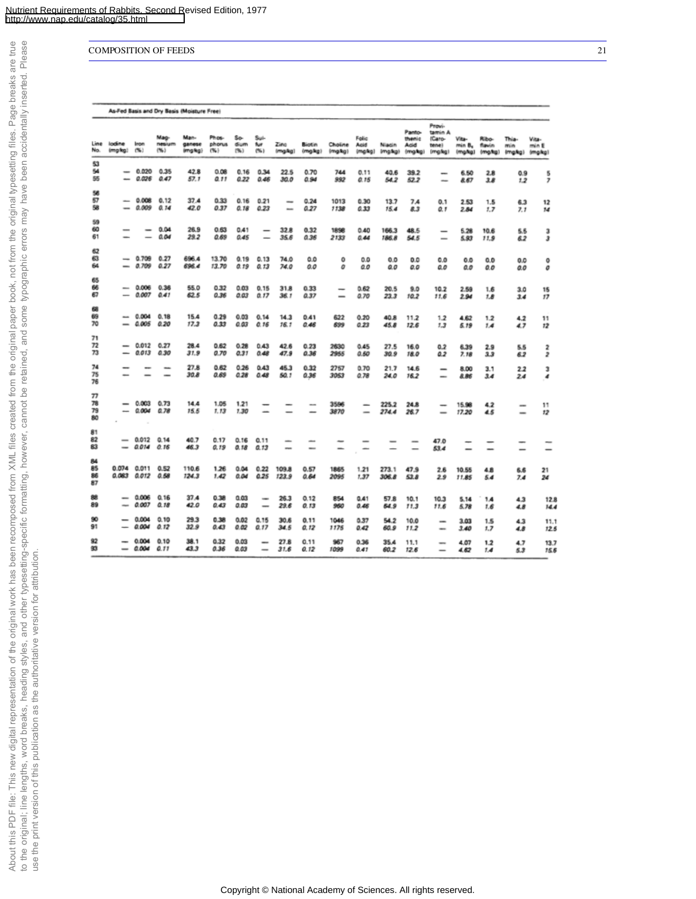|                                      |                                                      |                                    | Mag-                     | Man-              | Phos-          | So-                 | Sui-                                                 |                 |                                    |                   | Folic        |                | Panto-         | Provi-<br>tamin A                                    |                                        |                            |                               |                                                    |
|--------------------------------------|------------------------------------------------------|------------------------------------|--------------------------|-------------------|----------------|---------------------|------------------------------------------------------|-----------------|------------------------------------|-------------------|--------------|----------------|----------------|------------------------------------------------------|----------------------------------------|----------------------------|-------------------------------|----------------------------------------------------|
| Line<br>No.                          | lodine<br>(mg/kg)                                    | Iron<br>(56)                       | nesium<br>(%)            | ganese<br>img/kg) | phonus<br>(56) | <b>dium</b><br>(96) | <b>fur</b><br>(56)                                   | Zinc<br>(mg/kg) | Biotin<br>$\langle mq, kq \rangle$ | Choine<br>(mg/kg) | Acid         | Niacin         | thenic<br>Acid | ICaro-<br>tenel<br>(mg/kg) (mg/kg) (mg/kg) (mg/kg)   | Vita-<br>min B <sub>e</sub><br>(mg/kg) | Ribo-<br>flavin<br>(mg/kg) | Thia-<br>min<br>Imaka) imakai | Vita-<br>min E                                     |
| 53<br>54<br>55                       | -                                                    | $-0.020$<br>0.026                  | 0.35<br>0.47             | 42.8<br>57.1      | 0.08<br>0.11   | 0.16<br>0.22        | 0.34<br>0.46                                         | 22.5<br>30.0    | 0.70<br>0.94                       | 744<br>992        | 0.11<br>0.15 | 40.6<br>54.2   | 39.2<br>52.2   | -                                                    | 6.50<br>8.67                           | 2.8<br>3.8                 | 0.9<br>1.2                    | 5<br>7                                             |
| 56<br>57<br>58                       | $\overline{\phantom{a}}$                             | 0.008<br>0.009                     | 0.12<br>0, 14            | 37.4<br>42.0      | 0.33<br>0.37   | 0.16<br>0.18        | 0.21<br>0.23                                         | $\sim$<br>-     | 0.24<br>0.27                       | 1013<br>1138      | 0.30<br>0.33 | 13.7<br>15.4   | 7.4<br>8.3     | 0.1<br>0.1                                           | 2.53<br>2.84                           | 1.5<br>1,7                 | 6.3<br>7.1                    | 12<br>14                                           |
| 59<br>60<br>61                       | $\overline{\phantom{a}}$<br>-                        | $\sim$<br>$\overline{\phantom{0}}$ | 0.04<br>0.04             | 26.9<br>29.2      | 0.63<br>0.69   | 0.41<br>0.45        | -                                                    | 32.8<br>35.6    | 0.32<br>0.36                       | 1858<br>2133      | 0.40<br>0.44 | 166.3<br>186.8 | 48.5<br>54.5   | -                                                    | 5.28<br>5.93                           | 10.6<br>11.9               | 5.5<br>6.2                    | 3<br>з                                             |
| 62<br>63<br>64                       | $\overline{\phantom{a}}$<br>$\overline{\phantom{a}}$ | 0.709<br>0.709                     | 0.27<br>0.27             | 696.4<br>696.4    | 13.70<br>13.70 | 0.19<br>0.19        | 0.13<br>0.73                                         | 74.0<br>74.0    | 0.0<br>0.0                         | ٥<br>0            | 0.0<br>0.0   | 0.0<br>0.0     | 0.0<br>0.0     | 0.0<br>0.0                                           | 0.0<br>0.0                             | 0.0<br>0.0                 | 0.0<br>0.0                    | 0<br>o                                             |
| 65<br>66<br>67                       | $\overline{\phantom{a}}$                             | 0.006<br>0.007                     | 0.36<br>0.41             | 55.0<br>62.5      | 0.32<br>0.36   | 0.03<br>0.03        | 0.15<br>0.17                                         | 31.8<br>36.1    | 0.33<br>0.37                       | -                 | 0.62<br>0.70 | 20.5<br>23.3   | 9.0<br>10.2    | 10.2<br>11.6                                         | 2.59<br>2.94                           | 1.6<br>7.8                 | 3.0<br>3.4                    | 15<br>17                                           |
| 68<br>69<br>70                       | $\overline{\phantom{a}}$                             | 0.004<br>0.005                     | 0.18<br>0.20             | 15.4<br>17.3      | 0.29<br>0.33   | 0.03<br>0.03        | 0.14<br>0.16                                         | 14.3<br>16.1    | 0.41<br>0.46                       | 622<br>699        | 0.20<br>0.23 | 40.8<br>45.8   | 11.2<br>12.6   | 1.2<br>1,3                                           | 4.62<br>5.19                           | 1.2<br>1.4                 | 4.2<br>4.7                    | 11<br>12                                           |
| 71<br>72<br>73                       | $\overline{\phantom{a}}$<br>-                        | 0.012<br>0.013                     | 0.27<br>0.30             | 28.4<br>31.9      | 0.62<br>0.70   | 0.28<br>0.31        | 0.43<br>0.48                                         | 42.6<br>47.9    | 0.23<br>0.36                       | 2630<br>2955      | 0.45<br>0.50 | 27.5<br>30.9   | 16.0<br>18.0   | 0.2<br>0.2                                           | 6.39<br>7.18                           | 2.9<br>3.3                 | 5.5<br>6.2                    | $\overline{\mathbf{z}}$<br>$\overline{\mathbf{z}}$ |
| 74<br>75<br>76                       | $\overline{\phantom{a}}$                             | -                                  | $\overline{\phantom{a}}$ | 27.8<br>30.8      | 0.62<br>0.69   | 0.26<br>0.28        | 0.43<br>0.48                                         | 45.3<br>50.1    | 0.32<br>0.36                       | 2757<br>3053      | 0.70<br>0.78 | 21.7<br>24.0   | 14.6<br>16.2   | $\overline{\phantom{a}}$<br>$\overline{\phantom{a}}$ | 8.00<br>8.86                           | 3.1<br>3.4                 | 2.2<br>24                     | 3<br>4                                             |
| $\boldsymbol{\pi}$<br>78<br>79<br>80 | $\overline{\phantom{a}}$                             | 0.003<br>$-0.004$                  | 0.73<br>0.78             | 14.4<br>15.5      | 1.05<br>1.13   | 1.21<br>7.30        | $\overline{\phantom{a}}$<br>$\overline{\phantom{a}}$ |                 | $\overline{\phantom{a}}$           | 3556<br>3870      |              | 225.2<br>274.4 | 24.8<br>26.7   | -<br>$\overline{\phantom{a}}$                        | 15.98<br>17.20                         | 4.2<br>4.5                 |                               | 11<br>12                                           |
| 81<br>82<br>83                       | $\qquad \qquad$                                      | 0.012<br>$-0.014$                  | 0.14<br>0.16             | 40.7<br>46.3      | 0.17<br>0.19   | 0.16<br>0.18        | 0.11<br>0.13                                         | $\sim$          | $\sim$                             |                   | -<br>-       | $\sim$         | $\sim$<br>-    | 47.0<br>53.4                                         | $\sim$                                 | <b>State</b>               |                               |                                                    |
| 84<br>85<br>86<br>87                 | 0.074 0.011<br>0.083                                 | 0.012                              | 0.52<br>0.58             | 110.6<br>124.3    | 1.26<br>1.42   | 0.04<br>0.04        | 0.22<br>0.25                                         | 109.8<br>123.9  | 0.57<br>0.64                       | 1865<br>2095      | 1.21<br>1,37 | 273.1<br>306.8 | 47.9<br>53.8   | 2.6<br>2.9                                           | 10.55<br>11.85                         | 4.8<br>5.4                 | 6.6<br>7.4                    | 21<br>24                                           |
| 88<br>89                             | men.                                                 | 0.006<br>0.007                     | 0.16<br>0.18             | 37.4<br>42.0      | 0.38<br>0.43   | 0.03<br>0.03        | $\sim$<br>$\overline{\phantom{a}}$                   | 26.3<br>29.6    | 0.12<br>0.13                       | 854<br>960        | 0.41<br>0.46 | 57.8<br>54.9   | 10.1<br>11.3   | 10.3<br>11.6                                         | 5.14<br>5.78                           | 1.4<br>1.6                 | 43<br>4.8                     | 12.8<br>14.4                                       |
| 90<br>91                             | $\overline{\phantom{a}}$                             | 0.004<br>0.004                     | 0.10<br>0.12             | 29.3<br>32.9      | 0.38<br>0.43   | 0.02<br>0.02        | 0.15<br>0.17                                         | 30.6<br>34.5    | 0.11<br>0.12                       | 1046<br>1175      | 0.37<br>0.42 | 54.2<br>60.9   | 10.0<br>11.2   | $\overline{\phantom{a}}$<br>$\overline{\phantom{a}}$ | 3.03<br>3.40                           | 1.5<br>1.7                 | 4.3<br>4.8                    | 11.1<br>12.5                                       |
| 92<br>93                             |                                                      | 0.004<br>$-0.004$                  | 0.10<br>0.11             | 38.1<br>43.3      | 0.32<br>0.36   | 0.03<br>a.aa        | $\overline{\phantom{0}}$<br>$\overline{\phantom{a}}$ | 27.8<br>31.6    | 0.11<br>0.12                       | 967<br>1099       | 0.36<br>0.47 | 35.4<br>60.2   | 11.1<br>12.6   | $\overline{\phantom{a}}$<br>-                        | 4.07<br>4.62                           | 1.2<br>1.4                 | 4.7<br>5.3                    | 13.7<br>756                                        |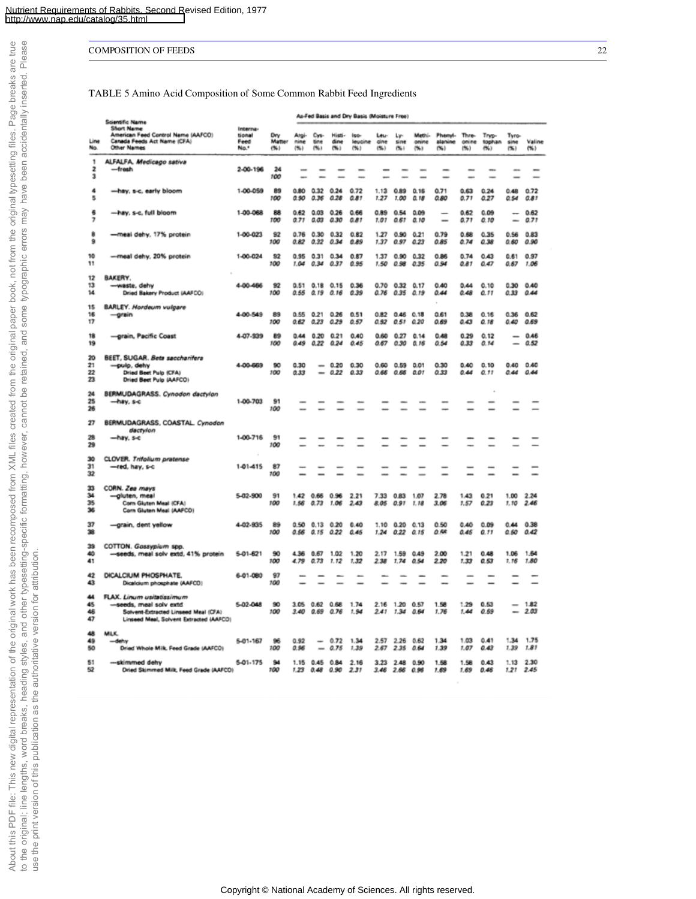# TABLE 5 Amino Acid Composition of Some Common Rabbit Feed Ingredients

| As-Fed Basis and Dry Basis (Moisture Free)<br><b>Scientific Name</b> |                                                                                                                                        |                                    |                       |                       |                               |                        |                           |                       |                      |               |                                         |               |                         |                          |               |
|----------------------------------------------------------------------|----------------------------------------------------------------------------------------------------------------------------------------|------------------------------------|-----------------------|-----------------------|-------------------------------|------------------------|---------------------------|-----------------------|----------------------|---------------|-----------------------------------------|---------------|-------------------------|--------------------------|---------------|
| Line<br>No.                                                          | <b>Short Namy</b><br>American Feed Control Name (AAFCO)<br>Canada Feeds Act Name (CFA)<br><b>Other Names</b>                           | Interna-<br>tional<br>Feed<br>No." | Dry<br>Matter<br>(96) | Argi-<br>nine<br>(96) | Cys-<br>tine<br>(96.1)        | Histi-<br>dine<br>(56) | Iso-<br>leucine<br>(96.1) | Leu-<br>cine<br>(54)  | Ly-<br>sine<br>(561) | onine<br>(96) | Methi- Phenyl- Thre-<br>alanine<br>(96) | onine<br>(56) | Tryp-<br>tophan<br>(56) | Tyro-<br>sine<br>(5)     | Valine<br>(%) |
| 1<br>$\overline{\mathbf{z}}$<br>3                                    | ALFALFA. Medicago sativa<br>-fresh                                                                                                     | 2-00-196                           | 24<br>100             |                       |                               |                        |                           | -                     |                      |               |                                         |               |                         |                          |               |
| 4<br>5                                                               | -hay, s-c, early bloom                                                                                                                 | 1-00-059                           | 動<br>100              | 0.80<br>0.90          | 0.32<br>0.36                  | 0.24<br>0.28           | 0.72<br>0.81              | 1,13<br>1.27          | 0.89<br>7.00         | 0.16<br>0.18  | 0.71<br>0.80                            | 0.63<br>0.77  | 0.24<br>0.27            | 0.48<br>0.54             | 0.72<br>0.81  |
| 6<br>$\overline{\phantom{a}}$                                        | -hay, s-c, full bloom                                                                                                                  | 1-00-068                           | 88<br>100             | 0.62<br>0.77          | 0.03<br>0.03                  | 0.26<br>0.30           | 0.66<br>0.87              | 0.89<br>7.01          | 0.54<br>0.67         | 0.09<br>0.10  |                                         | 0.62<br>0.77  | 0.09<br>0.70            | $\overline{\phantom{0}}$ | 0.62<br>0.71  |
| 8<br>э                                                               | -meal dehy, 17% protein                                                                                                                | 1-00-023                           | 92<br>100             | 0.76<br>0.82          | 0.30<br>0.32                  | 0.32<br>0.34           | 0.82<br>0.89              | 1,27<br>1,37          | 0.90<br>0.97         | 0.21<br>0.23  | 0.79<br>0.85                            | 0.68<br>0.74  | 0.35<br>0.38            | 0.56<br>0.60             | 0.83<br>0.90  |
| 10<br>11                                                             | -meal dehy, 20% protein                                                                                                                | 1-00-024                           | 92<br>100             | 0.95<br>1.04          | 0.31<br>0.34                  | 0.34<br>0.37           | 0.87<br>0.95              | 1.37<br>7.50          | 0.90<br>0.98         | 0.32<br>0.35  | 0.86<br>0.94                            | 0.74<br>0.81  | 0.43<br>0.47            | 0.61<br>0.67             | 0.97<br>1.06  |
| 12<br>13<br>14                                                       | <b>BAKERY.</b><br>-waste, dehy<br>Dried Bakery Product (AAFCO)                                                                         | 4-00-466                           | 92<br>100             | 0.61<br>0.55          | 0.18<br>0.19                  | 0.15<br>0.16           | 0.36<br>0.39              | 0.70<br>0.76          | 0.32<br>0.35         | 0.17<br>0.19  | 0.40<br>0.44                            | 0.44<br>0.48  | 0.10<br>0.11            | 0.30<br>0.33             | 0.40<br>0.44  |
| 15<br>16<br>17                                                       | <b>BARLEY.</b> Hordeum vulgare<br>-grain                                                                                               | 4-00-549                           | 89<br>100             | 0.55<br>0.62          | 0.21<br>0.23                  | 0.26<br>0.29           | 0.51<br>0.57              | 0.82<br>0.92          | 0.46<br>0.51         | 0.18<br>0.20  | 0.61<br>0.69                            | 0.38<br>0.43  | 0.16<br>0.18            | 0.36<br>0.40             | 0.62<br>0.69  |
| 18<br>19                                                             | -grain, Pacific Coast                                                                                                                  | 4-07-939                           | 89<br>100             | 0.44<br>0.49          | 0.20<br>0.22                  | 0.21<br>0.24           | 0.40<br>0.45              | 0.60<br>0.67          | 0.27<br>0.30         | 0.14<br>0.76  | 0.48<br>0.54                            | 0.29<br>0.33  | 0.12<br>0.14            | -                        | 0.46<br>0.52  |
| 20<br>21<br>22<br>23                                                 | <b>BEET, SUGAR. Beta saccharifera</b><br>-puip, dehy<br>Dried Beet Pulp (CFA)<br>Dried Beet Pulp (AAFCO)                               | 4-00-669                           | 90<br>100             | 0.30<br>0.33          | -<br>-                        | 0.20<br>0.22           | 0.30<br>0.33              | 0.60<br>0.66          | 0.59<br>0.66         | 0.01<br>0.01  | 0.30<br>0.33                            | 0.40<br>0.44  | 0.10<br>0.77            | 0.40<br>0.44             | 0.40<br>0.44  |
| 24<br>25<br>26                                                       | BERMUDAGRASS. Cynodon dactylon<br>-hay, s-c                                                                                            | 1-00-703                           | 91<br>100             |                       |                               |                        |                           |                       |                      |               |                                         |               |                         |                          |               |
| 27                                                                   | BERMUDAGRASS, COASTAL, Cynodon<br>dactylon                                                                                             |                                    |                       |                       |                               |                        |                           |                       |                      |               |                                         |               |                         |                          |               |
| 28<br>29                                                             | -hay, s-c                                                                                                                              | 1-00-716                           | 91<br>100             |                       |                               |                        |                           |                       |                      |               |                                         |               |                         |                          |               |
| 30<br>31<br>32                                                       | CLOVER. Trifolium pratense<br>-red, hay, s-c                                                                                           | 1-01-415                           | 87<br>100             |                       |                               |                        |                           |                       |                      |               |                                         |               |                         |                          |               |
| 33<br>34<br>35<br>36                                                 | CORN. Zea mays<br>-gluten, meal<br>Corn Gluten Meal (CFA)<br>Corn Gluten Meal (AAFCO)                                                  | 5-02-900                           | 91<br>100             | 1.42<br>1.56          | 0.66<br>0.73                  | 0.96<br>7.06           | 2.21<br>2.43              | 7.33<br>8.05          | 0.83<br>0.97         | 1.07<br>1.18  | 2.78<br>3.06                            | 1.43<br>7.57  | 0.21<br>0.23            | 1.00<br>7.70             | 2.24<br>2.46  |
| 37<br>38                                                             | -grain, dent yellow                                                                                                                    | 4-02-935                           | 89<br>100             | 0.50<br>0.56          | 0.13<br>0.15                  | 0.20<br>0.22           | 0.40<br>0.45              | 1.10<br>1.24          | 0.20<br>0.22         | 0.13<br>0.15  | 0.50<br>0.55                            | 0.40<br>0.45  | 0.09<br>0.77            | 0.44<br>0.50             | 0.38<br>0.42  |
| 39<br>40<br>41                                                       | COTTON, Gassypium spp.<br>-seeds, meal solv extd, 41% protein                                                                          | 5-01-621                           | 90<br>100             | 4.36<br>4.79          | 0.67<br>0.73                  | 1.02<br>7.72           | 1.20<br>7.32              | 2.17<br>2.38          | 1.59<br>1,74         | 0.49<br>0.54  | 2.00<br>2.20                            | 1.21<br>7.33  | 0.48<br>0.53            | 1.06<br>7.76             | 1.64<br>1.80  |
| 42<br>43                                                             | DICALCIUM PHOSPHATE.<br>Dicalcium phosphate (AAFCO)                                                                                    | 6-01-080                           | 97<br>100             |                       |                               |                        |                           |                       |                      |               |                                         |               |                         |                          |               |
| 44<br>45<br>46<br>47                                                 | FLAX. Linum usitatissimum<br>-seeds, meal solv extd<br>Solvent-Extracted Linseed Meal (CFA)<br>Linseed Meal, Solvent Extracted (AAFCO) | 5-02-048                           | 90<br>100             | 3.05<br>3.40          | 0.62<br>0.69                  | 0.68<br>0.76           | 1.74<br>7.94              | 2.16<br>241           | 1,20<br>1.34         | 0.57<br>0.64  | 1.58<br>7.76                            | 1.29<br>1.44  | 0.53<br>0.59            |                          | 1.82<br>2.03  |
| 48<br>49<br>50                                                       | <b>MILK.</b><br>-dehy<br>Dried Whole Milk, Feed Grade (AAFCO)                                                                          | 5-01-167                           | 96<br>100             | 0.92<br>0.96          | -<br>$\overline{\phantom{a}}$ | 0.72<br>0.75           | 1.34<br>1.39              | 2.57<br>2.67          | 2.26<br>2.35         | 0.62<br>0.64  | 1.34<br>1.39                            | 1.03<br>1.07  | 0.41<br>0.43            | 1.34<br>1.39             | 1.75<br>1.81  |
| 51<br>52                                                             | -skimmed dehy<br>Dried Skimmed Milk, Feed Grade (AAFCO)                                                                                | 5-01-175                           | 94<br>100             | 1.15<br>1,23          | 0.45<br>0.48                  | 0.84<br>0.90           | 2.16<br>2.31              | 3.23<br>$3.46$ $2.66$ | 2.48                 | 0.90<br>0.96  | 1.58<br>1.69                            | 1.58<br>1.69  | 0.43<br>0.46            | 1.13<br>1.21             | 2.30<br>2.45  |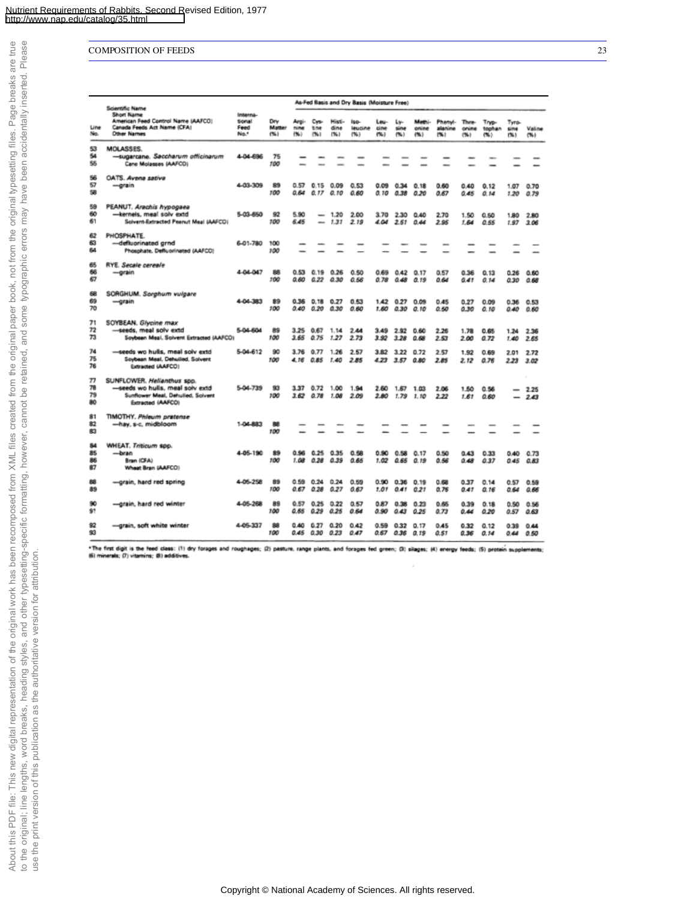|                      |                                                                                                                                        |                                          |                       | As-Fed Basis and Dry Basis (Moisture Free) |                                                      |                        |                         |                            |                     |                         |                            |                        |                         |                       |                |
|----------------------|----------------------------------------------------------------------------------------------------------------------------------------|------------------------------------------|-----------------------|--------------------------------------------|------------------------------------------------------|------------------------|-------------------------|----------------------------|---------------------|-------------------------|----------------------------|------------------------|-------------------------|-----------------------|----------------|
| Line<br>No.          | <b>Scientific Name</b><br><b>Short Name</b><br>American Feed Control Name (AAFCO)<br>Canada Feeds Act Name (CFA)<br><b>Other Names</b> | Interna-<br><b>Sonal</b><br>Feed<br>No." | Drv<br>Matter<br>(56) | Argi-<br>nine<br>(96)                      | Cys-<br>tine<br>(%)                                  | Histi-<br>dine<br>(56) | Iso-<br>leucine<br>(96) | Leu-<br>cine<br><b>(%)</b> | Ly.<br>sine<br>(96) | Methi-<br>onine<br>4563 | Phenyl-<br>alanine<br>1961 | Thre-<br>onine<br>(56) | Tryp-<br>tophan<br>en : | Tyro-<br>sine<br>(56) | Valine<br>(56) |
| 53<br>54<br>55       | <b>MOLASSES.</b><br>-sugarcane. Saccharum officinarum<br>Cane Molasses (AAFCO)                                                         | 4-04-696                                 | 75<br>100             |                                            |                                                      |                        |                         |                            |                     |                         |                            |                        |                         |                       |                |
| 56<br>57<br>58       | OATS. Avena sativa<br>-grain                                                                                                           | 4-03-309                                 | 89<br>100             | 0.57<br>0.64                               | 0.15<br>0.77                                         | 0.09<br>0.70           | 0.53<br>0.60            | 0.09<br>0.70               | 0.34<br>0.38        | 0.18<br>0.20            | 0.60<br>0.67               | 0.40<br>0.45           | 0.12<br>0.14            | 1.07<br>1.20          | 0.70<br>0.79   |
| 59<br>60<br>61       | PEANUT. Arachis hypogaea<br>-kernels, meal solv extd<br>Solvent-Extracted Peanut Meal (AAFCO)                                          | 5-03-650                                 | 92<br>100             | 5.90<br>6.45                               | $\overline{\phantom{a}}$<br>$\overline{\phantom{a}}$ | 1,20<br>1.31           | 2.00<br>219             | 3.70<br>4.OA               | 2.30<br>2.51        | 0.40<br>0.44            | 2.70<br>2.95               | 1.50<br>1.64           | 0.50<br>0.55            | 1,80<br>1.97          | 2.80<br>3.06   |
| 62<br>63<br>64       | PHOSPHATE.<br>-defluorinated grnd<br>Phosphate, Defluorinated (AAFCO)                                                                  | 6-01-780                                 | 100<br>100            |                                            |                                                      |                        |                         |                            |                     |                         |                            |                        |                         |                       |                |
| 65<br>66<br>67       | <b>RYE. Secale cereale</b><br>-grain                                                                                                   | 4-04-047                                 | 88<br>100             | 0.53<br>0.60                               | 0.19<br>0.22                                         | 0.26<br>0.30           | 0.50<br>0.56            | 0.69<br>0.78               | 0.42<br>0.48        | 0.17<br>0.19            | 0.57<br>0.64               | 0.36<br>0.41           | 0.13<br>0.14            | 0.26<br>0.30          | 0.60<br>0.68   |
| 68<br>69<br>70       | SORGHUM. Sorghum vulgare<br>-grain                                                                                                     | 4-04-383                                 | 89<br>100             | 0.36<br>0.40                               | 0.18<br>0.20                                         | 0.27<br>0.30           | 0.53<br>0.60            | 1.42<br>1,60               | 0.27<br>0.30        | 0.09<br>0.10            | 0.45<br>0.50               | 0.27<br>0.30           | 0.09<br>0.10            | 0.36<br>0.40          | 0.53<br>0.60   |
| 71<br>72<br>73       | SOYBEAN. Glycine max<br>-seeds, meal solv extd<br>Soybean Meal, Solvent Extracted (AAFCO)                                              | 5-04-604                                 | 89<br>100             | 3.25<br>3.65                               | 0.67<br>0.75                                         | 1.14<br>1.27           | 2.44<br>2.73            | 3.49<br>3.92               | 2.92<br>3.28        | 0.60<br>0.68            | 2.26<br>2.53               | 1.78<br>2.00           | 0.65<br>0.72            | 1.24<br>1.40          | 2.36<br>2.65   |
| 74<br>75<br>76       | -seeds wo hulls, meal solv extd<br>Sovbean Meal, Dehulled, Solvent<br>Extracted (AAFCO)                                                | 5-04-612                                 | 90<br>100             | 3.76<br>4,16                               | 0.77<br>0.85                                         | 1.26<br>1.40           | 2.57<br>2.85            | 3.82<br>4.23               | 3.22<br>3.57        | 0.72<br>0.80            | 2.57<br>2.85               | 1.92<br>2.12           | 0.69<br>0.76            | 2.01<br>2.23          | 2.72<br>3.02   |
| 77<br>78<br>79<br>80 | SUNFLOWER. Helianthus spp.<br>-seeds wo hulls, meal solv extd<br>Sunflower Meal, Dehulled, Solvent<br>Extracted (AAFCO)                | 5-04-739                                 | 93<br>100             | 3.37<br>3.62                               | 0.72<br>0.78                                         | 1.00<br>7.08           | 1.94<br>2.09            | 2.60<br>2.80               | 1.67<br>1.79        | 1.03<br>1.10            | 2.06<br>2.22               | 1.50<br>1.61           | 0.56<br>0.60            |                       | 2.25<br>243    |
| 81<br>82<br>83       | TIMOTHY. Phleum pratense<br>-hay, s-c, midbloom                                                                                        | $1 - 04 - 883$                           | 88<br>100             |                                            |                                                      |                        |                         |                            |                     |                         |                            |                        |                         |                       |                |
| 84<br>85<br>86<br>87 | WHEAT. Triticum spp.<br>$-braa$<br>Bran (CFA)<br>Wheat Bran (AAFCO)                                                                    | 4-05-190                                 | 89<br>100             | 0.96<br>7.08                               | 0.25<br>0.28                                         | 0.35<br>0.39           | 0.58<br>0.65            | 0.90<br>1.02               | 0.58<br>0.65        | 0.17<br>0.19            | 0.50<br>0.56               | 0.43<br>0.48           | 0.33<br>0.37            | 0.40<br>0.45          | 0.73<br>0.83   |
| 88<br>89             | -grain, hard red spring                                                                                                                | 4-05-258                                 | 89<br>100             | 0.59<br>0.67                               | 0.24<br>0.28                                         | 0.24<br>0.27           | 0.59<br>0.67            | 0.90<br>7.01               | 0.36<br>0.41        | 0.19<br>0.27            | 0.68<br>0.76               | 0.37<br>0.47           | 0.14<br>0.76            | 0.57<br>0.64          | 0.59<br>0.66   |
| 90<br>91             | -grain, hard red winter                                                                                                                | 4-05-268                                 | 89<br>100             | 0.57<br>0.65                               | 0.25<br>0.29                                         | 0.22<br>0.25           | 0.57<br>0.64            | 0.87<br>0.90               | 0.38<br>0.43        | 0.23<br>0.25            | 0.65<br>0.73               | 0.39<br>0.44           | 0.18<br>0.20            | 0.50<br>0.57          | 0.56<br>0.63   |
| 92<br>93             | -grain, soft white winter                                                                                                              | 4-05-337                                 | 88<br>100             | 0.40<br>0.45                               | 0.27<br>0.30                                         | 0.20<br>0.23           | 0.42<br>0.47            | 0.59<br>0.67               | 0.32<br>0.36        | 0.17<br>0.19            | 0.45<br>0.51               | 0.32<br>0.36           | 0.12<br>0.14            | 0.39<br>0.44          | 0.44<br>0.50   |

\*The first digit is the feed class: (1) dry forages and roughages; (2) pasture, range plants, and forages fed green; (3) silages; (4) energy feeds; (5) protein supplements;<br>(6) minerals; (7) vitamins; (8) additives.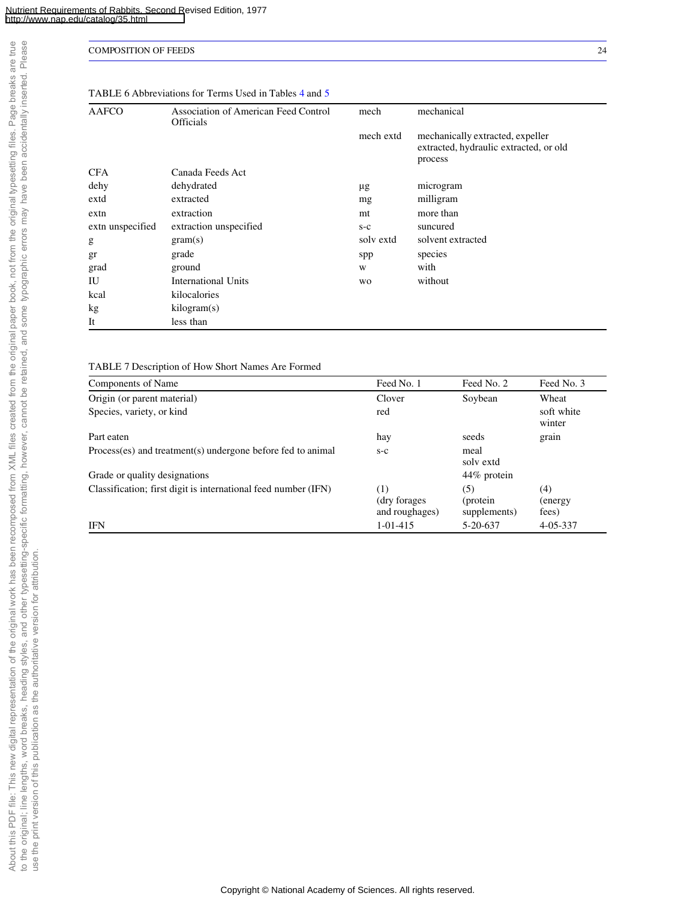# TABLE 6 Abbreviations for Terms Used in Tables 4 and 5

| Association of American Feed Control<br>AAFCO<br><b>Officials</b> |                        | mech      | mechanical                                                                 |
|-------------------------------------------------------------------|------------------------|-----------|----------------------------------------------------------------------------|
|                                                                   |                        | mech extd | mechanically extracted, expeller<br>extracted, hydraulic extracted, or old |
| <b>CFA</b>                                                        | Canada Feeds Act       |           | process                                                                    |
|                                                                   |                        |           |                                                                            |
| dehy                                                              | dehydrated             | $\mu$ g   | microgram                                                                  |
| extd                                                              | extracted              | mg        | milligram                                                                  |
| extn                                                              | extraction             | mt        | more than                                                                  |
| extn unspecified                                                  | extraction unspecified | $S-C$     | suncured                                                                   |
| g                                                                 | gram(s)                | solv extd | solvent extracted                                                          |
| gr                                                                | grade                  | spp       | species                                                                    |
| grad                                                              | ground                 | W         | with                                                                       |
| IU                                                                | International Units    | <b>WO</b> | without                                                                    |
| kcal                                                              | kilocalories           |           |                                                                            |
| kg                                                                | kilogram(s)            |           |                                                                            |
| It                                                                | less than              |           |                                                                            |

# TABLE 7 Description of How Short Names Are Formed

| Components of Name                                             | Feed No. 1                             | Feed No. 2                       | Feed No. 3               |
|----------------------------------------------------------------|----------------------------------------|----------------------------------|--------------------------|
| Origin (or parent material)                                    | Clover                                 | Soybean                          | Wheat                    |
| Species, variety, or kind                                      | red                                    |                                  | soft white<br>winter     |
| Part eaten                                                     | hay                                    | seeds                            | grain                    |
| Process(es) and treatment(s) undergone before fed to animal    | $S-C$                                  | meal<br>solv extd                |                          |
| Grade or quality designations                                  |                                        | 44% protein                      |                          |
| Classification; first digit is international feed number (IFN) | (1)<br>(dry forages)<br>and roughages) | (5)<br>(protein)<br>supplements) | (4)<br>(energy)<br>fees) |
| <b>IFN</b>                                                     | $1 - 01 - 415$                         | 5-20-637                         | $4 - 05 - 337$           |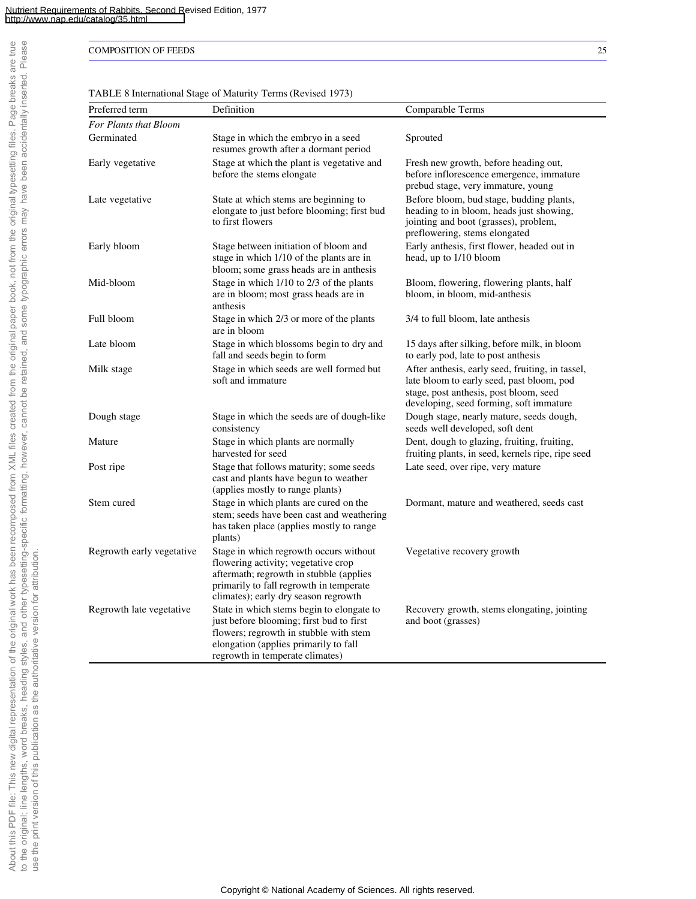About this PDF file: This new digital representation of the original work has been recomposed from XML files created from the original baper book, not from the original typesetting files. Page breaks are true to the original; line lengths, word breaks, heading styles, and other typesetting-specific formatting, however, cannot be retained, and some typographic errors may have been accidentally inserted. Please

About this PDF file: This new digital representation of the original work has been recomposed from XML files created from the original pook, not from the original typesetting files. Page breaks are true<br>to the original; li

use the print version of this publication as the authoritative version for attribution.

# COMPOSITION OF FEEDS 25

| TABLE 8 International Stage of Maturity Terms (Revised 1973) |  |  |  |  |  |
|--------------------------------------------------------------|--|--|--|--|--|
|--------------------------------------------------------------|--|--|--|--|--|

| Preferred term            | Definition                                                                                                                                                                                                  | Comparable Terms                                                                                                                                                                   |
|---------------------------|-------------------------------------------------------------------------------------------------------------------------------------------------------------------------------------------------------------|------------------------------------------------------------------------------------------------------------------------------------------------------------------------------------|
| For Plants that Bloom     |                                                                                                                                                                                                             |                                                                                                                                                                                    |
| Germinated                | Stage in which the embryo in a seed<br>resumes growth after a dormant period                                                                                                                                | Sprouted                                                                                                                                                                           |
| Early vegetative          | Stage at which the plant is vegetative and<br>before the stems elongate                                                                                                                                     | Fresh new growth, before heading out,<br>before inflorescence emergence, immature<br>prebud stage, very immature, young                                                            |
| Late vegetative           | State at which stems are beginning to<br>elongate to just before blooming; first bud<br>to first flowers                                                                                                    | Before bloom, bud stage, budding plants,<br>heading to in bloom, heads just showing,<br>jointing and boot (grasses), problem,<br>preflowering, stems elongated                     |
| Early bloom               | Stage between initiation of bloom and<br>stage in which 1/10 of the plants are in<br>bloom; some grass heads are in anthesis                                                                                | Early anthesis, first flower, headed out in<br>head, up to 1/10 bloom                                                                                                              |
| Mid-bloom                 | Stage in which 1/10 to 2/3 of the plants<br>are in bloom; most grass heads are in<br>anthesis                                                                                                               | Bloom, flowering, flowering plants, half<br>bloom, in bloom, mid-anthesis                                                                                                          |
| Full bloom                | Stage in which 2/3 or more of the plants<br>are in bloom                                                                                                                                                    | 3/4 to full bloom, late anthesis                                                                                                                                                   |
| Late bloom                | Stage in which blossoms begin to dry and<br>fall and seeds begin to form                                                                                                                                    | 15 days after silking, before milk, in bloom<br>to early pod, late to post anthesis                                                                                                |
| Milk stage                | Stage in which seeds are well formed but<br>soft and immature                                                                                                                                               | After anthesis, early seed, fruiting, in tassel,<br>late bloom to early seed, past bloom, pod<br>stage, post anthesis, post bloom, seed<br>developing, seed forming, soft immature |
| Dough stage               | Stage in which the seeds are of dough-like<br>consistency                                                                                                                                                   | Dough stage, nearly mature, seeds dough,<br>seeds well developed, soft dent                                                                                                        |
| Mature                    | Stage in which plants are normally<br>harvested for seed                                                                                                                                                    | Dent, dough to glazing, fruiting, fruiting,<br>fruiting plants, in seed, kernels ripe, ripe seed                                                                                   |
| Post ripe                 | Stage that follows maturity; some seeds<br>cast and plants have begun to weather<br>(applies mostly to range plants)                                                                                        | Late seed, over ripe, very mature                                                                                                                                                  |
| Stem cured                | Stage in which plants are cured on the<br>stem; seeds have been cast and weathering<br>has taken place (applies mostly to range<br>plants)                                                                  | Dormant, mature and weathered, seeds cast                                                                                                                                          |
| Regrowth early vegetative | Stage in which regrowth occurs without<br>flowering activity; vegetative crop<br>aftermath; regrowth in stubble (applies<br>primarily to fall regrowth in temperate<br>climates); early dry season regrowth | Vegetative recovery growth                                                                                                                                                         |
| Regrowth late vegetative  | State in which stems begin to elongate to<br>just before blooming; first bud to first<br>flowers; regrowth in stubble with stem<br>elongation (applies primarily to fall<br>regrowth in temperate climates) | Recovery growth, stems elongating, jointing<br>and boot (grasses)                                                                                                                  |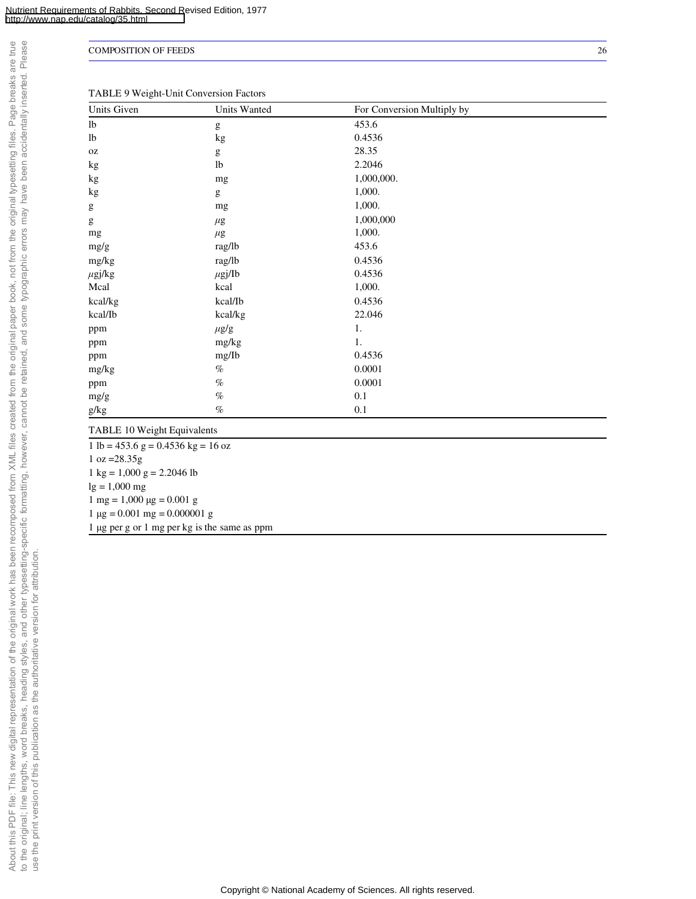| Units Given                                                                                                                                                                                                                                                                                                                                                                                                                    | <b>Units Wanted</b> | For Conversion Multiply by |  |  |  |
|--------------------------------------------------------------------------------------------------------------------------------------------------------------------------------------------------------------------------------------------------------------------------------------------------------------------------------------------------------------------------------------------------------------------------------|---------------------|----------------------------|--|--|--|
| lb                                                                                                                                                                                                                                                                                                                                                                                                                             | g                   | 453.6                      |  |  |  |
| lb                                                                                                                                                                                                                                                                                                                                                                                                                             | kg                  | 0.4536                     |  |  |  |
| <b>OZ</b>                                                                                                                                                                                                                                                                                                                                                                                                                      | g                   | 28.35                      |  |  |  |
| kg                                                                                                                                                                                                                                                                                                                                                                                                                             | <b>lb</b>           | 2.2046                     |  |  |  |
| kg                                                                                                                                                                                                                                                                                                                                                                                                                             | mg                  | 1,000,000.                 |  |  |  |
| kg                                                                                                                                                                                                                                                                                                                                                                                                                             | g                   | 1,000.                     |  |  |  |
| g                                                                                                                                                                                                                                                                                                                                                                                                                              | mg                  | 1,000.                     |  |  |  |
| $\mathbf{g}% _{T}=\mathbf{g}_{T}=\mathbf{g}_{T}=\mathbf{g}_{T}=\mathbf{g}_{T}=\mathbf{g}_{T}=\mathbf{g}_{T}=\mathbf{g}_{T}=\mathbf{g}_{T}=\mathbf{g}_{T}=\mathbf{g}_{T}=\mathbf{g}_{T}=\mathbf{g}_{T}=\mathbf{g}_{T}=\mathbf{g}_{T}=\mathbf{g}_{T}=\mathbf{g}_{T}=\mathbf{g}_{T}=\mathbf{g}_{T}=\mathbf{g}_{T}=\mathbf{g}_{T}=\mathbf{g}_{T}=\mathbf{g}_{T}=\mathbf{g}_{T}=\mathbf{g}_{T}=\mathbf{g}_{T}=\mathbf{g}_{T}=\math$ | $\mu\mathrm{g}$     | 1,000,000                  |  |  |  |
| mg                                                                                                                                                                                                                                                                                                                                                                                                                             | $\mu\mathrm{g}$     | 1,000.                     |  |  |  |
| mg/g                                                                                                                                                                                                                                                                                                                                                                                                                           | rag/lb              | 453.6                      |  |  |  |
| mg/kg                                                                                                                                                                                                                                                                                                                                                                                                                          | rag/lb              | 0.4536                     |  |  |  |
| $\mu$ gj/kg                                                                                                                                                                                                                                                                                                                                                                                                                    | $\mu$ gj/Ib         | 0.4536                     |  |  |  |
| Mcal                                                                                                                                                                                                                                                                                                                                                                                                                           | kcal                | 1,000.                     |  |  |  |
| kcal/kg                                                                                                                                                                                                                                                                                                                                                                                                                        | kcal/Ib             | 0.4536                     |  |  |  |
| kcal/Ib                                                                                                                                                                                                                                                                                                                                                                                                                        | kcal/kg             | 22.046                     |  |  |  |
| ppm                                                                                                                                                                                                                                                                                                                                                                                                                            | $\mu$ g/g           | 1.                         |  |  |  |
| ppm                                                                                                                                                                                                                                                                                                                                                                                                                            | mg/kg               | 1.                         |  |  |  |
| ppm                                                                                                                                                                                                                                                                                                                                                                                                                            | mg/lb               | 0.4536                     |  |  |  |
| mg/kg                                                                                                                                                                                                                                                                                                                                                                                                                          | $\%$                | 0.0001                     |  |  |  |
| ppm                                                                                                                                                                                                                                                                                                                                                                                                                            | $\%$                | 0.0001                     |  |  |  |
| mg/g                                                                                                                                                                                                                                                                                                                                                                                                                           | $\%$                | 0.1                        |  |  |  |
| g/kg                                                                                                                                                                                                                                                                                                                                                                                                                           | $\%$                | 0.1                        |  |  |  |
| TABLE 10 Weight Equivalents                                                                                                                                                                                                                                                                                                                                                                                                    |                     |                            |  |  |  |
| $1 lb = 453.6 g = 0.4536 kg = 16 oz$                                                                                                                                                                                                                                                                                                                                                                                           |                     |                            |  |  |  |

 $1 lb = 453.6 g = 0.4536 kg = 16 oz$ 1 oz =28.35g  $1 \text{ kg} = 1,000 \text{ g} = 2.2046 \text{ lb}$ lg = 1,000 mg  $1 \text{ mg} = 1,000 \text{ µg} = 0.001 \text{ g}$  $1 \mu$ g = 0.001 mg = 0.000001 g 1 µg per g or 1 mg per kg is the same as ppm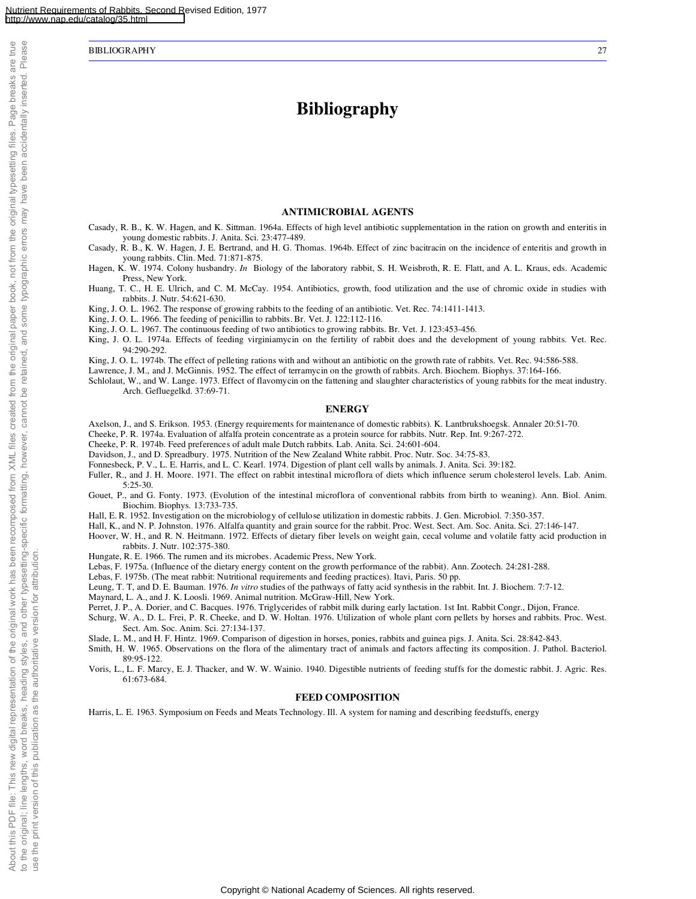# **Bibliography**

# **ANTIMICROBIAL AGENTS**

- Casady, R. B., K. W. Hagen, and K. Sittman. 1964a. Effects of high level antibiotic supplementation in the ration on growth and enteritis in young domestic rabbits.J. Anita. Sci. 23:477-489.
- Casady, R. B., K. W. Hagen, J. E. Bertrand, and H. G. Thomas. 1964b. Effect of zinc bacitracin on the incidence of enteritis and growth in young rabbits. Clin. Med. 71:871-875.
- Hagen, K. W. 1974. Colony husbandry. *In* Biology of the laboratory rabbit, S. H. Weisbroth, R. E. Flatt, and A. L. Kraus, eds. Academic Press, New York.
- Huang, T. C., H. E. Ulrich, and C. M. McCay. 1954. Antibiotics, growth, food utilization and the use of chromic oxide in studies with rabbits. J. Nutr. 54:621-630.
- King, J. O. L. 1962. The response of growing rabbits to the feeding of an antibiotic. Vet. Rec. 74:1411-1413.
- King, J. O. L. 1966. The feeding of penicillin to rabbits. Br. Vet. J. 122:112-116.
- King, J. O. L. 1967. The continuous feeding of two antibiotics to growing rabbits. Br. Vet. J. 123:453-456.
- King, J. O. L. 1974a. Effects of feeding virginiamycin on the fertility of rabbit does and the development of young rabbits. Vet. Rec. 94:290-292.
- King, J. O. L. 1974b. The effect of pelleting rations with and without an antibiotic on the growth rate of rabbits. Vet. Rec. 94:586-588.
- Lawrence, J. M., and J. McGinnis. 1952. The effect of terramycin on the growth of rabbits. Arch. Biochem. Biophys. 37:164-166.
- Schlolaut, W., and W. Lange. 1973. Effect of flavomycin on the fattening and slaughter characteristics of young rabbits for the meat industry. Arch. Gefluegelkd. 37:69-71.

#### **ENERGY**

- Axelson, J., and S. Erikson. 1953. (Energy requirements for maintenance of domestic rabbits). K. Lantbrukshoegsk. Annaler 20:51-70.
- Cheeke, P. R. 1974a. Evaluation of alfalfa protein concentrate as a protein source for rabbits. Nutr. Rep. Int. 9:267-272.
- Cheeke, P. R. 1974b. Feed preferences of adult male Dutch rabbits. Lab. Anita. Sci. 24:601-604.
- Davidson, J., and D. Spreadbury. 1975. Nutrition of the New Zealand White rabbit. Proc. Nutr. Soc. 34:75-83.
- Fonnesbeck, P. V., L. E. Harris, and L. C. Kearl. 1974. Digestion of plant cell walls by animals. J. Anita. Sci. 39:182.
- Fuller, R., and J. H. Moore. 1971. The effect on rabbit intestinal microflora of diets which influence serum cholesterol levels. Lab. Anim. 5:25-30.
- Gouet, P., and G. Fonty. 1973. (Evolution of the intestinal microflora of conventional rabbits from birth to weaning). Ann. Biol. Anim. Biochim. Biophys. 13:733-735.
- Hall, E. R. 1952. Investigation on the microbiology of cellulose utilization in domestic rabbits. J. Gen. Microbiol. 7:350-357.
- Hall, K., and N. P. Johnston. 1976. Alfalfa quantity and grain source for the rabbit. Proc. West. Sect. Am. Soc. Anita. Sci. 27:146-147.
- Hoover, W. H., and R. N. Heitmann. 1972. Effects of dietary fiber levels on weight gain, cecal volume and volatile fatty acid production in rabbits. J. Nutr. 102:375-380.
- Hungate, R. E. 1966. The rumen and its microbes. Academic Press, New York.
- Lebas, F. 1975a. (Influence of the dietary energy content on the growth performance of the rabbit). Ann. Zootech. 24:281-288.
- Lebas, F. 1975b. (The meat rabbit: Nutritional requirements and feeding practices). Itavi, Paris. 50 pp.
- Leung, T. T, and D. E. Bauman. 1976. *In vitro* studies of the pathways of fatty acid synthesis in the rabbit. Int. J. Biochem. 7:7-12.
- Maynard, L. A., and J. K. Loosli. 1969. Animal nutrition. McGraw-Hill, New York.
- Perret, J. P., A. Dorier, and C. Bacques. 1976. Triglycerides of rabbit milk during early lactation. 1st Int. Rabbit Congr., Dijon, France.
- Schurg, W. A., D. L. Frei, P. R. Cheeke, and D. W. Holtan. 1976. Utilization of whole plant corn pellets by horses and rabbits. Proc. West. Sect. Am. Soc. Anim. Sci. 27:134-137.
- Slade, L. M., and H. F. Hintz. 1969. Comparison of digestion in horses, ponies, rabbits and guinea pigs. J. Anita. Sci. 28:842-843.
- Smith, H. W. 1965. Observations on the flora of the alimentary tract of animals and factors affecting its composition. J. Pathol. Bacteriol.
- 89:95-122.
- Voris, L., L. F. Marcy, E. J. Thacker, and W. W. Wainio. 1940. Digestible nutrients of feeding stuffs for the domestic rabbit. J. Agric. Res. 61:673-684.

# **FEED COMPOSITION**

Harris, L. E. 1963. Symposium on Feeds and Meats Technology. Ill. A system for naming and describing feedstuffs, energy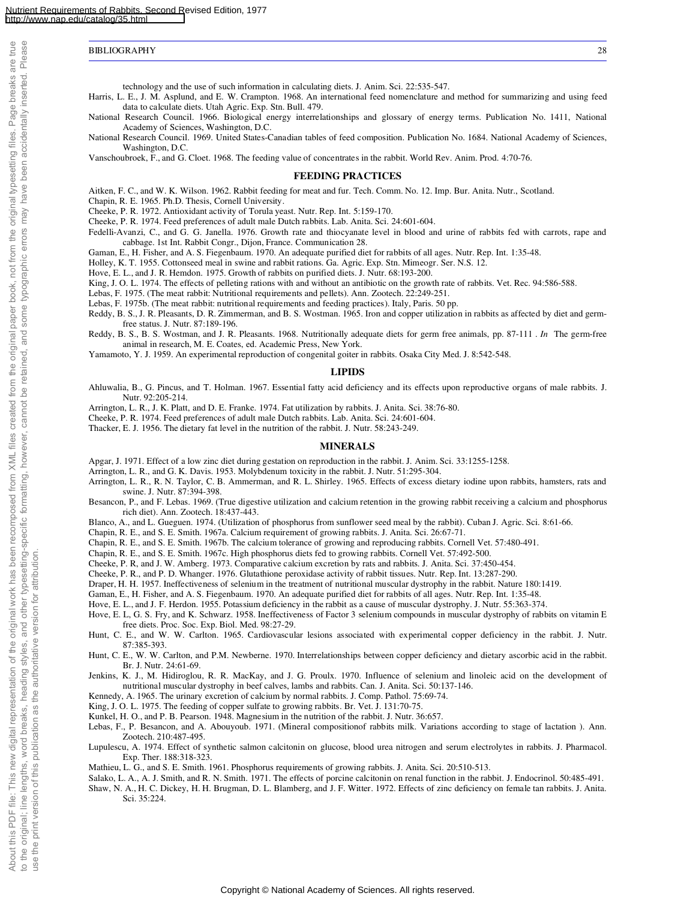- Harris, L. E., J. M. Asplund, and E. W. Crampton. 1968. An international feed nomenclature and method for summarizing and using feed data to calculate diets. Utah Agric. Exp. Stn. Bull. 479.
- National Research Council. 1966. Biological energy interrelationships and glossary of energy terms. Publication No. 1411, National Academy of Sciences, Washington, D.C.
- National Research Council. 1969. United States-Canadian tables of feed composition. Publication No. 1684. National Academy of Sciences, Washington, D.C.

Vanschoubroek, F., and G. Cloet. 1968. The feeding value of concentrates in the rabbit. World Rev. Anim. Prod. 4:70-76.

#### **FEEDING PRACTICES**

Aitken, F. C., and W. K. Wilson. 1962. Rabbit feeding for meat and fur. Tech. Comm. No. 12. Imp. Bur. Anita. Nutr., Scotland.

Chapin, R. E. 1965. Ph.D. Thesis, Cornell University.

Cheeke, P. R. 1972. Antioxidant activity of Torula yeast. Nutr. Rep. Int. 5:159-170.

Cheeke, P. R. 1974. Feed preferences of adult male Dutch rabbits. Lab. Anita. Sci. 24:601-604.

- Fedelli-Avanzi, C., and G. G. Janella. 1976. Growth rate and thiocyanate level in blood and urine of rabbits fed with carrots, rape and cabbage. 1st Int. Rabbit Congr., Dijon, France. Communication 28.
- Gaman, E., H. Fisher, and A. S. Fiegenbaum. 1970. An adequate purified diet for rabbits of all ages. Nutr. Rep. Int. 1:35-48.

Holley, K. T. 1955. Cottonseed meal in swine and rabbit rations. Ga. Agric. Exp. Stn. Mimeogr. Ser. N.S. 12.

Hove, E. L., and J. R. Hemdon. 1975. Growth of rabbits on purified diets. J. Nutr. 68:193-200.

- King, J. O. L. 1974. The effects of pelleting rations with and without an antibiotic on the growth rate of rabbits. Vet. Rec. 94:586-588.
- Lebas, F. 1975. (The meat rabbit: Nutritional requirements and pellets). Ann. Zootech. 22:249-251.

Lebas, F. 1975b. (The meat rabbit: nutritional requirements and feeding practices). Italy, Paris. 50 pp.

- Reddy, B. S., J. R. Pleasants, D. R. Zimmerman, and B. S. Wostman. 1965. Iron and copper utilization in rabbits as affected by diet and germfree status. J. Nutr. 87:189-196.
- Reddy, B. S., B. S. Wostman, and J. R. Pleasants. 1968. Nutritionally adequate diets for germ free animals, pp. 87-111 . *In* The germ-free animal in research, M. E. Coates, ed. Academic Press, New York.

Yamamoto, Y. J. 1959. An experimental reproduction of congenital goiter in rabbits. Osaka City Med. J. 8:542-548.

# **LIPIDS**

Ahluwalia, B., G. Pincus, and T. Holman. 1967. Essential fatty acid deficiency and its effects upon reproductive organs of male rabbits. J. Nutr. 92:205-214.

Arrington, L. R., J. K. Platt, and D. E. Franke. 1974. Fat utilization by rabbits. J. Anita. Sci. 38:76-80.

- Cheeke, P. R. 1974. Feed preferences of adult male Dutch rabbits. Lab. Anita. Sci. 24:601-604.
- Thacker, E. J. 1956. The dietary fat level in the nutrition of the rabbit. J. Nutr. 58:243-249.

#### **MINERALS**

Apgar, J. 1971. Effect of a low zinc diet during gestation on reproduction in the rabbit. J. Anim. Sci. 33:1255-1258.

Arrington, L. R., and G. K. Davis. 1953. Molybdenum toxicity in the rabbit. J. Nutr. 51:295-304.

- Arrington, L. R., R. N. Taylor, C. B. Ammerman, and R. L. Shirley. 1965. Effects of excess dietary iodine upon rabbits, hamsters, rats and swine. J. Nutr. 87:394-398.
- Besancon, P., and F. Lebas. 1969. (True digestive utilization and calcium retention in the growing rabbit receiving a calcium and phosphorus rich diet). Ann. Zootech. 18:437-443.
- Blanco, A., and L. Gueguen. 1974. (Utilization of phosphorus from sunflower seed meal by the rabbit). Cuban J. Agric. Sci. 8:61-66.
- Chapin, R. E., and S. E. Smith. 1967a. Calcium requirement of growing rabbits. J. Anita. Sci. 26:67-71.
- Chapin, R. E., and S. E. Smith. 1967b. The calcium tolerance of growing and reproducing rabbits. Cornell Vet. 57:480-491.
- Chapin, R. E., and S. E. Smith. 1967c. High phosphorus diets fed to growing rabbits. Cornell Vet. 57:492-500.
- Cheeke, P. R, and J. W. Amberg. 1973. Comparative calcium excretion by rats and rabbits. J. Anita. Sci. 37:450-454.
- Cheeke, P. R., and P. D. Whanger. 1976. Glutathione peroxidase activity of rabbit tissues. Nutr. Rep. Int. 13:287-290.
- Draper, H. H. 1957. Ineffectiveness of selenium in the treatment of nutritional muscular dystrophy in the rabbit. Nature 180:1419.
- Gaman, E., H. Fisher, and A. S. Fiegenbaum. 1970. An adequate purified diet for rabbits of all ages. Nutr. Rep. Int. 1:35-48.
- Hove, E. L., and J. F. Herdon. 1955. Potassium deficiency in the rabbit as a cause of muscular dystrophy. J. Nutr. 55:363-374.
- Hove, E. L, G. S. Fry, and K. Schwarz. 1958. Ineffectiveness of Factor 3 selenium compounds in muscular dystrophy of rabbits on vitamin E free diets. Proc. Soc. Exp. Biol. Med. 98:27-29.
- Hunt, C. E., and W. W. Carlton. 1965. Cardiovascular lesions associated with experimental copper deficiency in the rabbit. J. Nutr. 87:385-393.
- Hunt, C. E., W. W. Carlton, and P.M. Newberne. 1970. Interrelationships between copper deficiency and dietary ascorbic acid in the rabbit. Br. J. Nutr. 24:61-69.
- Jenkins, K. J., M. Hidiroglou, R. R. MacKay, and J. G. Proulx. 1970. Influence of selenium and linoleic acid on the development of nutritional muscular dystrophy in beef calves, lambs and rabbits. Can. J. Anita. Sci. 50:137-146.
- Kennedy, A. 1965. The urinary excretion of calcium by normal rabbits. J. Comp. Pathol. 75:69-74.
- King, J. O. L. 1975. The feeding of copper sulfate to growing rabbits. Br. Vet. J. 131:70-75.
- Kunkel, H. O., and P. B. Pearson. 1948. Magnesium in the nutrition of the rabbit. J. Nutr. 36:657.
- Lebas, F., P. Besancon, and A. Abouyoub. 1971. (Mineral compositionof rabbits milk. Variations according to stage of lactation ). Ann. Zootech. 210:487-495.
- Lupulescu, A. 1974. Effect of synthetic salmon calcitonin on glucose, blood urea nitrogen and serum electrolytes in rabbits. J. Pharmacol. Exp. Ther. 188:318-323.
- Mathieu, L. G., and S. E. Smith. 1961. Phosphorus requirements of growing rabbits. J. Anita. Sci. 20:510-513.
- Salako, L. A., A. J. Smith, and R. N. Smith. 1971. The effects of porcine calcitonin on renal function in the rabbit. J. Endocrinol. 50:485-491.
- Shaw, N. A., H. C. Dickey, H. H. Brugman, D. L. Blamberg, and J. F. Witter. 1972. Effects of zinc deficiency on female tan rabbits. J. Anita. Sci. 35:224.

 $\approx$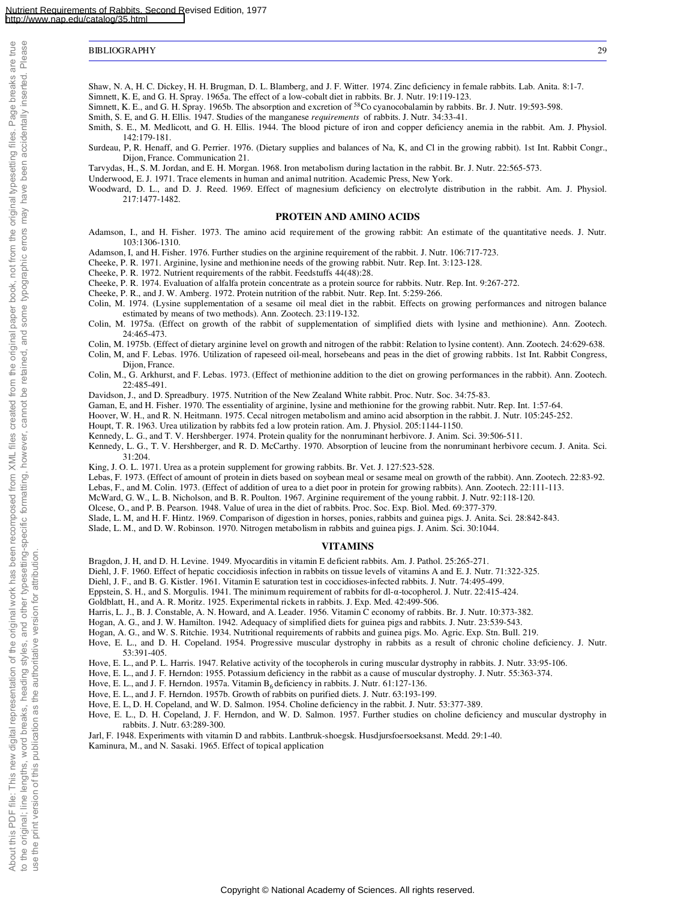Simnett, K. E, and G. H. Spray. 1965a. The effect of a low-cobalt diet in rabbits. Br. J. Nutr. 19:119-123.

Simnett, K. E., and G. H. Spray. 1965b. The absorption and excretion of <sup>58</sup>Co cyanocobalamin by rabbits. Br. J. Nutr. 19:593-598.

Smith, S. E, and G. H. Ellis. 1947. Studies of the manganese *requirements* of rabbits. J. Nutr. 34:33-41.

- Smith, S. E., M. Medlicott, and G. H. Ellis. 1944. The blood picture of iron and copper deficiency anemia in the rabbit. Am. J. Physiol. 142:179-181.
- Surdeau, P, R. Henaff, and G. Perrier. 1976. (Dietary supplies and balances of Na, K, and Cl in the growing rabbit). 1st Int. Rabbit Congr., Dijon, France. Communication 21.

Tarvydas, H., S. M. Jordan, and E. H. Morgan. 1968. Iron metabolism during lactation in the rabbit. Br. J. Nutr. 22:565-573.

- Underwood, E. J. 1971. Trace elements in human and animal nutrition. Academic Press, New York.
- Woodward, D. L., and D. J. Reed. 1969. Effect of magnesium deficiency on electrolyte distribution in the rabbit. Am. J. Physiol. 217:1477-1482.

#### **PROTEIN AND AMINO ACIDS**

- Adamson, I., and H. Fisher. 1973. The amino acid requirement of the growing rabbit: An estimate of the quantitative needs. J. Nutr. 103:1306-1310.
- Adamson, I, and H. Fisher. 1976. Further studies on the arginine requirement of the rabbit. J. Nutr. 106:717-723.
- Cheeke, P. R. 1971. Arginine, lysine and methionine needs of the growing rabbit. Nutr. Rep. Int. 3:123-128.
- Cheeke, P. R. 1972. Nutrient requirements of the rabbit. Feedstuffs 44(48):28.
- Cheeke, P. R. 1974. Evaluation of alfalfa protein concentrate as a protein source for rabbits. Nutr. Rep. Int. 9:267-272.
- Cheeke, P. R., and J. W. Amberg. 1972. Protein nutrition of the rabbit. Nutr. Rep. Int. 5:259-266.
- Colin, M. 1974. (Lysine supplementation of a sesame oil meal diet in the rabbit. Effects on growing performances and nitrogen balance estimated by means of two methods). Ann. Zootech. 23:119-132.
- Colin, M. 1975a. (Effect on growth of the rabbit of supplementation of simplified diets with lysine and methionine). Ann. Zootech. 24:465-473.
- Colin, M. 1975b. (Effect of dietary arginine level on growth and nitrogen of the rabbit: Relation to lysine content). Ann. Zootech. 24:629-638.
- Colin, M, and F. Lebas. 1976. Utilization of rapeseed oil-meal, horsebeans and peas in the diet of growing rabbits. 1st Int. Rabbit Congress, Dijon, France.
- Colin, M., G. Arkhurst, and F. Lebas. 1973. (Effect of methionine addition to the diet on growing performances in the rabbit). Ann. Zootech. 22:485-491.
- Davidson, J., and D. Spreadbury. 1975. Nutrition of the New Zealand White rabbit. Proc. Nutr. Soc. 34:75-83.
- Gaman, E, and H. Fisher. 1970. The essentiality of arginine, lysine and methionine for the growing rabbit. Nutr. Rep. Int. 1:57-64.
- Hoover, W. H., and R. N. Heitmann. 1975. Cecal nitrogen metabolism and amino acid absorption in the rabbit. J. Nutr. 105:245-252.
- Houpt, T. R. 1963. Urea utilization by rabbits fed a low protein ration. Am. J. Physiol. 205:1144-1150.
- Kennedy, L. G., and T. V. Hershberger. 1974. Protein quality for the nonruminant herbivore. J. Anim. Sci. 39:506-511.
- Kennedy, L. G., T. V. Hershberger, and R. D. McCarthy. 1970. Absorption of leucine from the nonruminant herbivore cecum. J. Anita. Sci. 31:204.
- King, J. O. L. 1971. Urea as a protein supplement for growing rabbits. Br. Vet. J. 127:523-528.
- Lebas, F. 1973. (Effect of amount of protein in diets based on soybean meal or sesame meal on growth of the rabbit). Ann. Zootech. 22:83-92.
- Lebas, F., and M. Colin. 1973. (Effect of addition of urea to a diet poor in protein for growing rabbits). Ann. Zootech. 22:111-113.
- McWard, G. W., L. B. Nicholson, and B. R. Poulton. 1967. Arginine requirement of the young rabbit. J. Nutr. 92:118-120.
- Olcese, O., and P. B. Pearson. 1948. Value of urea in the diet of rabbits. Proc. Soc. Exp. Biol. Med. 69:377-379.
- Slade, L. M, and H. F. Hintz. 1969. Comparison of digestion in horses, ponies, rabbits and guinea pigs. J. Anita. Sci. 28:842-843.
- Slade, L. M., and D. W. Robinson. 1970. Nitrogen metabolism in rabbits and guinea pigs. J. Anim. Sci. 30:1044.

#### **VITAMINS**

- Bragdon, J. H, and D. H. Levine. 1949. Myocarditis in vitamin E deficient rabbits. Am. J. Pathol. 25:265-271.
- Diehl, J. F. 1960. Effect of hepatic coccidiosis infection in rabbits on tissue levels of vitamins A and E. J. Nutr. 71:322-325.
- Diehl, J. F., and B. G. Kistler. 1961. Vitamin E saturation test in coccidioses-infected rabbits. J. Nutr. 74:495-499.
- Eppstein, S. H., and S. Morgulis. 1941. The minimum requirement of rabbits for dl-α-tocopherol. J. Nutr. 22:415-424.
- Goldblatt, H., and A. R. Moritz. 1925. Experimental rickets in rabbits. J. Exp. Med. 42:499-506.
- Harris, L. J., B. J. Constable, A. N. Howard, and A. Leader. 1956. Vitamin C economy of rabbits. Br. J. Nutr. 10:373-382.
- Hogan, A. G., and J. W. Hamilton. 1942. Adequacy of simplified diets for guinea pigs and rabbits. J. Nutr. 23:539-543.
- Hogan, A. G., and W. S. Ritchie. 1934. Nutritional requirements of rabbits and guinea pigs. Mo. Agric. Exp. Stn. Bull. 219.
- Hove, E. L., and D. H. Copeland. 1954. Progressive muscular dystrophy in rabbits as a result of chronic choline deficiency. J. Nutr. 53:391-405.
- Hove, E. L., and P. L. Harris. 1947. Relative activity of the tocopherols in curing muscular dystrophy in rabbits. J. Nutr. 33:95-106.
- Hove, E. L., and J. F. Herndon: 1955. Potassium deficiency in the rabbit as a cause of muscular dystrophy. J. Nutr. 55:363-374.
- Hove, E. L., and J. F. Herndon. 1957a. Vitamin  $B_6$  deficiency in rabbits. J. Nutr. 61:127-136.
- Hove, E. L., and J. F. Herndon. 1957b. Growth of rabbits on purified diets. J. Nutr. 63:193-199.
- Hove, E. L, D. H. Copeland, and W. D. Salmon. 1954. Choline deficiency in the rabbit. J. Nutr. 53:377-389.
- Hove, E. L., D. H. Copeland, J. F. Herndon, and W. D. Salmon. 1957. Further studies on choline deficiency and muscular dystrophy in rabbits. J. Nutr. 63:289-300.

Jarl, F. 1948. Experiments with vitamin D and rabbits. Lantbruk-shoegsk. Husdjursfoersoeksanst. Medd. 29:1-40. Kaminura, M., and N. Sasaki. 1965. Effect of topical application

 $\overline{a}$